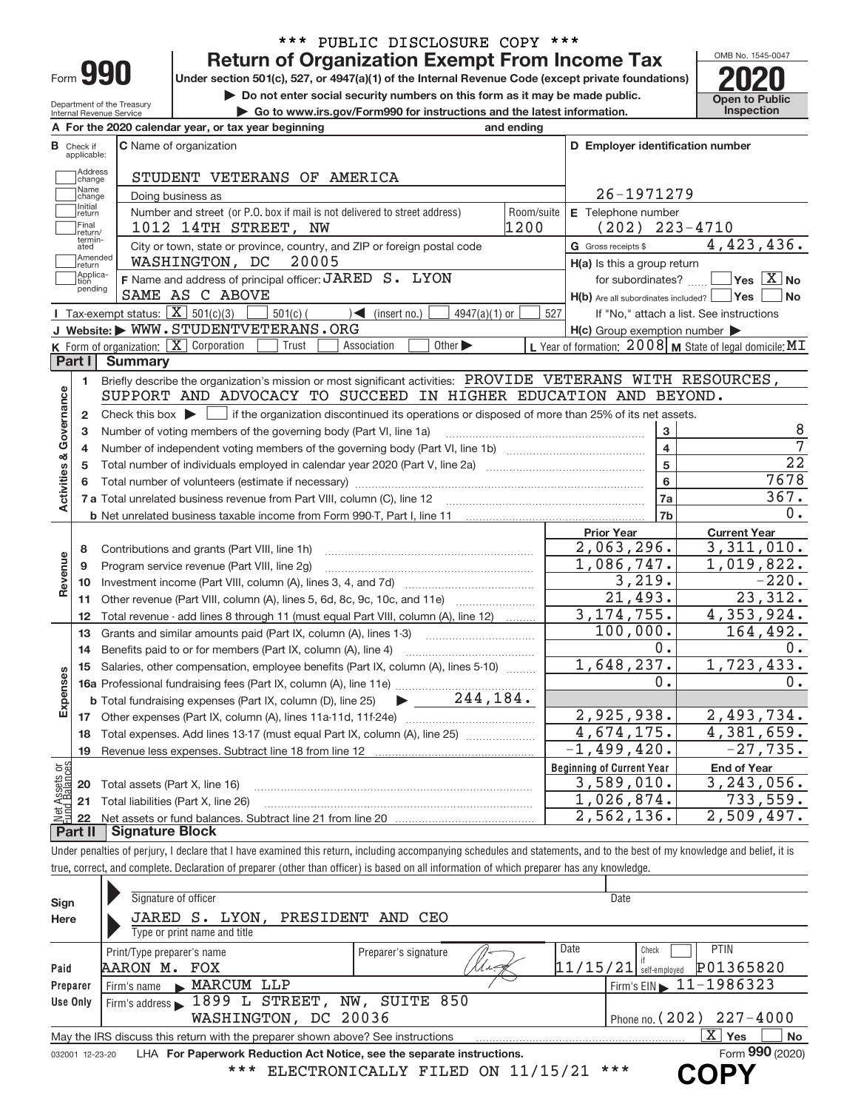| -orm |  |
|------|--|

# \*\*\* PUBLIC DISCLOSURE COPY \*\*\*<br>Return of Organization Exempt From Income Tax

**990 Return of Organization Exempt From Income Tax Phone State of Property Section 501(c), 527, or 4947(a)(1) of the Internal Revenue Code (except private foundations) <b>2020** 

**but the Do not enter social security numbers on this form as it may be made public. Open to Public**<br> **a** Go to www.irs.gov/Form990 for instructions and the latest information. Inspection

OMB No. 1545‐0047

Department of the Treasury Internal Revenue Service

| Department of the Treasury<br>Internal Revenue Service | Go to www.irs.gov/Form990 for instructions and the latest information. |  |                                                     |  |                                                                            |  |            | <b>Inspe</b>                     |  |
|--------------------------------------------------------|------------------------------------------------------------------------|--|-----------------------------------------------------|--|----------------------------------------------------------------------------|--|------------|----------------------------------|--|
|                                                        |                                                                        |  | A For the 2020 calendar year, or tax year beginning |  |                                                                            |  | and ending |                                  |  |
| <b>B</b> Check if<br>applicable:                       | <b>C</b> Name of organization                                          |  |                                                     |  |                                                                            |  |            | D Employer identification number |  |
| Address<br> change                                     |                                                                        |  | STUDENT VETERANS OF AMERICA                         |  |                                                                            |  |            |                                  |  |
| Mame<br> change                                        | Doing business as                                                      |  |                                                     |  |                                                                            |  |            | 26-1971279                       |  |
| Initial<br>Ireturn                                     |                                                                        |  |                                                     |  | Number and street (or P.O. box if mail is not delivered to street address) |  |            | Room/suite   E Telephone number  |  |

|                         | Initial<br>return<br>Final | Number and street (or P.O. box if mail is not delivered to street address)<br>1012 14TH STREET, NW                                                     | Room/suite<br>1200 | E Telephone number                                  | $(202)$ 223-4710                                          |
|-------------------------|----------------------------|--------------------------------------------------------------------------------------------------------------------------------------------------------|--------------------|-----------------------------------------------------|-----------------------------------------------------------|
|                         | return/<br>termin-<br>ated | City or town, state or province, country, and ZIP or foreign postal code                                                                               |                    | G Gross receipts \$                                 | 4,423,436.                                                |
|                         | Amended<br>return          | WASHINGTON, DC<br>20005                                                                                                                                |                    | H(a) Is this a group return                         |                                                           |
|                         | Applica-<br>tion           | F Name and address of principal officer: JARED S. LYON                                                                                                 |                    |                                                     | for subordinates? $\Box$ Yes $\boxed{X}$ No               |
|                         | pending                    | SAME AS C ABOVE                                                                                                                                        |                    |                                                     | $H(b)$ Are all subordinates included? $\Box$ Yes<br>  No  |
|                         |                            | <b>I</b> Tax-exempt status: $\overline{\mathbf{X}}$ 501(c)(3)<br>$501(c)$ (<br>$4947(a)(1)$ or<br>$\sum$ (insert no.)                                  | 527                |                                                     | If "No," attach a list. See instructions                  |
|                         |                            | J Website: WWW.STUDENTVETERANS.ORG                                                                                                                     |                    | $H(c)$ Group exemption number $\blacktriangleright$ |                                                           |
|                         |                            | K Form of organization:   X Corporation<br>Other $\blacktriangleright$<br>Trust<br>Association                                                         |                    |                                                     | L Year of formation: $2008$ M State of legal domicile: MT |
|                         | Part I                     | <b>Summary</b>                                                                                                                                         |                    |                                                     |                                                           |
|                         | 1                          | Briefly describe the organization's mission or most significant activities: PROVIDE VETERANS WITH RESOURCES,                                           |                    |                                                     |                                                           |
| Governance              |                            | SUPPORT AND ADVOCACY TO SUCCEED IN HIGHER EDUCATION AND BEYOND.                                                                                        |                    |                                                     |                                                           |
|                         | $\mathbf{2}$               | Check this box $\blacktriangleright$ $\blacksquare$ if the organization discontinued its operations or disposed of more than 25% of its net assets.    |                    |                                                     |                                                           |
|                         | 3                          | Number of voting members of the governing body (Part VI, line 1a)                                                                                      |                    |                                                     | 8                                                         |
|                         | 4                          |                                                                                                                                                        |                    |                                                     | $\overline{7}$<br>$\overline{\mathbf{4}}$                 |
|                         | 5                          |                                                                                                                                                        |                    |                                                     | $\overline{22}$<br>5                                      |
| <b>Activities &amp;</b> | 6                          |                                                                                                                                                        |                    |                                                     | 7678<br>$6\overline{6}$                                   |
|                         |                            |                                                                                                                                                        |                    |                                                     | 367.<br>7a                                                |
|                         |                            |                                                                                                                                                        |                    |                                                     | 0.<br>7b                                                  |
|                         |                            |                                                                                                                                                        |                    | <b>Prior Year</b>                                   | <b>Current Year</b>                                       |
|                         | 8                          | Contributions and grants (Part VIII, line 1h)                                                                                                          |                    | 2,063,296.<br>1,086,747.                            | 3,311,010.                                                |
| Revenue                 | 9                          | Program service revenue (Part VIII, line 2g)                                                                                                           |                    | 3,219.                                              | 1,019,822.<br>$-220.$                                     |
|                         | 10                         |                                                                                                                                                        |                    | 21,493.                                             | 23,312.                                                   |
|                         | 11                         | Other revenue (Part VIII, column (A), lines 5, 6d, 8c, 9c, 10c, and 11e)                                                                               |                    | 3, 174, 755.                                        | 4,353,924.                                                |
|                         | 12<br>13                   | Total revenue - add lines 8 through 11 (must equal Part VIII, column (A), line 12)<br>Grants and similar amounts paid (Part IX, column (A), lines 1-3) |                    | 100,000.                                            | 164,492.                                                  |
|                         | 14                         | Benefits paid to or for members (Part IX, column (A), line 4)                                                                                          |                    | $0$ .                                               | $0$ .                                                     |
|                         | 15                         | Salaries, other compensation, employee benefits (Part IX, column (A), lines 5-10)                                                                      |                    | 1,648,237.                                          | 1,723,433.                                                |
| Expenses                |                            |                                                                                                                                                        |                    | 0.                                                  | $0$ .                                                     |
|                         |                            | $\blacktriangleright$ $\frac{244}{184}$ .<br><b>b</b> Total fundraising expenses (Part IX, column (D), line 25)                                        |                    |                                                     |                                                           |
|                         | 17                         |                                                                                                                                                        |                    | 2,925,938.                                          | 2,493,734.                                                |
|                         | 18                         | Total expenses. Add lines 13-17 (must equal Part IX, column (A), line 25)                                                                              |                    | 4,674,175.                                          | $\overline{4,381,659}$ .                                  |
|                         | 19                         |                                                                                                                                                        |                    | $-1,499,420.$                                       | $-27,735.$                                                |
| agc                     |                            |                                                                                                                                                        |                    | <b>Beginning of Current Year</b>                    | <b>End of Year</b>                                        |
| sets<br>alanc           | 20                         | Total assets (Part X, line 16)                                                                                                                         |                    | 3,589,010.                                          | 3, 243, 056.                                              |
|                         |                            | 21 Total liabilities (Part X, line 26)                                                                                                                 |                    | 1,026,874.                                          | 733,559.                                                  |
|                         |                            |                                                                                                                                                        |                    | 2,562,136.                                          | 2,509,497.                                                |
|                         |                            | Dort II Cianoturo Blook                                                                                                                                |                    |                                                     |                                                           |

**Part II Signature Block**

Under penalties of perjury, I declare that I have examined this return, including accompanying schedules and statements, and to the best of my knowledge and belief, it is true, correct, and complete. Declaration of preparer (other than officer) is based on all information of which preparer has any knowledge.

| Sign            | Signature of officer                                                            |                                    | Date                                     |
|-----------------|---------------------------------------------------------------------------------|------------------------------------|------------------------------------------|
| Here            | JARED S. LYON, PRESIDENT AND CEO                                                |                                    |                                          |
|                 | Type or print name and title                                                    |                                    |                                          |
|                 | Print/Type preparer's name                                                      | Preparer's signature               | Date<br><b>PTIN</b><br>Check             |
| Paid            | AARON M.<br>FOX                                                                 | $^7$ $\mathcal{L}$ - $\mathcal{G}$ | P01365820<br>$11/15/21$ self-employed    |
| Preparer        | MARCUM LLP<br>Firm's name                                                       |                                    | Firm's $EIN \triangleright 11 - 1986323$ |
| Use Only        | Firm's address 1899 L STREET,                                                   | SUITE 850<br>NW,                   |                                          |
|                 | WASHINGTON, DC 20036                                                            |                                    | 227-4000<br>Phone no. $(202)$            |
|                 | May the IRS discuss this return with the preparer shown above? See instructions |                                    | $\mathbf{X}$<br>Yes<br>No                |
| 032001 12-23-20 | LHA For Paperwork Reduction Act Notice, see the separate instructions.          |                                    | Form 990 (2020)                          |
|                 | * * *                                                                           | ELECTRONICALLY FILED ON 11/15/21   | ***                                      |
|                 |                                                                                 |                                    |                                          |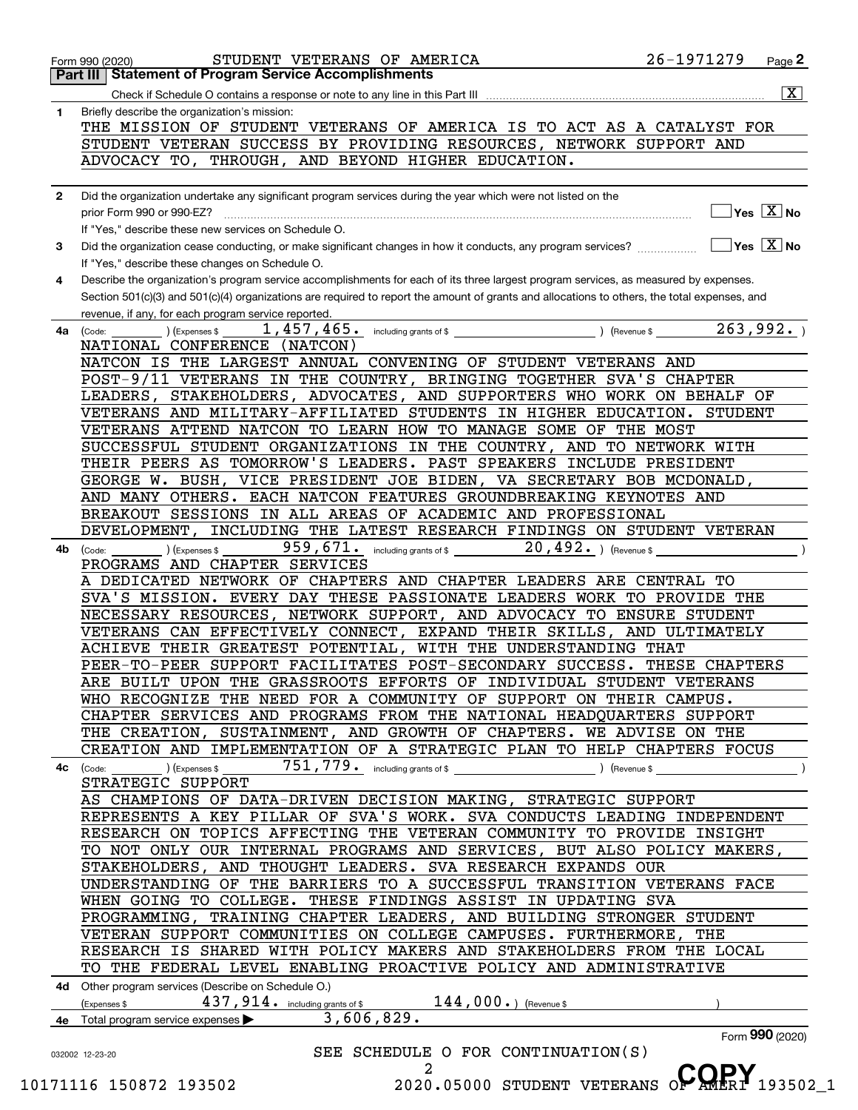| 1            | Briefly describe the organization's mission:                                                                                                                                                                                                                                         |  |  |  |  |
|--------------|--------------------------------------------------------------------------------------------------------------------------------------------------------------------------------------------------------------------------------------------------------------------------------------|--|--|--|--|
|              | THE MISSION OF STUDENT VETERANS OF AMERICA IS TO ACT AS A CATALYST FOR                                                                                                                                                                                                               |  |  |  |  |
|              | STUDENT VETERAN SUCCESS BY PROVIDING RESOURCES, NETWORK SUPPORT AND                                                                                                                                                                                                                  |  |  |  |  |
|              | ADVOCACY TO, THROUGH, AND BEYOND HIGHER EDUCATION.                                                                                                                                                                                                                                   |  |  |  |  |
|              |                                                                                                                                                                                                                                                                                      |  |  |  |  |
| $\mathbf{2}$ | Did the organization undertake any significant program services during the year which were not listed on the                                                                                                                                                                         |  |  |  |  |
|              | $]$ Yes $[\overline{\mathrm{X}}]$ No                                                                                                                                                                                                                                                 |  |  |  |  |
|              | If "Yes," describe these new services on Schedule O.                                                                                                                                                                                                                                 |  |  |  |  |
| 3            | $\exists$ Yes $\boxed{\mathrm{X}}$ No<br>Did the organization cease conducting, or make significant changes in how it conducts, any program services?                                                                                                                                |  |  |  |  |
|              | If "Yes," describe these changes on Schedule O.                                                                                                                                                                                                                                      |  |  |  |  |
| 4            | Describe the organization's program service accomplishments for each of its three largest program services, as measured by expenses.<br>Section 501(c)(3) and 501(c)(4) organizations are required to report the amount of grants and allocations to others, the total expenses, and |  |  |  |  |
|              | revenue, if any, for each program service reported.                                                                                                                                                                                                                                  |  |  |  |  |
| 4a           | 263,992.<br>1,457,465. including grants of \$<br>$\sqrt{$ (Revenue \$<br>) (Expenses \$<br>(Code:                                                                                                                                                                                    |  |  |  |  |
|              | NATIONAL CONFERENCE (NATCON)                                                                                                                                                                                                                                                         |  |  |  |  |
|              | NATCON IS THE LARGEST ANNUAL CONVENING OF STUDENT VETERANS AND                                                                                                                                                                                                                       |  |  |  |  |
|              | POST-9/11 VETERANS IN THE COUNTRY, BRINGING TOGETHER SVA'S CHAPTER                                                                                                                                                                                                                   |  |  |  |  |
|              | LEADERS, STAKEHOLDERS, ADVOCATES, AND SUPPORTERS WHO WORK ON BEHALF OF                                                                                                                                                                                                               |  |  |  |  |
|              | VETERANS AND MILITARY-AFFILIATED STUDENTS IN HIGHER EDUCATION. STUDENT                                                                                                                                                                                                               |  |  |  |  |
|              | VETERANS ATTEND NATCON TO LEARN HOW TO MANAGE SOME OF THE MOST                                                                                                                                                                                                                       |  |  |  |  |
|              | SUCCESSFUL STUDENT ORGANIZATIONS IN THE COUNTRY, AND TO NETWORK WITH                                                                                                                                                                                                                 |  |  |  |  |
|              | THEIR PEERS AS TOMORROW'S LEADERS. PAST SPEAKERS INCLUDE PRESIDENT                                                                                                                                                                                                                   |  |  |  |  |
|              | GEORGE W. BUSH, VICE PRESIDENT JOE BIDEN, VA SECRETARY BOB MCDONALD,                                                                                                                                                                                                                 |  |  |  |  |
|              | AND MANY OTHERS. EACH NATCON FEATURES GROUNDBREAKING KEYNOTES AND<br>BREAKOUT SESSIONS IN ALL AREAS OF ACADEMIC AND PROFESSIONAL                                                                                                                                                     |  |  |  |  |
|              | DEVELOPMENT, INCLUDING THE LATEST RESEARCH FINDINGS ON STUDENT VETERAN                                                                                                                                                                                                               |  |  |  |  |
| 4b           | 959, 671. including grants of \$<br>$20$ , $492$ $\cdot$ ) (Revenue \$<br>) (Expenses \$<br>(Code:                                                                                                                                                                                   |  |  |  |  |
|              | PROGRAMS AND CHAPTER SERVICES                                                                                                                                                                                                                                                        |  |  |  |  |
|              | A DEDICATED NETWORK OF CHAPTERS AND CHAPTER LEADERS ARE CENTRAL TO                                                                                                                                                                                                                   |  |  |  |  |
|              | SVA'S MISSION. EVERY DAY THESE PASSIONATE LEADERS WORK TO PROVIDE THE                                                                                                                                                                                                                |  |  |  |  |
|              | NECESSARY RESOURCES, NETWORK SUPPORT, AND ADVOCACY TO ENSURE STUDENT                                                                                                                                                                                                                 |  |  |  |  |
|              | VETERANS CAN EFFECTIVELY CONNECT, EXPAND THEIR SKILLS, AND ULTIMATELY                                                                                                                                                                                                                |  |  |  |  |
|              | ACHIEVE THEIR GREATEST POTENTIAL, WITH THE UNDERSTANDING THAT                                                                                                                                                                                                                        |  |  |  |  |
|              | PEER-TO-PEER SUPPORT FACILITATES POST-SECONDARY SUCCESS. THESE CHAPTERS                                                                                                                                                                                                              |  |  |  |  |
|              | ARE BUILT UPON THE GRASSROOTS EFFORTS OF INDIVIDUAL STUDENT VETERANS                                                                                                                                                                                                                 |  |  |  |  |
|              | WHO RECOGNIZE THE NEED FOR A COMMUNITY OF SUPPORT ON THEIR CAMPUS.<br>CHAPTER SERVICES AND PROGRAMS FROM THE NATIONAL HEADQUARTERS SUPPORT                                                                                                                                           |  |  |  |  |
|              | THE CREATION, SUSTAINMENT, AND GROWTH OF CHAPTERS. WE ADVISE ON THE                                                                                                                                                                                                                  |  |  |  |  |
|              | CREATION AND IMPLEMENTATION OF A STRATEGIC PLAN TO HELP CHAPTERS FOCUS                                                                                                                                                                                                               |  |  |  |  |
|              | ) (Expenses \$<br>) (Revenue \$<br>4c (Code:                                                                                                                                                                                                                                         |  |  |  |  |
|              | STRATEGIC SUPPORT                                                                                                                                                                                                                                                                    |  |  |  |  |
|              | AS CHAMPIONS OF DATA-DRIVEN DECISION MAKING, STRATEGIC SUPPORT                                                                                                                                                                                                                       |  |  |  |  |
|              | REPRESENTS A KEY PILLAR OF SVA'S WORK. SVA CONDUCTS LEADING INDEPENDENT                                                                                                                                                                                                              |  |  |  |  |
|              | RESEARCH ON TOPICS AFFECTING THE VETERAN COMMUNITY TO PROVIDE INSIGHT                                                                                                                                                                                                                |  |  |  |  |
|              | TO NOT ONLY OUR INTERNAL PROGRAMS AND SERVICES, BUT ALSO POLICY MAKERS,                                                                                                                                                                                                              |  |  |  |  |
|              | STAKEHOLDERS, AND THOUGHT LEADERS. SVA RESEARCH EXPANDS OUR                                                                                                                                                                                                                          |  |  |  |  |
|              | UNDERSTANDING OF THE BARRIERS TO A SUCCESSFUL TRANSITION VETERANS FACE                                                                                                                                                                                                               |  |  |  |  |
|              | WHEN GOING TO COLLEGE. THESE FINDINGS ASSIST IN UPDATING SVA                                                                                                                                                                                                                         |  |  |  |  |
|              | PROGRAMMING, TRAINING CHAPTER LEADERS, AND BUILDING STRONGER STUDENT                                                                                                                                                                                                                 |  |  |  |  |
|              | VETERAN SUPPORT COMMUNITIES ON COLLEGE CAMPUSES. FURTHERMORE, THE<br>RESEARCH IS SHARED WITH POLICY MAKERS AND STAKEHOLDERS FROM THE LOCAL                                                                                                                                           |  |  |  |  |
|              | TO THE FEDERAL LEVEL ENABLING PROACTIVE POLICY AND ADMINISTRATIVE                                                                                                                                                                                                                    |  |  |  |  |
|              | 4d Other program services (Describe on Schedule O.)                                                                                                                                                                                                                                  |  |  |  |  |
|              | $144,000.$ (Revenue \$<br>$4\,3\,7$ , $9\,1\,4$ $\scriptstyle\bullet\quad$ including grants of \$<br>(Expenses \$                                                                                                                                                                    |  |  |  |  |
|              | 3,606,829.<br>Total program service expenses                                                                                                                                                                                                                                         |  |  |  |  |
|              |                                                                                                                                                                                                                                                                                      |  |  |  |  |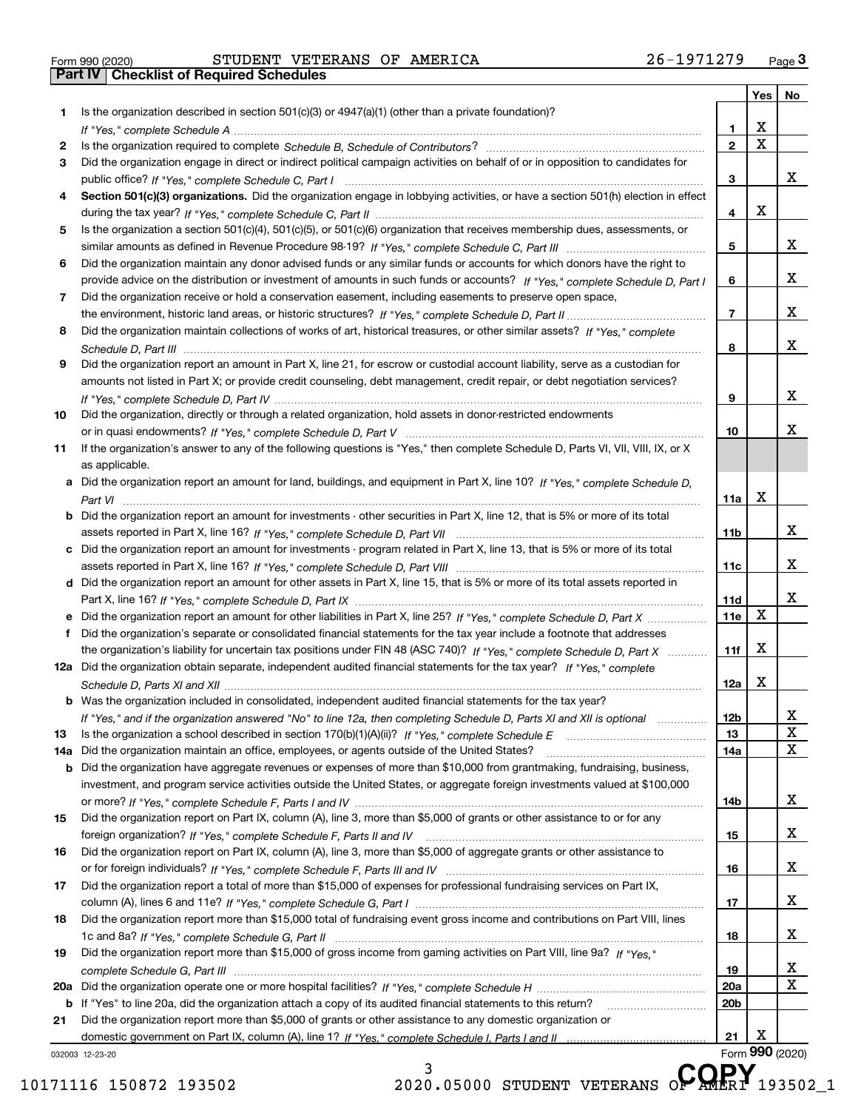|  | Form 990 (2020) |
|--|-----------------|

Form 990 (2020) STUDENT VETERANS OF AMERICA 26-1971279 <sub>Page</sub> 3<br>**Part IV | Checklist of Required Schedules** 

|     |                                                                                                                                                                                                                                                       |                 | Yes                     | No               |
|-----|-------------------------------------------------------------------------------------------------------------------------------------------------------------------------------------------------------------------------------------------------------|-----------------|-------------------------|------------------|
| 1   | Is the organization described in section $501(c)(3)$ or $4947(a)(1)$ (other than a private foundation)?                                                                                                                                               |                 |                         |                  |
|     |                                                                                                                                                                                                                                                       | 1               | X                       |                  |
| 2   |                                                                                                                                                                                                                                                       | $\overline{2}$  | $\overline{\mathbf{x}}$ |                  |
| 3   | Did the organization engage in direct or indirect political campaign activities on behalf of or in opposition to candidates for                                                                                                                       |                 |                         |                  |
|     |                                                                                                                                                                                                                                                       | 3               |                         | x                |
| 4   | Section 501(c)(3) organizations. Did the organization engage in lobbying activities, or have a section 501(h) election in effect                                                                                                                      |                 |                         |                  |
|     |                                                                                                                                                                                                                                                       | 4               | X                       |                  |
| 5   | Is the organization a section 501(c)(4), 501(c)(5), or 501(c)(6) organization that receives membership dues, assessments, or                                                                                                                          |                 |                         |                  |
|     |                                                                                                                                                                                                                                                       | 5               |                         | x                |
| 6   | Did the organization maintain any donor advised funds or any similar funds or accounts for which donors have the right to                                                                                                                             |                 |                         |                  |
|     | provide advice on the distribution or investment of amounts in such funds or accounts? If "Yes," complete Schedule D, Part I                                                                                                                          | 6               |                         | x                |
| 7   | Did the organization receive or hold a conservation easement, including easements to preserve open space,                                                                                                                                             |                 |                         |                  |
|     |                                                                                                                                                                                                                                                       | $\overline{7}$  |                         | X                |
| 8   | Did the organization maintain collections of works of art, historical treasures, or other similar assets? If "Yes," complete                                                                                                                          |                 |                         |                  |
|     |                                                                                                                                                                                                                                                       | 8               |                         | X                |
| 9   | Did the organization report an amount in Part X, line 21, for escrow or custodial account liability, serve as a custodian for                                                                                                                         |                 |                         |                  |
|     | amounts not listed in Part X; or provide credit counseling, debt management, credit repair, or debt negotiation services?                                                                                                                             |                 |                         |                  |
|     |                                                                                                                                                                                                                                                       | 9               |                         | х                |
| 10  | Did the organization, directly or through a related organization, hold assets in donor-restricted endowments                                                                                                                                          |                 |                         |                  |
|     |                                                                                                                                                                                                                                                       | 10              |                         | x                |
| 11  | If the organization's answer to any of the following questions is "Yes," then complete Schedule D, Parts VI, VII, VIII, IX, or X                                                                                                                      |                 |                         |                  |
|     | as applicable.                                                                                                                                                                                                                                        |                 |                         |                  |
| a   | Did the organization report an amount for land, buildings, and equipment in Part X, line 10? If "Yes." complete Schedule D.                                                                                                                           |                 |                         |                  |
|     |                                                                                                                                                                                                                                                       | 11a             | X                       |                  |
|     | <b>b</b> Did the organization report an amount for investments - other securities in Part X, line 12, that is 5% or more of its total                                                                                                                 |                 |                         |                  |
|     |                                                                                                                                                                                                                                                       | 11 <sub>b</sub> |                         | x                |
| c   | Did the organization report an amount for investments - program related in Part X, line 13, that is 5% or more of its total                                                                                                                           |                 |                         |                  |
|     |                                                                                                                                                                                                                                                       | 11c             |                         | x                |
|     | d Did the organization report an amount for other assets in Part X, line 15, that is 5% or more of its total assets reported in                                                                                                                       |                 |                         |                  |
|     |                                                                                                                                                                                                                                                       | 11d             |                         | х                |
|     | e Did the organization report an amount for other liabilities in Part X, line 25? If "Yes," complete Schedule D, Part X                                                                                                                               | 11e             | X                       |                  |
| f   | Did the organization's separate or consolidated financial statements for the tax year include a footnote that addresses                                                                                                                               |                 | X                       |                  |
|     | the organization's liability for uncertain tax positions under FIN 48 (ASC 740)? If "Yes," complete Schedule D, Part X                                                                                                                                | 11f             |                         |                  |
|     | 12a Did the organization obtain separate, independent audited financial statements for the tax year? If "Yes," complete                                                                                                                               |                 | X                       |                  |
|     |                                                                                                                                                                                                                                                       | 12a             |                         |                  |
|     | <b>b</b> Was the organization included in consolidated, independent audited financial statements for the tax year?                                                                                                                                    |                 |                         |                  |
|     | If "Yes," and if the organization answered "No" to line 12a, then completing Schedule D, Parts XI and XII is optional                                                                                                                                 | 12D             |                         | ᅀ<br>$\mathbf X$ |
| 13  |                                                                                                                                                                                                                                                       | 13              |                         | $\mathbf{X}$     |
| 14a | Did the organization maintain an office, employees, or agents outside of the United States?                                                                                                                                                           | 14a             |                         |                  |
| b   | Did the organization have aggregate revenues or expenses of more than \$10,000 from grantmaking, fundraising, business,<br>investment, and program service activities outside the United States, or aggregate foreign investments valued at \$100,000 |                 |                         |                  |
|     |                                                                                                                                                                                                                                                       | 14b             |                         | x                |
| 15  | Did the organization report on Part IX, column (A), line 3, more than \$5,000 of grants or other assistance to or for any                                                                                                                             |                 |                         |                  |
|     |                                                                                                                                                                                                                                                       | 15              |                         | x                |
| 16  | Did the organization report on Part IX, column (A), line 3, more than \$5,000 of aggregate grants or other assistance to                                                                                                                              |                 |                         |                  |
|     |                                                                                                                                                                                                                                                       | 16              |                         | x                |
| 17  | Did the organization report a total of more than \$15,000 of expenses for professional fundraising services on Part IX,                                                                                                                               |                 |                         |                  |
|     |                                                                                                                                                                                                                                                       | 17              |                         | x                |
| 18  | Did the organization report more than \$15,000 total of fundraising event gross income and contributions on Part VIII, lines                                                                                                                          |                 |                         |                  |
|     |                                                                                                                                                                                                                                                       | 18              |                         | x                |
| 19  | Did the organization report more than \$15,000 of gross income from gaming activities on Part VIII, line 9a? If "Yes."                                                                                                                                |                 |                         |                  |
|     |                                                                                                                                                                                                                                                       | 19              |                         | X                |
| 20a |                                                                                                                                                                                                                                                       | 20a             |                         | $\mathbf X$      |
|     | b If "Yes" to line 20a, did the organization attach a copy of its audited financial statements to this return?                                                                                                                                        | 20 <sub>b</sub> |                         |                  |
| 21  | Did the organization report more than \$5,000 of grants or other assistance to any domestic organization or                                                                                                                                           |                 |                         |                  |
|     |                                                                                                                                                                                                                                                       | 21              | Х                       |                  |
|     | 032003 12-23-20                                                                                                                                                                                                                                       |                 |                         | Form 990 (2020)  |
|     | 3.<br>CODV                                                                                                                                                                                                                                            |                 |                         |                  |

10171116 150872 193502 2020.05000 STUDENT VETERANS O**F AMERI** 193502\_1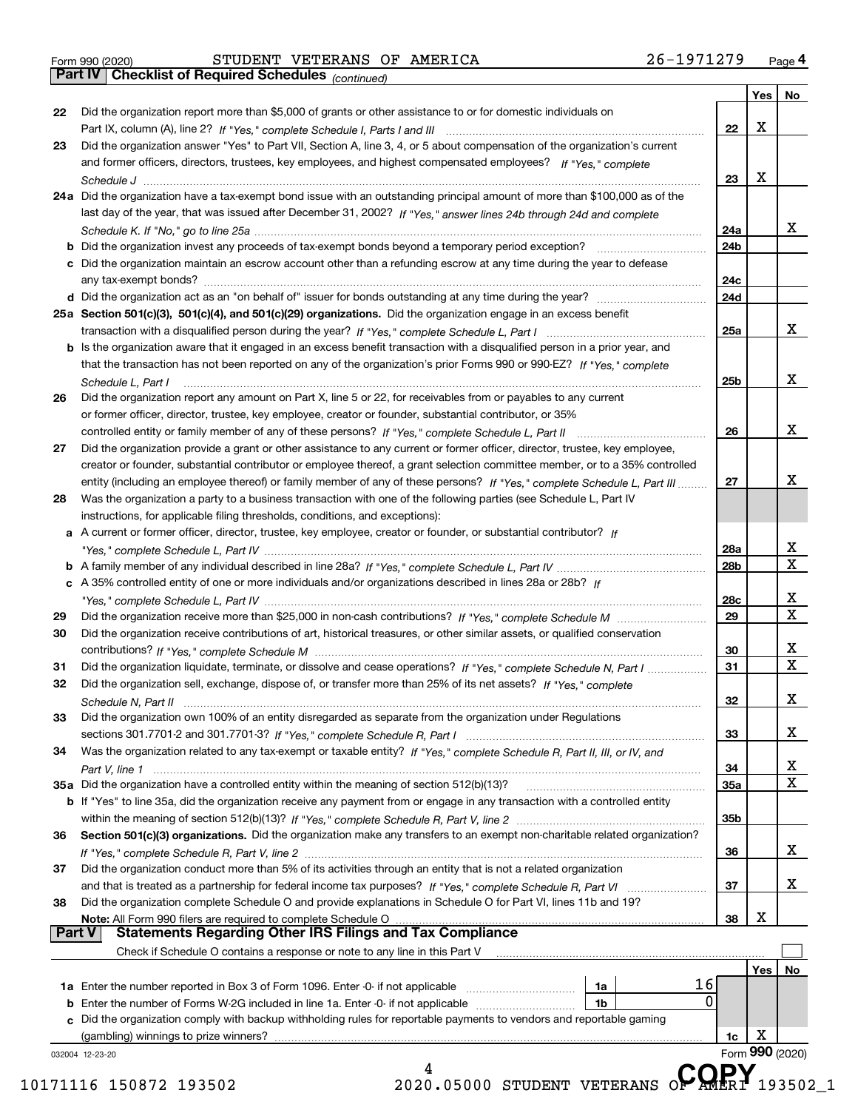|  | Form 990 (2020) |
|--|-----------------|

*(continued)*

|               |                                                                                                                                                                                             |     | Yes   No |                         |
|---------------|---------------------------------------------------------------------------------------------------------------------------------------------------------------------------------------------|-----|----------|-------------------------|
| 22            | Did the organization report more than \$5,000 of grants or other assistance to or for domestic individuals on                                                                               | 22  | X        |                         |
|               |                                                                                                                                                                                             |     |          |                         |
| 23            | Did the organization answer "Yes" to Part VII, Section A, line 3, 4, or 5 about compensation of the organization's current                                                                  |     |          |                         |
|               | and former officers, directors, trustees, key employees, and highest compensated employees? If "Yes." complete                                                                              |     |          |                         |
|               |                                                                                                                                                                                             | 23  | x        |                         |
|               | 24a Did the organization have a tax-exempt bond issue with an outstanding principal amount of more than \$100,000 as of the                                                                 |     |          |                         |
|               | last day of the year, that was issued after December 31, 2002? If "Yes," answer lines 24b through 24d and complete                                                                          |     |          |                         |
|               |                                                                                                                                                                                             | 24a |          | x                       |
|               |                                                                                                                                                                                             | 24b |          |                         |
|               | c Did the organization maintain an escrow account other than a refunding escrow at any time during the year to defease                                                                      |     |          |                         |
|               |                                                                                                                                                                                             | 24c |          |                         |
|               |                                                                                                                                                                                             | 24d |          |                         |
|               | 25a Section 501(c)(3), 501(c)(4), and 501(c)(29) organizations. Did the organization engage in an excess benefit                                                                            |     |          |                         |
|               | transaction with a disqualified person during the year? If "Yes," complete Schedule L, Part I manufaction with a disqualified person during the year? If "Yes," complete Schedule L, Part I | 25a |          | X                       |
|               | b Is the organization aware that it engaged in an excess benefit transaction with a disqualified person in a prior year, and                                                                |     |          |                         |
|               | that the transaction has not been reported on any of the organization's prior Forms 990 or 990-EZ? If "Yes," complete                                                                       |     |          |                         |
|               | Schedule L, Part I                                                                                                                                                                          | 25b |          | x                       |
| 26            | Did the organization report any amount on Part X, line 5 or 22, for receivables from or payables to any current                                                                             |     |          |                         |
|               | or former officer, director, trustee, key employee, creator or founder, substantial contributor, or 35%                                                                                     |     |          |                         |
|               |                                                                                                                                                                                             |     |          | x                       |
|               |                                                                                                                                                                                             | 26  |          |                         |
| 27            | Did the organization provide a grant or other assistance to any current or former officer, director, trustee, key employee,                                                                 |     |          |                         |
|               | creator or founder, substantial contributor or employee thereof, a grant selection committee member, or to a 35% controlled                                                                 |     |          |                         |
|               | entity (including an employee thereof) or family member of any of these persons? If "Yes," complete Schedule L, Part III                                                                    | 27  |          | х                       |
| 28            | Was the organization a party to a business transaction with one of the following parties (see Schedule L, Part IV                                                                           |     |          |                         |
|               | instructions, for applicable filing thresholds, conditions, and exceptions):                                                                                                                |     |          |                         |
|               | a A current or former officer, director, trustee, key employee, creator or founder, or substantial contributor? If                                                                          |     |          |                         |
|               |                                                                                                                                                                                             | 28a |          | х                       |
|               |                                                                                                                                                                                             | 28b |          | $\overline{\textbf{x}}$ |
|               | c A 35% controlled entity of one or more individuals and/or organizations described in lines 28a or 28b? If                                                                                 |     |          |                         |
|               |                                                                                                                                                                                             | 28c |          | х                       |
| 29            |                                                                                                                                                                                             | 29  |          | $\overline{\mathbf{x}}$ |
| 30            | Did the organization receive contributions of art, historical treasures, or other similar assets, or qualified conservation                                                                 |     |          |                         |
|               |                                                                                                                                                                                             | 30  |          | х                       |
| 31            | Did the organization liquidate, terminate, or dissolve and cease operations? If "Yes," complete Schedule N, Part I                                                                          | 31  |          | $\overline{\mathbf{X}}$ |
| 32            | Did the organization sell, exchange, dispose of, or transfer more than 25% of its net assets? If "Yes," complete                                                                            |     |          |                         |
|               |                                                                                                                                                                                             | 32  |          | x                       |
| 33            | Did the organization own 100% of an entity disregarded as separate from the organization under Regulations                                                                                  |     |          |                         |
|               |                                                                                                                                                                                             |     |          | X                       |
|               |                                                                                                                                                                                             | 33  |          |                         |
| 34            | Was the organization related to any tax-exempt or taxable entity? If "Yes," complete Schedule R, Part II, III, or IV, and                                                                   |     |          |                         |
|               |                                                                                                                                                                                             | 34  |          | $\overline{\mathbf{x}}$ |
|               |                                                                                                                                                                                             | 35a |          | $\overline{\mathbf{x}}$ |
|               | b If "Yes" to line 35a, did the organization receive any payment from or engage in any transaction with a controlled entity                                                                 |     |          |                         |
|               |                                                                                                                                                                                             | 35b |          |                         |
| 36            | Section 501(c)(3) organizations. Did the organization make any transfers to an exempt non-charitable related organization?                                                                  |     |          |                         |
|               |                                                                                                                                                                                             | 36  |          | X                       |
| 37            | Did the organization conduct more than 5% of its activities through an entity that is not a related organization                                                                            |     |          |                         |
|               |                                                                                                                                                                                             | 37  |          | X                       |
| 38            | Did the organization complete Schedule O and provide explanations in Schedule O for Part VI, lines 11b and 19?                                                                              |     |          |                         |
|               | Note: All Form 990 filers are required to complete Schedule O                                                                                                                               | 38  | х        |                         |
| <b>Part V</b> | <b>Statements Regarding Other IRS Filings and Tax Compliance</b>                                                                                                                            |     |          |                         |
|               | Check if Schedule O contains a response or note to any line in this Part V                                                                                                                  |     |          |                         |
|               |                                                                                                                                                                                             |     | Yes      | No                      |
|               | 16                                                                                                                                                                                          |     |          |                         |
|               | 1a<br><b>1a</b> Enter the number reported in Box 3 of Form 1096. Enter -0- if not applicable <i>manumumumum</i><br>0                                                                        |     |          |                         |
|               | <b>b</b> Enter the number of Forms W-2G included in line 1a. Enter -0- if not applicable <i>manumumumum</i><br>1b                                                                           |     |          |                         |
|               | c Did the organization comply with backup withholding rules for reportable payments to vendors and reportable gaming                                                                        |     |          |                         |
|               | (gambling) winnings to prize winners?                                                                                                                                                       | 1c  | x        |                         |
|               |                                                                                                                                                                                             |     |          | Form 990 (2020)         |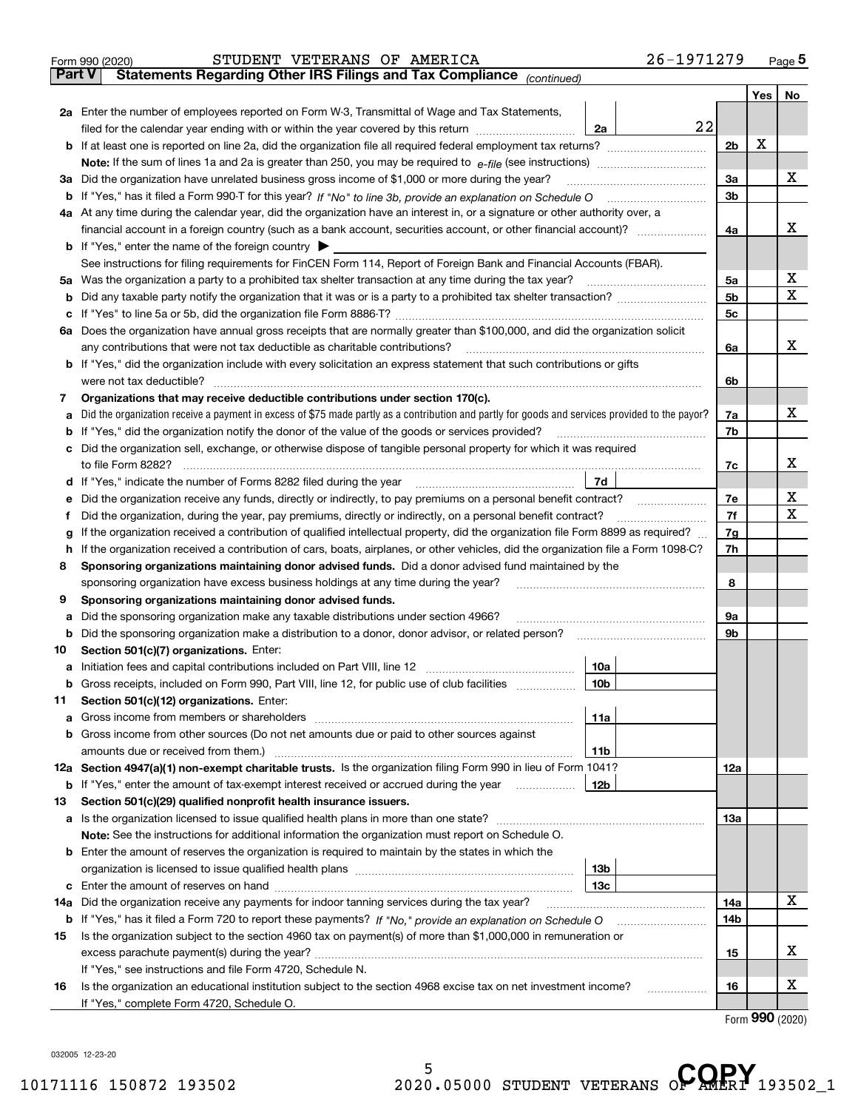| <b>Part V</b> | 26-1971279<br>STUDENT VETERANS OF AMERICA<br>Form 990 (2020)<br>Statements Regarding Other IRS Filings and Tax Compliance (continued)           |                |     | Page $5$ |
|---------------|-------------------------------------------------------------------------------------------------------------------------------------------------|----------------|-----|----------|
|               |                                                                                                                                                 |                | Yes | No       |
|               | 2a Enter the number of employees reported on Form W-3, Transmittal of Wage and Tax Statements,                                                  |                |     |          |
|               | 22<br>filed for the calendar year ending with or within the year covered by this return<br>2a                                                   |                |     |          |
|               | <b>b</b> If at least one is reported on line 2a, did the organization file all required federal employment tax returns?                         | 2b             | х   |          |
|               | Note: If the sum of lines 1a and 2a is greater than 250, you may be required to $e$ -file (see instructions) <i>marrourching</i>                |                |     |          |
|               | 3a Did the organization have unrelated business gross income of \$1,000 or more during the year?                                                | 3a             |     | х        |
|               |                                                                                                                                                 | 3b             |     |          |
|               | 4a At any time during the calendar year, did the organization have an interest in, or a signature or other authority over, a                    |                |     |          |
|               |                                                                                                                                                 | 4a             |     | х        |
|               | <b>b</b> If "Yes," enter the name of the foreign country $\triangleright$                                                                       |                |     |          |
|               | See instructions for filing requirements for FinCEN Form 114, Report of Foreign Bank and Financial Accounts (FBAR).                             |                |     |          |
|               | 5a Was the organization a party to a prohibited tax shelter transaction at any time during the tax year?                                        | 5a             |     | х        |
| b             |                                                                                                                                                 | 5 <sub>b</sub> |     | X        |
| c             |                                                                                                                                                 | 5 <sub>c</sub> |     |          |
|               | 6a Does the organization have annual gross receipts that are normally greater than \$100,000, and did the organization solicit                  |                |     |          |
|               | any contributions that were not tax deductible as charitable contributions?                                                                     | 6a             |     | x        |
|               | <b>b</b> If "Yes," did the organization include with every solicitation an express statement that such contributions or gifts                   |                |     |          |
|               | were not tax deductible?                                                                                                                        | 6b             |     |          |
| 7             | Organizations that may receive deductible contributions under section 170(c).                                                                   |                |     |          |
| a             | Did the organization receive a payment in excess of \$75 made partly as a contribution and partly for goods and services provided to the payor? | 7a             |     | x        |
| b             | If "Yes," did the organization notify the donor of the value of the goods or services provided?                                                 | 7b             |     |          |
| c             | Did the organization sell, exchange, or otherwise dispose of tangible personal property for which it was required                               |                |     |          |
|               | to file Form 8282?                                                                                                                              | 7c             |     | х        |
|               | 7d<br>d If "Yes," indicate the number of Forms 8282 filed during the year                                                                       |                |     |          |
| е             | Did the organization receive any funds, directly or indirectly, to pay premiums on a personal benefit contract?                                 | 7e             |     | х        |
| f             | Did the organization, during the year, pay premiums, directly or indirectly, on a personal benefit contract?                                    | 7f             |     | х        |
| g             | If the organization received a contribution of qualified intellectual property, did the organization file Form 8899 as required?                | 7g             |     |          |
| h             | If the organization received a contribution of cars, boats, airplanes, or other vehicles, did the organization file a Form 1098-C?              | 7h             |     |          |
| 8             | Sponsoring organizations maintaining donor advised funds. Did a donor advised fund maintained by the                                            |                |     |          |
|               | sponsoring organization have excess business holdings at any time during the year?                                                              | 8              |     |          |
| 9             | Sponsoring organizations maintaining donor advised funds.                                                                                       |                |     |          |
| а             | Did the sponsoring organization make any taxable distributions under section 4966?                                                              | 9а<br>9b       |     |          |
| b             | Did the sponsoring organization make a distribution to a donor, donor advisor, or related person?                                               |                |     |          |
| 10            | Section 501(c)(7) organizations. Enter:<br>10a<br>a Initiation fees and capital contributions included on Part VIII, line 12                    |                |     |          |
| b             | Gross receipts, included on Form 990, Part VIII, line 12, for public use of club facilities<br>10 <sub>b</sub>                                  |                |     |          |
| 11            | Section 501(c)(12) organizations. Enter:                                                                                                        |                |     |          |
| а             | 11a<br>Gross income from members or shareholders [11] continuum material contracts income from members or shareholders                          |                |     |          |
| b             | Gross income from other sources (Do not net amounts due or paid to other sources against                                                        |                |     |          |
|               | 11 <sub>b</sub>                                                                                                                                 |                |     |          |
|               | 12a Section 4947(a)(1) non-exempt charitable trusts. Is the organization filing Form 990 in lieu of Form 1041?                                  | 12a            |     |          |
| b             | If "Yes," enter the amount of tax-exempt interest received or accrued during the year<br>12b                                                    |                |     |          |
| 13            | Section 501(c)(29) qualified nonprofit health insurance issuers.                                                                                |                |     |          |
| а             |                                                                                                                                                 | 13a            |     |          |
|               | Note: See the instructions for additional information the organization must report on Schedule O.                                               |                |     |          |
| b             | Enter the amount of reserves the organization is required to maintain by the states in which the                                                |                |     |          |
|               | 13b                                                                                                                                             |                |     |          |
| c             | 13с                                                                                                                                             |                |     |          |
| 14a           | Did the organization receive any payments for indoor tanning services during the tax year?                                                      | 14a            |     | х        |
| b             |                                                                                                                                                 | 14b            |     |          |
| 15            | Is the organization subject to the section 4960 tax on payment(s) of more than \$1,000,000 in remuneration or                                   |                |     |          |
|               |                                                                                                                                                 | 15             |     | х        |
|               | If "Yes," see instructions and file Form 4720, Schedule N.                                                                                      |                |     |          |
| 16            | Is the organization an educational institution subject to the section 4968 excise tax on net investment income?<br>.                            | 16             |     | х        |
|               | If "Yes," complete Form 4720, Schedule O.                                                                                                       |                |     |          |

Form (2020) **990**

032005 12-23-20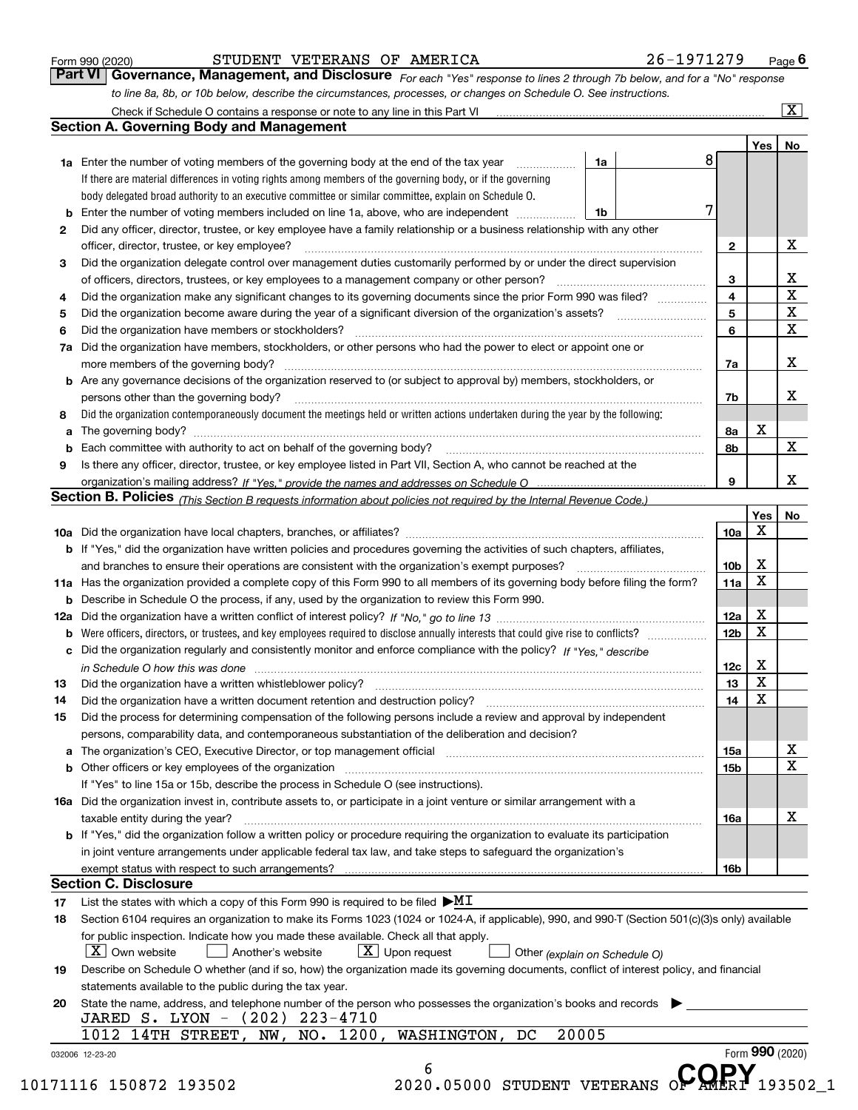|  | Form 990 (2020) |
|--|-----------------|
|  |                 |

STUDENT VETERANS OF AMERICA 26-1971279

*For each "Yes" response to lines 2 through 7b below, and for a "No" response to line 8a, 8b, or 10b below, describe the circumstances, processes, or changes on Schedule O. See instructions.* Form 990 (2020) **CONFICT STUDENT VETERANS OF AMERICA** 26-1971279 Page 6<br>**Part VI Governance, Management, and Disclosure** For each "Yes" response to lines 2 through 7b below, and for a "No" response

|    |                                                                                                                                                                                                                                |                 | <b>Yes</b>              | No                        |
|----|--------------------------------------------------------------------------------------------------------------------------------------------------------------------------------------------------------------------------------|-----------------|-------------------------|---------------------------|
|    | 1a<br>1a Enter the number of voting members of the governing body at the end of the tax year                                                                                                                                   | 8               |                         |                           |
|    | If there are material differences in voting rights among members of the governing body, or if the governing                                                                                                                    |                 |                         |                           |
|    | body delegated broad authority to an executive committee or similar committee, explain on Schedule O.                                                                                                                          |                 |                         |                           |
| b  | Enter the number of voting members included on line 1a, above, who are independent<br>1b                                                                                                                                       | 7               |                         |                           |
| 2  | Did any officer, director, trustee, or key employee have a family relationship or a business relationship with any other                                                                                                       |                 |                         |                           |
|    | officer, director, trustee, or key employee?                                                                                                                                                                                   | $\mathbf{2}$    |                         | X                         |
| 3  | Did the organization delegate control over management duties customarily performed by or under the direct supervision                                                                                                          |                 |                         |                           |
|    |                                                                                                                                                                                                                                | 3               |                         |                           |
| 4  | Did the organization make any significant changes to its governing documents since the prior Form 990 was filed?                                                                                                               | 4               |                         | $rac{\text{X}}{\text{X}}$ |
| 5  |                                                                                                                                                                                                                                | 5               |                         | $\overline{\mathbf{x}}$   |
| 6  | Did the organization have members or stockholders?                                                                                                                                                                             | 6               |                         | $\overline{\mathbf{x}}$   |
| 7a | Did the organization have members, stockholders, or other persons who had the power to elect or appoint one or                                                                                                                 |                 |                         |                           |
|    |                                                                                                                                                                                                                                | 7a              |                         | X                         |
|    | <b>b</b> Are any governance decisions of the organization reserved to (or subject to approval by) members, stockholders, or                                                                                                    |                 |                         |                           |
|    | persons other than the governing body?                                                                                                                                                                                         | 7b              |                         | х                         |
| 8  | Did the organization contemporaneously document the meetings held or written actions undertaken during the year by the following:                                                                                              |                 |                         |                           |
|    |                                                                                                                                                                                                                                | 8a              | Х                       |                           |
|    |                                                                                                                                                                                                                                | 8b              |                         | X                         |
| 9  | Is there any officer, director, trustee, or key employee listed in Part VII, Section A, who cannot be reached at the                                                                                                           |                 |                         |                           |
|    |                                                                                                                                                                                                                                | 9               |                         | X                         |
|    | Section B. Policies (This Section B requests information about policies not required by the Internal Revenue Code.)                                                                                                            |                 |                         |                           |
|    |                                                                                                                                                                                                                                |                 | Yes                     | No                        |
|    |                                                                                                                                                                                                                                | 10a             | $\mathbf X$             |                           |
|    | b If "Yes," did the organization have written policies and procedures governing the activities of such chapters, affiliates,                                                                                                   |                 |                         |                           |
|    |                                                                                                                                                                                                                                | 10 <sub>b</sub> | X                       |                           |
|    | 11a Has the organization provided a complete copy of this Form 990 to all members of its governing body before filing the form?                                                                                                | 11a             | $\mathbf x$             |                           |
|    | <b>b</b> Describe in Schedule O the process, if any, used by the organization to review this Form 990.                                                                                                                         |                 |                         |                           |
|    |                                                                                                                                                                                                                                | 12a             | X                       |                           |
|    |                                                                                                                                                                                                                                | 12 <sub>b</sub> | $\overline{\mathbf{x}}$ |                           |
|    | c Did the organization regularly and consistently monitor and enforce compliance with the policy? If "Yes," describe                                                                                                           |                 |                         |                           |
|    | in Schedule O how this was done www.communication.com/www.communications.com/www.communications.com/                                                                                                                           | 12c             | X                       |                           |
| 13 |                                                                                                                                                                                                                                | 13              | $\mathbf x$             |                           |
| 14 |                                                                                                                                                                                                                                | 14              | $\mathbf x$             |                           |
| 15 | Did the process for determining compensation of the following persons include a review and approval by independent                                                                                                             |                 |                         |                           |
|    | persons, comparability data, and contemporaneous substantiation of the deliberation and decision?                                                                                                                              |                 |                         |                           |
|    |                                                                                                                                                                                                                                | 15a             |                         | x                         |
|    | b Other officers or key employees of the organization manufactured content to the organization manufactured by Other officers or key employees of the organization manufactured content of the organization manufactured by Ot | 15b             |                         | $\overline{\text{x}}$     |
|    | If "Yes" to line 15a or 15b, describe the process in Schedule O (see instructions).                                                                                                                                            |                 |                         |                           |
|    | 16a Did the organization invest in, contribute assets to, or participate in a joint venture or similar arrangement with a                                                                                                      |                 |                         |                           |
|    |                                                                                                                                                                                                                                | 16a             |                         | х                         |
|    | taxable entity during the year?<br>b If "Yes," did the organization follow a written policy or procedure requiring the organization to evaluate its participation                                                              |                 |                         |                           |
|    |                                                                                                                                                                                                                                |                 |                         |                           |
|    | in joint venture arrangements under applicable federal tax law, and take steps to safeguard the organization's                                                                                                                 |                 |                         |                           |
|    | <b>Section C. Disclosure</b>                                                                                                                                                                                                   | 16b             |                         |                           |
|    |                                                                                                                                                                                                                                |                 |                         |                           |
| 17 | List the states with which a copy of this Form 990 is required to be filed $\blacktriangleright M I$                                                                                                                           |                 |                         |                           |
| 18 | Section 6104 requires an organization to make its Forms 1023 (1024 or 1024-A, if applicable), 990, and 990-T (Section 501(c)(3)s only) available                                                                               |                 |                         |                           |
|    | for public inspection. Indicate how you made these available. Check all that apply.                                                                                                                                            |                 |                         |                           |
|    | $\boxed{\textbf{X}}$ Upon request<br>$\lfloor x \rfloor$ Own website<br>Another's website<br>Other (explain on Schedule O)                                                                                                     |                 |                         |                           |
| 19 | Describe on Schedule O whether (and if so, how) the organization made its governing documents, conflict of interest policy, and financial                                                                                      |                 |                         |                           |
|    | statements available to the public during the tax year.                                                                                                                                                                        |                 |                         |                           |
| 20 | State the name, address, and telephone number of the person who possesses the organization's books and records                                                                                                                 |                 |                         |                           |
|    | JARED S. LYON - (202) 223-4710                                                                                                                                                                                                 |                 |                         |                           |
|    | 20005<br>NO. 1200, WASHINGTON, DC<br>1012<br>14TH STREET, NW,                                                                                                                                                                  |                 |                         |                           |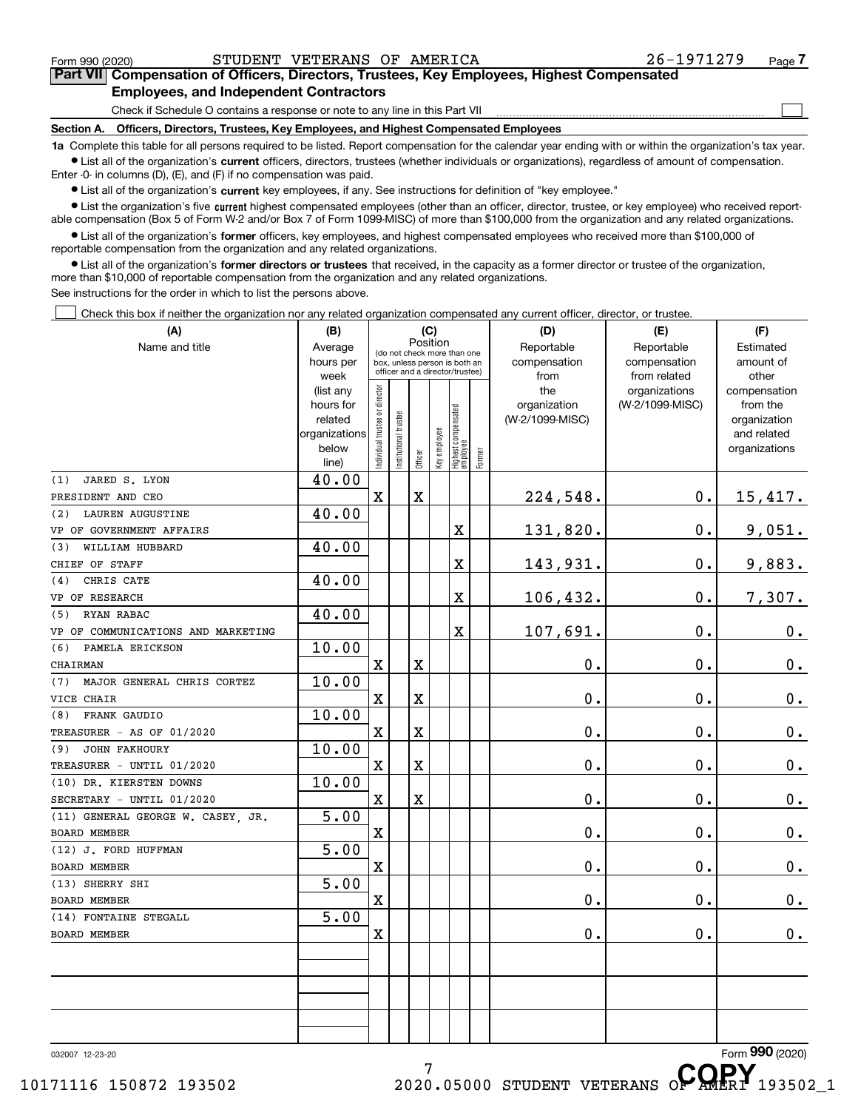$\mathcal{L}^{\text{max}}$ 

# **7Part VII Compensation of Officers, Directors, Trustees, Key Employees, Highest Compensated Employees, and Independent Contractors**

Check if Schedule O contains a response or note to any line in this Part VII

**Section A. Officers, Directors, Trustees, Key Employees, and Highest Compensated Employees**

**1a**  Complete this table for all persons required to be listed. Report compensation for the calendar year ending with or within the organization's tax year. **•** List all of the organization's current officers, directors, trustees (whether individuals or organizations), regardless of amount of compensation.

Enter -0- in columns (D), (E), and (F) if no compensation was paid.

 $\bullet$  List all of the organization's  $\,$ current key employees, if any. See instructions for definition of "key employee."

• List the organization's five current highest compensated employees (other than an officer, director, trustee, or key employee) who received report-■ List the organization's five current highest compensated employees (other than an officer, director, trustee, or key employee) who received report-<br>able compensation (Box 5 of Form W-2 and/or Box 7 of Form 1099-MISC) of

**•** List all of the organization's former officers, key employees, and highest compensated employees who received more than \$100,000 of reportable compensation from the organization and any related organizations.

**former directors or trustees**  ¥ List all of the organization's that received, in the capacity as a former director or trustee of the organization, more than \$10,000 of reportable compensation from the organization and any related organizations.

See instructions for the order in which to list the persons above.

Check this box if neither the organization nor any related organization compensated any current officer, director, or trustee.  $\mathcal{L}^{\text{max}}$ 

| (A)                                       | (B)           |                                |                                                              |             | (C)          |                                  |        | (D)             | (E)             | (F)             |
|-------------------------------------------|---------------|--------------------------------|--------------------------------------------------------------|-------------|--------------|----------------------------------|--------|-----------------|-----------------|-----------------|
| Name and title                            | Average       |                                |                                                              |             | Position     |                                  |        | Reportable      | Reportable      | Estimated       |
|                                           | hours per     |                                | (do not check more than one<br>box, unless person is both an |             |              |                                  |        | compensation    | compensation    | amount of       |
|                                           | week          |                                | officer and a director/trustee)                              |             |              |                                  |        | from            | from related    | other           |
|                                           | (list any     |                                |                                                              |             |              |                                  |        | the             | organizations   | compensation    |
|                                           | hours for     |                                |                                                              |             |              |                                  |        | organization    | (W-2/1099-MISC) | from the        |
|                                           | related       |                                |                                                              |             |              |                                  |        | (W-2/1099-MISC) |                 | organization    |
|                                           | organizations |                                |                                                              |             |              |                                  |        |                 |                 | and related     |
|                                           | below         | Individual trustee or director | Institutional trustee                                        | Officer     | Key employee | Highest compensated<br> employee | Former |                 |                 | organizations   |
|                                           | line)         |                                |                                                              |             |              |                                  |        |                 |                 |                 |
| JARED S. LYON<br>(1)<br>PRESIDENT AND CEO | 40.00         | X                              |                                                              | $\mathbf X$ |              |                                  |        |                 | 0.              |                 |
| <b>LAUREN AUGUSTINE</b><br>(2)            | 40.00         |                                |                                                              |             |              |                                  |        | 224,548.        |                 | <u>15,417.</u>  |
| VP OF GOVERNMENT AFFAIRS                  |               |                                |                                                              |             |              | X                                |        | 131,820.        | $\mathbf 0$ .   | <u>9,051.</u>   |
| WILLIAM HUBBARD<br>(3)                    | 40.00         |                                |                                                              |             |              |                                  |        |                 |                 |                 |
| CHIEF OF STAFF                            |               |                                |                                                              |             |              | X                                |        | 143,931.        | $\mathbf 0$ .   | 9,883.          |
| CHRIS CATE<br>(4)                         | 40.00         |                                |                                                              |             |              |                                  |        |                 |                 |                 |
| VP OF RESEARCH                            |               |                                |                                                              |             |              | X                                |        | 106,432.        | $\mathbf 0$ .   | 7,307.          |
| RYAN RABAC<br>(5)                         | 40.00         |                                |                                                              |             |              |                                  |        |                 |                 |                 |
| VP OF COMMUNICATIONS AND MARKETING        |               |                                |                                                              |             |              | X                                |        | 107,691.        | $\mathbf 0$ .   | $0_{.}$         |
| PAMELA ERICKSON<br>(6)                    | 10.00         |                                |                                                              |             |              |                                  |        |                 |                 |                 |
| CHAIRMAN                                  |               | X                              |                                                              | $\mathbf X$ |              |                                  |        | 0.              | 0.              | $0_{.}$         |
| MAJOR GENERAL CHRIS CORTEZ<br>(7)         | 10.00         |                                |                                                              |             |              |                                  |        |                 |                 |                 |
| VICE CHAIR                                |               | X                              |                                                              | $\mathbf X$ |              |                                  |        | 0.              | 0.              | $0_{.}$         |
| FRANK GAUDIO<br>(8)                       | 10.00         |                                |                                                              |             |              |                                  |        |                 |                 |                 |
| TREASURER - AS OF 01/2020                 |               | X                              |                                                              | $\mathbf X$ |              |                                  |        | 0.              | 0.              | $0_{.}$         |
| <b>JOHN FAKHOURY</b><br>(9)               | 10.00         |                                |                                                              |             |              |                                  |        |                 |                 |                 |
| TREASURER - UNTIL 01/2020                 |               | X                              |                                                              | $\mathbf X$ |              |                                  |        | 0.              | 0.              | $0_{.}$         |
| (10) DR. KIERSTEN DOWNS                   | 10.00         |                                |                                                              |             |              |                                  |        |                 |                 |                 |
| SECRETARY - UNTIL 01/2020                 |               | $\mathbf X$                    |                                                              | $\mathbf X$ |              |                                  |        | 0.              | 0.              | $0_{.}$         |
| (11) GENERAL GEORGE W. CASEY, JR.         | 5.00          |                                |                                                              |             |              |                                  |        |                 |                 |                 |
| BOARD MEMBER                              |               | X                              |                                                              |             |              |                                  |        | 0.              | 0.              | $0_{.}$         |
| (12) J. FORD HUFFMAN                      | 5.00          |                                |                                                              |             |              |                                  |        |                 |                 |                 |
| <b>BOARD MEMBER</b>                       |               | X                              |                                                              |             |              |                                  |        | 0.              | 0.              | 0.              |
| (13) SHERRY SHI                           | 5.00          |                                |                                                              |             |              |                                  |        |                 |                 |                 |
| BOARD MEMBER<br>(14) FONTAINE STEGALL     | 5.00          | X                              |                                                              |             |              |                                  |        | 0.              | 0.              | 0.              |
| <b>BOARD MEMBER</b>                       |               | Χ                              |                                                              |             |              |                                  |        | 0.              | $\mathbf 0$ .   | $0_{.}$         |
|                                           |               |                                |                                                              |             |              |                                  |        |                 |                 |                 |
|                                           |               |                                |                                                              |             |              |                                  |        |                 |                 |                 |
|                                           |               |                                |                                                              |             |              |                                  |        |                 |                 |                 |
|                                           |               |                                |                                                              |             |              |                                  |        |                 |                 |                 |
|                                           |               |                                |                                                              |             |              |                                  |        |                 |                 |                 |
|                                           |               |                                |                                                              |             |              |                                  |        |                 |                 |                 |
| 032007 12-23-20                           |               |                                |                                                              |             |              |                                  |        |                 |                 | Form 990 (2020) |
|                                           |               |                                |                                                              |             |              |                                  |        |                 | CODV            |                 |

10171116 150872 193502 2020.05000 STUDENT VETERANS OP AMERI 193502\_1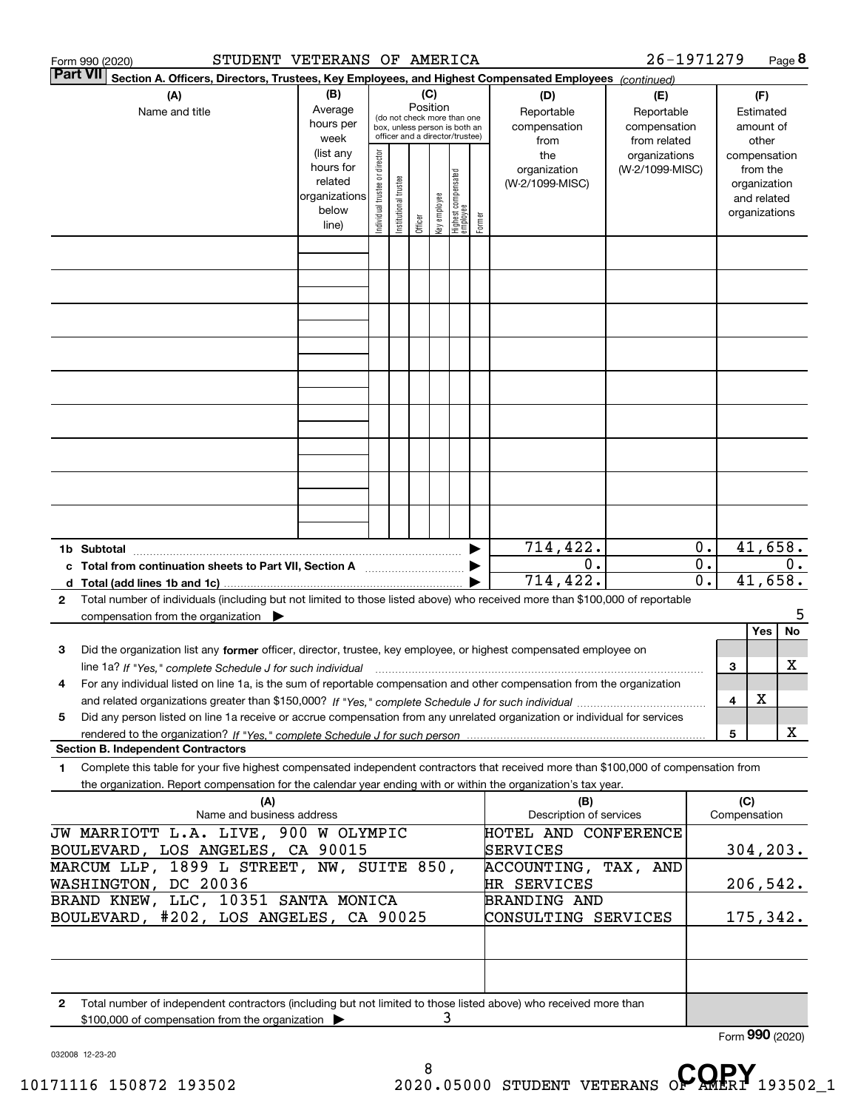| STUDENT VETERANS OF AMERICA<br>Form 990 (2020)                                                                                                                                                                                              |                                                                          |                                |                                                                                                 |          |              |                                 |        |                                                                                     | 26-1971279                                                                            |                                                 |                                                                                    | Page 8          |
|---------------------------------------------------------------------------------------------------------------------------------------------------------------------------------------------------------------------------------------------|--------------------------------------------------------------------------|--------------------------------|-------------------------------------------------------------------------------------------------|----------|--------------|---------------------------------|--------|-------------------------------------------------------------------------------------|---------------------------------------------------------------------------------------|-------------------------------------------------|------------------------------------------------------------------------------------|-----------------|
| <b>Part VII</b><br>Section A. Officers, Directors, Trustees, Key Employees, and Highest Compensated Employees (continued)                                                                                                                   |                                                                          |                                |                                                                                                 |          |              |                                 |        |                                                                                     |                                                                                       |                                                 |                                                                                    |                 |
| (A)<br>Name and title                                                                                                                                                                                                                       | (B)<br>Average<br>hours per<br>week<br>(list any<br>hours for<br>related | Individual trustee or director | (do not check more than one<br>box, unless person is both an<br>officer and a director/trustee) | Position | (C)          |                                 |        | (D)<br>Reportable<br>compensation<br>from<br>the<br>organization<br>(W-2/1099-MISC) | (E)<br>Reportable<br>compensation<br>from related<br>organizations<br>(W-2/1099-MISC) |                                                 | (F)<br>Estimated<br>amount of<br>other<br>compensation<br>from the<br>organization |                 |
|                                                                                                                                                                                                                                             | organizations<br>below<br>line)                                          |                                | Institutional trustee                                                                           | Officer  | key employee | Highest compensated<br>employee | Former |                                                                                     |                                                                                       |                                                 | and related<br>organizations                                                       |                 |
|                                                                                                                                                                                                                                             |                                                                          |                                |                                                                                                 |          |              |                                 |        |                                                                                     |                                                                                       |                                                 |                                                                                    |                 |
|                                                                                                                                                                                                                                             |                                                                          |                                |                                                                                                 |          |              |                                 |        |                                                                                     |                                                                                       |                                                 |                                                                                    |                 |
|                                                                                                                                                                                                                                             |                                                                          |                                |                                                                                                 |          |              |                                 |        |                                                                                     |                                                                                       |                                                 |                                                                                    |                 |
| 1b Subtotal                                                                                                                                                                                                                                 |                                                                          |                                |                                                                                                 |          |              |                                 |        | 714,422.                                                                            |                                                                                       | $0$ .                                           |                                                                                    | 41,658.         |
| c Total from continuation sheets to Part VII, Section A manufactor continuum<br>Total number of individuals (including but not limited to those listed above) who received more than \$100,000 of reportable<br>2                           |                                                                          |                                |                                                                                                 |          |              |                                 |        | 0.<br>$\overline{714}$ , 422.                                                       |                                                                                       | $\overline{0}$ .<br>$\overline{\mathfrak{0}}$ . |                                                                                    | 0.<br>41,658.   |
| compensation from the organization                                                                                                                                                                                                          |                                                                          |                                |                                                                                                 |          |              |                                 |        |                                                                                     |                                                                                       |                                                 | Yes                                                                                | 5<br>No         |
| Did the organization list any former officer, director, trustee, key employee, or highest compensated employee on<br>з<br>line 1a? If "Yes," complete Schedule J for such individual manufactured contained and the Yes," complete Schedule |                                                                          |                                |                                                                                                 |          |              |                                 |        |                                                                                     |                                                                                       | 3                                               |                                                                                    | х               |
| For any individual listed on line 1a, is the sum of reportable compensation and other compensation from the organization<br>4                                                                                                               |                                                                          |                                |                                                                                                 |          |              |                                 |        |                                                                                     |                                                                                       | 4                                               | X                                                                                  |                 |
| Did any person listed on line 1a receive or accrue compensation from any unrelated organization or individual for services<br>5                                                                                                             |                                                                          |                                |                                                                                                 |          |              |                                 |        |                                                                                     |                                                                                       | 5                                               |                                                                                    | X               |
| <b>Section B. Independent Contractors</b><br>Complete this table for your five highest compensated independent contractors that received more than \$100,000 of compensation from<br>1                                                      |                                                                          |                                |                                                                                                 |          |              |                                 |        |                                                                                     |                                                                                       |                                                 |                                                                                    |                 |
| the organization. Report compensation for the calendar year ending with or within the organization's tax year.                                                                                                                              |                                                                          |                                |                                                                                                 |          |              |                                 |        |                                                                                     |                                                                                       |                                                 |                                                                                    |                 |
| (A)<br>Name and business address                                                                                                                                                                                                            |                                                                          |                                |                                                                                                 |          |              |                                 |        | (B)<br>Description of services                                                      |                                                                                       |                                                 | (C)<br>Compensation                                                                |                 |
| JW MARRIOTT L.A. LIVE, 900 W OLYMPIC<br>BOULEVARD, LOS ANGELES, CA 90015                                                                                                                                                                    |                                                                          |                                |                                                                                                 |          |              |                                 |        | HOTEL AND CONFERENCE<br>SERVICES                                                    |                                                                                       |                                                 |                                                                                    | 304, 203.       |
| MARCUM LLP, 1899 L STREET, NW, SUITE 850,<br>WASHINGTON, DC 20036                                                                                                                                                                           |                                                                          |                                |                                                                                                 |          |              |                                 |        | ACCOUNTING, TAX, AND<br>HR SERVICES                                                 |                                                                                       |                                                 |                                                                                    | 206,542.        |
| BRAND KNEW, LLC, 10351 SANTA MONICA<br>BOULEVARD, #202, LOS ANGELES, CA 90025                                                                                                                                                               |                                                                          |                                |                                                                                                 |          |              |                                 |        | <b>BRANDING AND</b><br>CONSULTING SERVICES                                          |                                                                                       |                                                 |                                                                                    | 175,342.        |
|                                                                                                                                                                                                                                             |                                                                          |                                |                                                                                                 |          |              |                                 |        |                                                                                     |                                                                                       |                                                 |                                                                                    |                 |
| Total number of independent contractors (including but not limited to those listed above) who received more than<br>2<br>\$100,000 of compensation from the organization                                                                    |                                                                          |                                |                                                                                                 |          | 3            |                                 |        |                                                                                     |                                                                                       |                                                 |                                                                                    |                 |
|                                                                                                                                                                                                                                             |                                                                          |                                |                                                                                                 |          |              |                                 |        |                                                                                     |                                                                                       |                                                 |                                                                                    | Form 990 (2020) |

032008 12-23-20

8 10171116 150872 193502 <sup>8</sup> 2020.05000 STUDENT VETERANS O**F AMERI** 193502\_1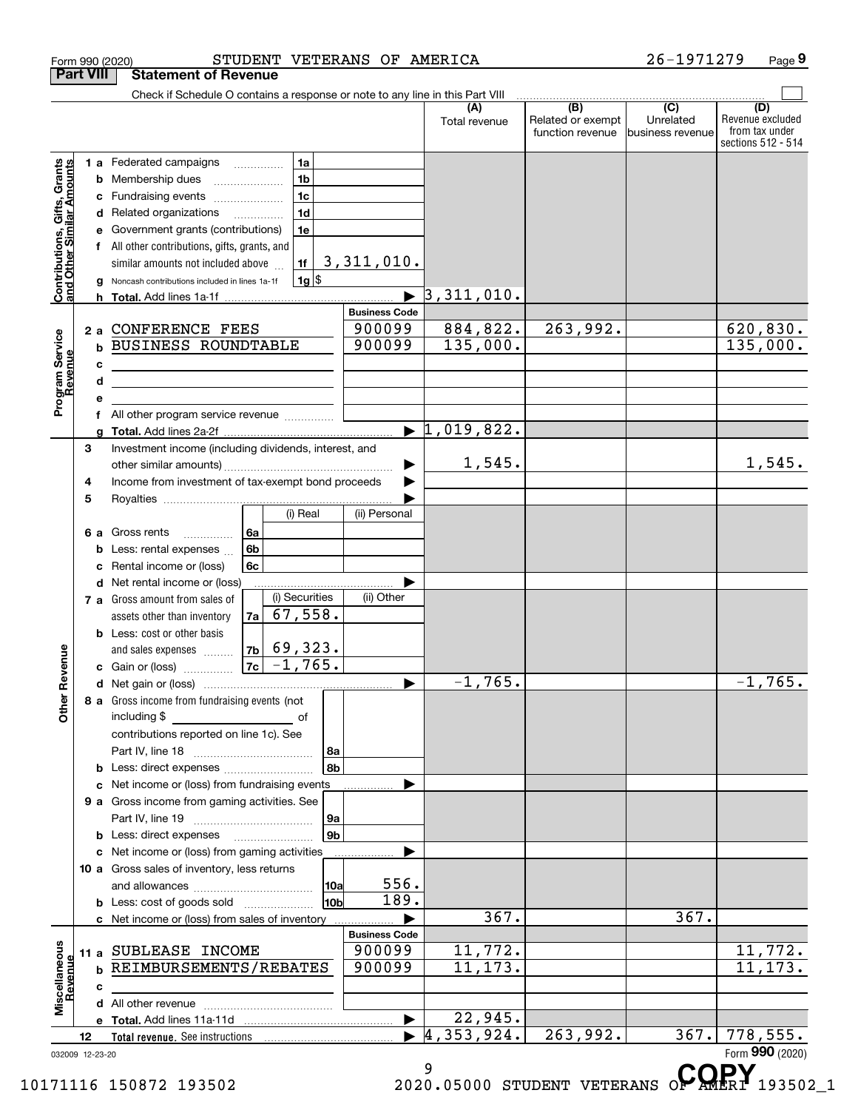|                                                           |                  |   | Form 990 (2020)                                                               |    |                             |                        | STUDENT VETERANS OF AMERICA |                                  |                                                                                         | 26-1971279                    | Page 9                                                          |
|-----------------------------------------------------------|------------------|---|-------------------------------------------------------------------------------|----|-----------------------------|------------------------|-----------------------------|----------------------------------|-----------------------------------------------------------------------------------------|-------------------------------|-----------------------------------------------------------------|
|                                                           | <b>Part VIII</b> |   | <b>Statement of Revenue</b>                                                   |    |                             |                        |                             |                                  |                                                                                         |                               |                                                                 |
|                                                           |                  |   | Check if Schedule O contains a response or note to any line in this Part VIII |    |                             |                        |                             |                                  | $\begin{array}{ c c c c }\hline \text{(B)} & \text{(C)} & \text{(C)}\hline \end{array}$ |                               |                                                                 |
|                                                           |                  |   |                                                                               |    |                             |                        |                             | (A)<br>Total revenue             | Related or exempt<br>function revenue                                                   | Unrelated<br>business revenue | (D)<br>Revenue excluded<br>from tax under<br>sections 512 - 514 |
|                                                           |                  |   | 1 a Federated campaigns                                                       |    | 1a                          |                        |                             |                                  |                                                                                         |                               |                                                                 |
| Contributions, Gifts, Grants<br>and Other Similar Amounts |                  | b | Membership dues                                                               |    | 1 <sub>b</sub>              |                        |                             |                                  |                                                                                         |                               |                                                                 |
|                                                           |                  | c | Fundraising events                                                            |    | 1 <sub>c</sub>              |                        |                             |                                  |                                                                                         |                               |                                                                 |
|                                                           |                  |   | d Related organizations                                                       |    | 1 <sub>d</sub>              |                        |                             |                                  |                                                                                         |                               |                                                                 |
|                                                           |                  | е | Government grants (contributions)                                             |    | 1e                          |                        |                             |                                  |                                                                                         |                               |                                                                 |
|                                                           |                  |   | All other contributions, gifts, grants, and                                   |    |                             |                        |                             |                                  |                                                                                         |                               |                                                                 |
|                                                           |                  |   | similar amounts not included above                                            |    | 1f                          |                        | 3,311,010.                  |                                  |                                                                                         |                               |                                                                 |
|                                                           |                  |   | Noncash contributions included in lines 1a-1f                                 |    | $1g$ \$                     |                        |                             | $\overline{3}$ , 311, 010.       |                                                                                         |                               |                                                                 |
|                                                           |                  |   |                                                                               |    |                             |                        | <b>Business Code</b>        |                                  |                                                                                         |                               |                                                                 |
|                                                           |                  |   | 2 a CONFERENCE FEES                                                           |    |                             |                        | 900099                      | 884,822.                         | 263,992.                                                                                |                               | 620,830.                                                        |
| Program Service<br>Revenue                                |                  | b | <b>BUSINESS ROUNDTABLE</b>                                                    |    |                             |                        | 900099                      | 135,000.                         |                                                                                         |                               | 135,000.                                                        |
|                                                           |                  | c | the contract of the contract of the contract of the contract of the           |    |                             |                        |                             |                                  |                                                                                         |                               |                                                                 |
|                                                           |                  | d | the control of the control of the control of the control of the control of    |    |                             |                        |                             |                                  |                                                                                         |                               |                                                                 |
|                                                           |                  | е |                                                                               |    |                             |                        |                             |                                  |                                                                                         |                               |                                                                 |
|                                                           |                  | f | All other program service revenue                                             |    |                             |                        |                             |                                  |                                                                                         |                               |                                                                 |
|                                                           |                  | a |                                                                               |    |                             |                        | $\blacktriangleright$       | 1,019,822.                       |                                                                                         |                               |                                                                 |
|                                                           | 3                |   | Investment income (including dividends, interest, and                         |    |                             |                        |                             |                                  |                                                                                         |                               |                                                                 |
|                                                           |                  |   |                                                                               |    |                             |                        |                             | 1,545.                           |                                                                                         |                               | 1,545.                                                          |
|                                                           | 4<br>5           |   | Income from investment of tax-exempt bond proceeds                            |    |                             |                        |                             |                                  |                                                                                         |                               |                                                                 |
|                                                           |                  |   |                                                                               |    | (i) Real                    |                        | (ii) Personal               |                                  |                                                                                         |                               |                                                                 |
|                                                           | 6а               |   | Gross rents                                                                   | 6a |                             |                        |                             |                                  |                                                                                         |                               |                                                                 |
|                                                           |                  | b | Less: rental expenses                                                         | 6b |                             |                        |                             |                                  |                                                                                         |                               |                                                                 |
|                                                           |                  | c | Rental income or (loss)                                                       | 6c |                             |                        |                             |                                  |                                                                                         |                               |                                                                 |
|                                                           |                  |   | d Net rental income or (loss)                                                 |    |                             |                        |                             |                                  |                                                                                         |                               |                                                                 |
|                                                           |                  |   | 7 a Gross amount from sales of                                                |    | (i) Securities              |                        | (ii) Other                  |                                  |                                                                                         |                               |                                                                 |
|                                                           |                  |   | assets other than inventory                                                   | 7a | 67,558.                     |                        |                             |                                  |                                                                                         |                               |                                                                 |
|                                                           |                  |   | <b>b</b> Less: cost or other basis                                            |    |                             |                        |                             |                                  |                                                                                         |                               |                                                                 |
| evenue                                                    |                  |   | and sales expenses                                                            | 7c | $ 7b $ 69,323.<br>$-1,765.$ |                        |                             |                                  |                                                                                         |                               |                                                                 |
|                                                           |                  |   | c Gain or (loss)                                                              |    |                             |                        |                             | $-1, 765.$                       |                                                                                         |                               | $-1,765.$                                                       |
| Œ                                                         |                  |   | 8 a Gross income from fundraising events (not                                 |    |                             |                        |                             |                                  |                                                                                         |                               |                                                                 |
| Other                                                     |                  |   | including \$                                                                  |    |                             |                        |                             |                                  |                                                                                         |                               |                                                                 |
|                                                           |                  |   | contributions reported on line 1c). See                                       |    |                             |                        |                             |                                  |                                                                                         |                               |                                                                 |
|                                                           |                  |   |                                                                               |    |                             | 8a                     |                             |                                  |                                                                                         |                               |                                                                 |
|                                                           |                  |   | <b>b</b> Less: direct expenses <b>constants b</b>                             |    |                             | 8b                     |                             |                                  |                                                                                         |                               |                                                                 |
|                                                           |                  |   | c Net income or (loss) from fundraising events                                |    |                             |                        |                             |                                  |                                                                                         |                               |                                                                 |
|                                                           |                  |   | 9 a Gross income from gaming activities. See                                  |    |                             |                        |                             |                                  |                                                                                         |                               |                                                                 |
|                                                           |                  |   |                                                                               |    |                             | 9a                     |                             |                                  |                                                                                         |                               |                                                                 |
|                                                           |                  |   | <b>b</b> Less: direct expenses <b>manually</b>                                |    |                             | 9 <sub>b</sub>         |                             |                                  |                                                                                         |                               |                                                                 |
|                                                           |                  |   | c Net income or (loss) from gaming activities                                 |    |                             |                        |                             |                                  |                                                                                         |                               |                                                                 |
|                                                           |                  |   | 10 a Gross sales of inventory, less returns                                   |    |                             |                        | 556.                        |                                  |                                                                                         |                               |                                                                 |
|                                                           |                  |   |                                                                               |    |                             | 10a<br>10 <sub>b</sub> | 189.                        |                                  |                                                                                         |                               |                                                                 |
|                                                           |                  |   | c Net income or (loss) from sales of inventory                                |    |                             |                        |                             | 367.                             |                                                                                         | 367.                          |                                                                 |
|                                                           |                  |   |                                                                               |    |                             |                        | <b>Business Code</b>        |                                  |                                                                                         |                               |                                                                 |
|                                                           |                  |   | 11 a SUBLEASE INCOME                                                          |    |                             |                        | 900099                      | 11,772.                          |                                                                                         |                               | 11,772.                                                         |
|                                                           |                  |   | <b>b REIMBURSEMENTS/REBATES</b>                                               |    |                             |                        | 900099                      | 11, 173.                         |                                                                                         |                               | 11, 173.                                                        |
| Revenue                                                   |                  | c |                                                                               |    |                             |                        |                             |                                  |                                                                                         |                               |                                                                 |
| Miscellaneous                                             |                  |   |                                                                               |    |                             |                        |                             |                                  |                                                                                         |                               |                                                                 |
|                                                           |                  |   |                                                                               |    |                             |                        | $\blacktriangleright$       | $\overline{22}$ , 945.           |                                                                                         |                               |                                                                 |
|                                                           | 12               |   |                                                                               |    |                             |                        |                             | $\blacktriangleright$ 4,353,924. | 263,992.                                                                                |                               | $367.$ 778, 555.                                                |
|                                                           | 032009 12-23-20  |   |                                                                               |    |                             |                        |                             | 9                                |                                                                                         |                               | Form 990 (2020)<br>CODV                                         |
|                                                           |                  |   |                                                                               |    |                             |                        |                             |                                  |                                                                                         |                               |                                                                 |

10171116 150872 193502 2020.05000 STUDENT VETERANS O**F AMERI** 193502\_1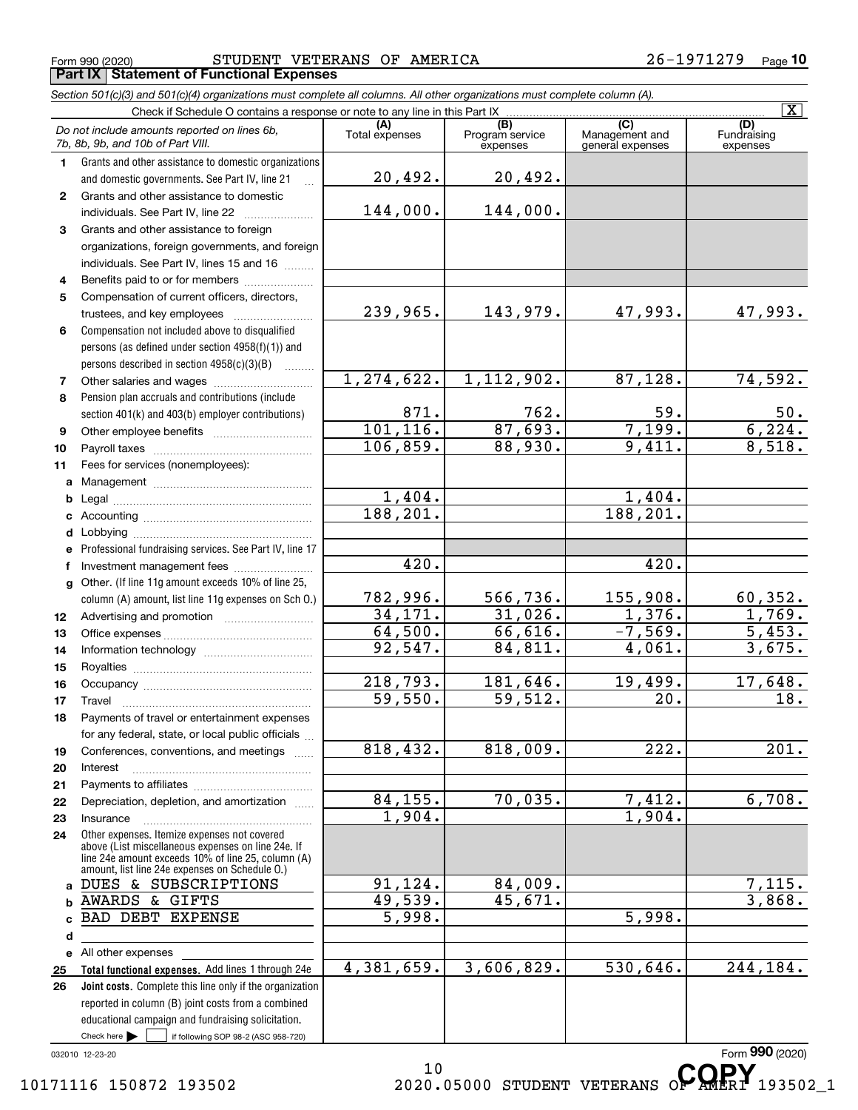Form 990 (2020) STUDENT VETERANS OF AMERICA 2 6-1971279 Page **Porm 990 (2020)**<br>**Part IX | Statement of Functional Expenses** 

|              | Section 501(c)(3) and 501(c)(4) organizations must complete all columns. All other organizations must complete column (A).                                                                                 |                       |                                    |                                           |                                |
|--------------|------------------------------------------------------------------------------------------------------------------------------------------------------------------------------------------------------------|-----------------------|------------------------------------|-------------------------------------------|--------------------------------|
|              | Check if Schedule O contains a response or note to any line in this Part IX                                                                                                                                |                       |                                    |                                           | $\overline{\mathbf{X}}$        |
|              | Do not include amounts reported on lines 6b,<br>7b, 8b, 9b, and 10b of Part VIII.                                                                                                                          | (A)<br>Total expenses | (B)<br>Program service<br>expenses | (C)<br>Management and<br>general expenses | (D)<br>Fundraising<br>expenses |
| 1            | Grants and other assistance to domestic organizations                                                                                                                                                      |                       |                                    |                                           |                                |
|              | and domestic governments. See Part IV, line 21                                                                                                                                                             | 20,492.               | 20,492.                            |                                           |                                |
| $\mathbf{2}$ | Grants and other assistance to domestic                                                                                                                                                                    |                       |                                    |                                           |                                |
|              | individuals. See Part IV, line 22                                                                                                                                                                          | 144,000.              | 144,000.                           |                                           |                                |
| 3            | Grants and other assistance to foreign                                                                                                                                                                     |                       |                                    |                                           |                                |
|              | organizations, foreign governments, and foreign                                                                                                                                                            |                       |                                    |                                           |                                |
|              | individuals. See Part IV, lines 15 and 16                                                                                                                                                                  |                       |                                    |                                           |                                |
| 4            | Benefits paid to or for members                                                                                                                                                                            |                       |                                    |                                           |                                |
| 5            | Compensation of current officers, directors,                                                                                                                                                               |                       |                                    |                                           |                                |
|              | trustees, and key employees                                                                                                                                                                                | 239,965.              | 143,979.                           | 47,993.                                   | 47,993.                        |
| 6            | Compensation not included above to disqualified                                                                                                                                                            |                       |                                    |                                           |                                |
|              | persons (as defined under section 4958(f)(1)) and                                                                                                                                                          |                       |                                    |                                           |                                |
|              | persons described in section 4958(c)(3)(B)<br>.                                                                                                                                                            |                       |                                    |                                           |                                |
| 7            |                                                                                                                                                                                                            | 1, 274, 622.          | 1,112,902.                         | 87,128.                                   | 74,592.                        |
| 8            | Pension plan accruals and contributions (include                                                                                                                                                           |                       |                                    |                                           |                                |
|              | section 401(k) and 403(b) employer contributions)                                                                                                                                                          | 871.<br>101, 116.     | 762.<br>87,693.                    | 59.<br>7,199.                             | $\frac{50}{6,224}$             |
| 9            |                                                                                                                                                                                                            | 106,859.              | 88,930.                            | 9,411.                                    | 8,518.                         |
| 10           |                                                                                                                                                                                                            |                       |                                    |                                           |                                |
| 11           | Fees for services (nonemployees):                                                                                                                                                                          |                       |                                    |                                           |                                |
| a            |                                                                                                                                                                                                            | 1,404.                |                                    | 1,404.                                    |                                |
| b            |                                                                                                                                                                                                            | 188, 201.             |                                    | 188, 201.                                 |                                |
| c            |                                                                                                                                                                                                            |                       |                                    |                                           |                                |
| d<br>е       | Professional fundraising services. See Part IV, line 17                                                                                                                                                    |                       |                                    |                                           |                                |
| f            | Investment management fees                                                                                                                                                                                 | 420.                  |                                    | 420.                                      |                                |
| g            | Other. (If line 11g amount exceeds 10% of line 25,                                                                                                                                                         |                       |                                    |                                           |                                |
|              | column (A) amount, list line 11g expenses on Sch O.)                                                                                                                                                       | 782,996.              | 566,736.                           | 155,908.                                  | 60, 352.                       |
| 12           |                                                                                                                                                                                                            | 34,171.               | 31,026.                            | 1,376.                                    | 1,769.                         |
| 13           |                                                                                                                                                                                                            | 64,500.               | 66,616.                            | $-7,569.$                                 | 5,453.                         |
| 14           |                                                                                                                                                                                                            | 92,547.               | 84,811.                            | 4,061.                                    | 3,675.                         |
| 15           |                                                                                                                                                                                                            |                       |                                    |                                           |                                |
| 16           |                                                                                                                                                                                                            | 218,793.              | 181,646.                           | 19,499.                                   | 17,648.                        |
| 17           |                                                                                                                                                                                                            | 59,550.               | 59,512.                            | $\overline{20}$ .                         | 18.                            |
|              | Payments of travel or entertainment expenses                                                                                                                                                               |                       |                                    |                                           |                                |
|              | for any federal, state, or local public officials                                                                                                                                                          |                       |                                    |                                           |                                |
| 19           | Conferences, conventions, and meetings                                                                                                                                                                     | 818,432.              | 818,009.                           | 222.                                      | $\overline{201}$ .             |
| 20           | Interest                                                                                                                                                                                                   |                       |                                    |                                           |                                |
| 21           |                                                                                                                                                                                                            |                       |                                    |                                           |                                |
| 22           | Depreciation, depletion, and amortization                                                                                                                                                                  | 84, 155.              | 70,035.                            | 7,412.                                    | 6,708.                         |
| 23           | Insurance                                                                                                                                                                                                  | 1,904.                |                                    | 1,904.                                    |                                |
| 24           | Other expenses. Itemize expenses not covered<br>above (List miscellaneous expenses on line 24e. If<br>line 24e amount exceeds 10% of line 25, column (A)<br>amount, list line 24e expenses on Schedule O.) |                       |                                    |                                           |                                |
|              | a DUES & SUBSCRIPTIONS                                                                                                                                                                                     | 91,124.               | 84,009.                            |                                           | 7,115.                         |
| b            | <b>AWARDS &amp; GIFTS</b>                                                                                                                                                                                  | 49,539.               | 45,671.                            |                                           | 3,868.                         |
| c            | <b>BAD DEBT EXPENSE</b>                                                                                                                                                                                    | $\overline{5,998}$ .  |                                    | 5,998.                                    |                                |
| d            |                                                                                                                                                                                                            |                       |                                    |                                           |                                |
|              | e All other expenses                                                                                                                                                                                       |                       |                                    |                                           |                                |
| 25           | Total functional expenses. Add lines 1 through 24e                                                                                                                                                         | 4,381,659.            | 3,606,829.                         | 530,646.                                  | 244, 184.                      |
| 26           | Joint costs. Complete this line only if the organization                                                                                                                                                   |                       |                                    |                                           |                                |
|              | reported in column (B) joint costs from a combined                                                                                                                                                         |                       |                                    |                                           |                                |
|              | educational campaign and fundraising solicitation.                                                                                                                                                         |                       |                                    |                                           |                                |
|              | Check here $\blacktriangleright$<br>if following SOP 98-2 (ASC 958-720)                                                                                                                                    |                       |                                    |                                           |                                |

032010 12-23-20

10 10171116 150872 193502 2020.05000 STUDENT VETERANS OP AMERI 193502\_1

Form **990** (2020)<br>████*█*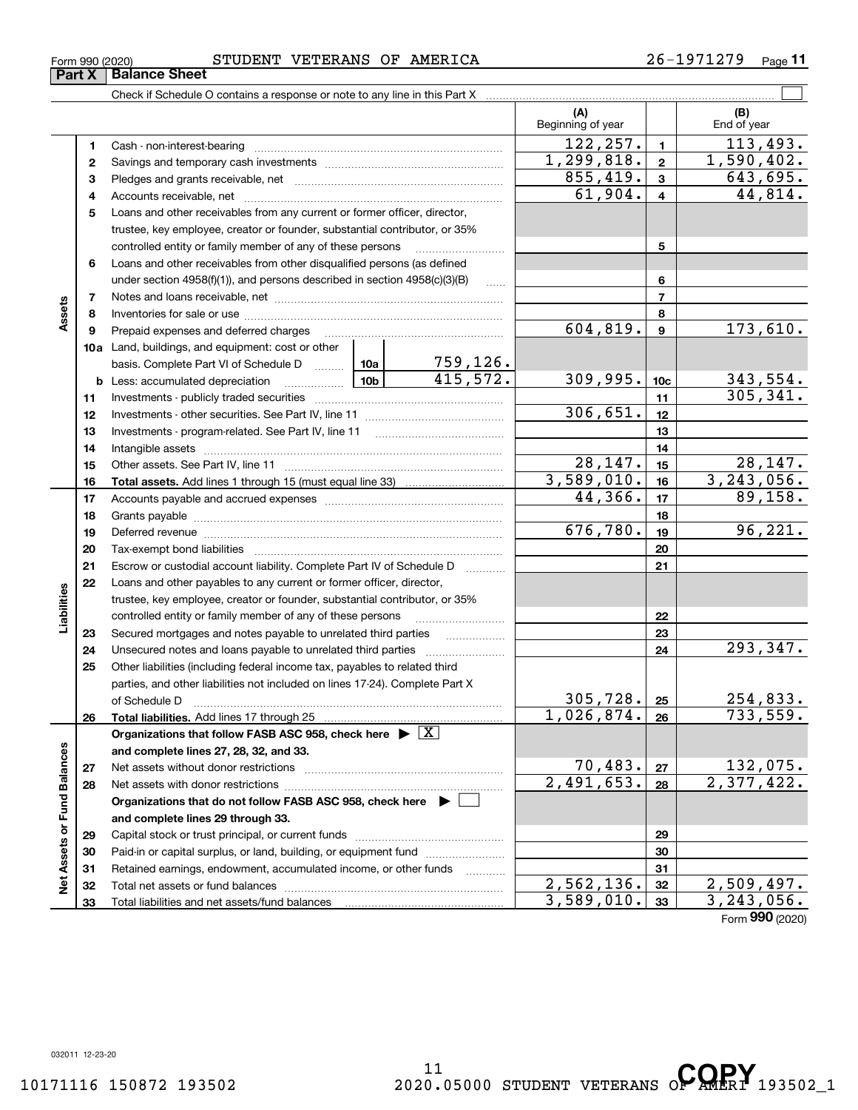**33**

**Liabilities**

Total liabilities and net assets/fund balances

# Form 990 (2020) STUDENT VETERANS OF AMERICA 2 6-1971279 Page

Check if Schedule O contains a response or note to any line in this Part X

**Part X** Balance Sheet

**(A) (B)** Beginning of year | | End of year  $122, 257. | 1 | 113, 493.$ **11**Cash - non-interest-bearing ~~~~~~~~~~~~~~~~~~~~~~~~~  $1,299,818. | 2 | 1,590,402.$ **22**Savings and temporary cash investments ~~~~~~~~~~~~~~~~~~ $855, 419.$   $3 \mid 643, 695.$ **33** Pledges and grants receivable, net  $\ldots$  **multimes contained and grants receivable**, net **multimes contained and grants receivable**, net **multimes contained and grants receivable** Accounts receivable, net ~~~~~~~~~~~~~~~~~~~~~~~~~~  $61,904. | 4 | 44,814.$ **445**Loans and other receivables from any current or former officer, director, trustee, key employee, creator or founder, substantial contributor, or 35% controlled entity or family member of any of these persons ............................ **5**Loans and other receivables from other disqualified persons (as defined **6**under section  $4958(f)(1)$ , and persons described in section  $4958(c)(3)(B)$ **677**Notes and loans receivable, net ~~~~~~~~~~~~~~~~~~~~~~~**Assets 88**Inventories for sale or use ~~~~~~~~~~~~~~~~~~~~~~~~~~604,819. 173,610. **99**Prepaid expenses and deferred charges ~~~~~~~~~~~~~~~~~~ **10a**Land, buildings, and equipment: cost or other 759,126. basis. Complete Part VI of Schedule D www.ptimes.  $415,572.$  309,995.  $10c$  343,554. **10cb** Less: accumulated depreciation  $\ldots$  **10b** 305,341. **1111**Investments - publicly traded securities ~~~~~~~~~~~~~~~~~~~ 306,651. **1212**Investments - other securities. See Part IV, line 11 ~~~~~~~~~~~~~~ **1313**Investments - program-related. See Part IV, line 11 [2010] [2010] [2010] [2010] [2010] [2010] [2010] [2010] [2 **1414**Intangible assets …………………………………………………………………………………… Other assets. See Part IV, line 11 ~~~~~~~~~~~~~~~~~~~~~~ 28,147. 28,147. **1515** $\frac{3,589,010. \mid 16}{44,366. \mid 17}$  89,158. **Total assets. 1616**Add lines 1 through 15 (must equal line 33) Accounts payable and accrued expenses ~~~~~~~~~~~~~~~~~~  $44,366$ . **17171818**Grants payable ~~~~~~~~~~~~~~~~~~~~~~~~~~~~~~~ 676,780. 96,221. **1919**Deferred revenue ~~~~~~~~~~~~~~~~~~~~~~~~~~~~~~ **2020**Tax-exempt bond liabilities …………………………………………………………… Escrow or custodial account liability. Complete Part IV of Schedule D **212122**Loans and other payables to any current or former officer, director, iabilities trustee, key employee, creator or founder, substantial contributor, or 35% controlled entity or family member of any of these persons ~~~~~~~~~**2223**Secured mortgages and notes payable to unrelated third parties **23**293,347. Unsecured notes and loans payable to unrelated third parties **242425**Other liabilities (including federal income tax, payables to related third parties, and other liabilities not included on lines 17-24). Complete Part X  $305, 728. |25|$  254,833. **25**of Schedule D ~~~~~~~~~~~~~~~~~~~~~~~~~~~~~~~  $1,026,874. |26 | 733,559.$ **2626Total liabilities. Organizations that follow FASB ASC 958, check here** Add lines 17 through 25 | X Assets or Fund Balances **Net Assets or Fund Balances and complete lines 27, 28, 32, and 33.**  $70,483. |z_7|$  132,075. **2727**Net assets without donor restrictions <sub>…………………………………………………</sub>……  $2,491,653. |28 | 2,377,422.$ **2828**Net assets with donor restrictions ~~~~~~~~~~~~~~~~~~~~~~**Organizations that do not follow FASB ASC 958, check here** | **and complete lines 29 through 33. 2929**Capital stock or trust principal, or current funds ~~~~~~~~~~~~~~~Paid-in or capital surplus, or land, building, or equipment fund **303031**Retained earnings, endowment, accumulated income, or other funds **31**ğ Total net assets or fund balances ~~~~~~~~~~~~~~~~~~~~~~  $\frac{2,562,136.$   $\boxed{32}}$   $\boxed{2,509,497.}$ <br>3,589,010.  $\boxed{33}$   $\boxed{3,243,056.}$ **3232**

 $\mathcal{L}^{\text{max}}$ 

Form (2020) **990**



 $3,589,010.$ 

**33**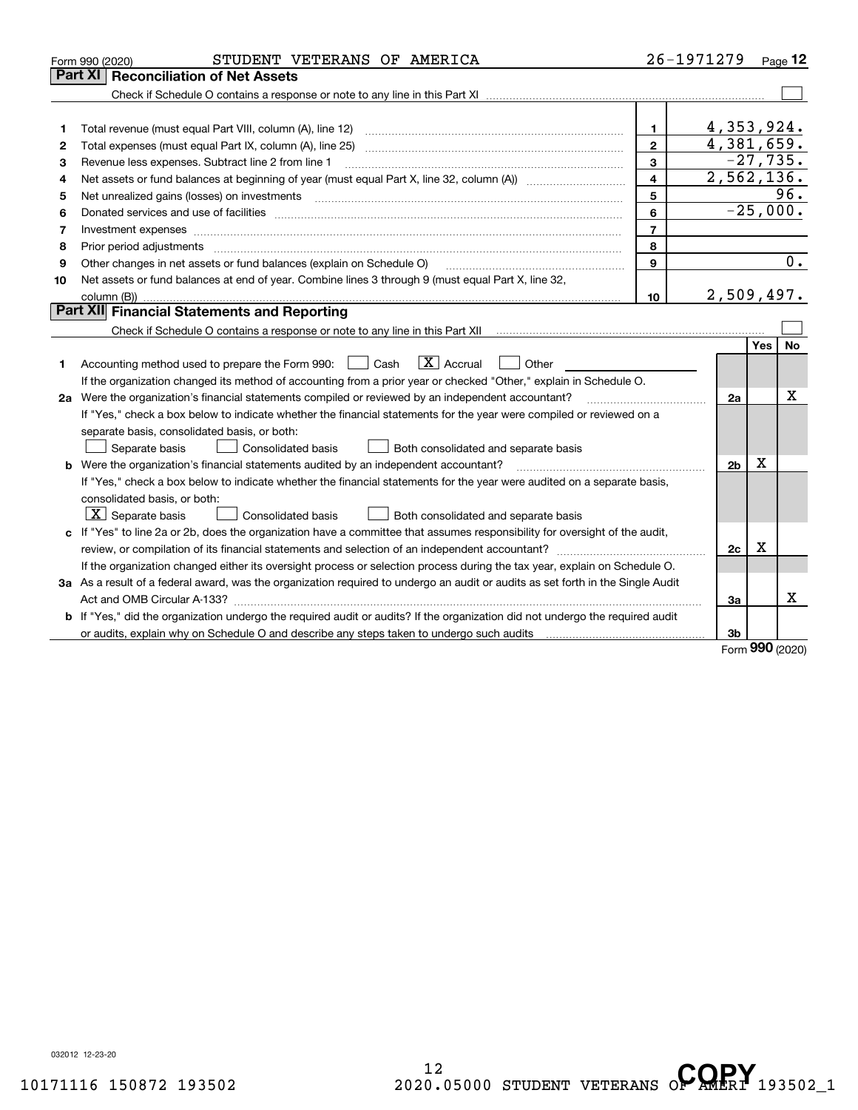|    | STUDENT VETERANS OF AMERICA<br>Form 990 (2020)                                                                                                                                                                                 |                | 26-1971279     |            | $Page$ 12  |
|----|--------------------------------------------------------------------------------------------------------------------------------------------------------------------------------------------------------------------------------|----------------|----------------|------------|------------|
|    | <b>Reconciliation of Net Assets</b><br>Part XI                                                                                                                                                                                 |                |                |            |            |
|    |                                                                                                                                                                                                                                |                |                |            |            |
|    |                                                                                                                                                                                                                                |                |                |            |            |
| 1  |                                                                                                                                                                                                                                | 1.             | 4,353,924.     |            |            |
| 2  |                                                                                                                                                                                                                                | $\mathbf{2}$   | 4,381,659.     |            |            |
| 3  | Revenue less expenses. Subtract line 2 from line 1                                                                                                                                                                             | 3              |                |            | $-27,735.$ |
| 4  |                                                                                                                                                                                                                                | $\overline{4}$ | 2,562,136.     |            |            |
| 5  |                                                                                                                                                                                                                                | 5              |                |            | 96.        |
| 6  | Donated services and use of facilities [111] processes and the service of facilities [11] processes and use of facilities [11] processes and the service of facilities [11] processes and the service of the service of the se | 6              | $-25,000.$     |            |            |
| 7  | Investment expenses www.communication.com/www.communication.com/www.communication.com/www.com                                                                                                                                  | $\overline{7}$ |                |            |            |
| 8  | Prior period adjustments www.communication.communication.com/news/communication.com/news/communication.com/new                                                                                                                 | 8              |                |            |            |
| 9  | Other changes in net assets or fund balances (explain on Schedule O)                                                                                                                                                           | 9              |                |            | 0.         |
| 10 | Net assets or fund balances at end of year. Combine lines 3 through 9 (must equal Part X, line 32,                                                                                                                             |                |                |            |            |
|    | column (B))                                                                                                                                                                                                                    | 10             | 2,509,497.     |            |            |
|    | Part XII Financial Statements and Reporting                                                                                                                                                                                    |                |                |            |            |
|    |                                                                                                                                                                                                                                |                |                |            |            |
|    |                                                                                                                                                                                                                                |                |                | <b>Yes</b> | <b>No</b>  |
| 1  | $\boxed{\textbf{X}}$ Accrual<br>Accounting method used to prepare the Form 990: <u>[</u> Cash<br>Other                                                                                                                         |                |                |            |            |
|    | If the organization changed its method of accounting from a prior year or checked "Other," explain in Schedule O.                                                                                                              |                |                |            |            |
|    | 2a Were the organization's financial statements compiled or reviewed by an independent accountant?                                                                                                                             |                | 2a             |            | x          |
|    | If "Yes," check a box below to indicate whether the financial statements for the year were compiled or reviewed on a                                                                                                           |                |                |            |            |
|    | separate basis, consolidated basis, or both:                                                                                                                                                                                   |                |                |            |            |
|    | Separate basis<br><b>Consolidated basis</b><br>Both consolidated and separate basis                                                                                                                                            |                |                |            |            |
|    | <b>b</b> Were the organization's financial statements audited by an independent accountant?                                                                                                                                    |                | 2 <sub>b</sub> | Х          |            |
|    | If "Yes," check a box below to indicate whether the financial statements for the year were audited on a separate basis,                                                                                                        |                |                |            |            |
|    | consolidated basis, or both:                                                                                                                                                                                                   |                |                |            |            |
|    | $\vert X \vert$ Separate basis<br><b>Consolidated basis</b><br>Both consolidated and separate basis                                                                                                                            |                |                |            |            |
|    | c If "Yes" to line 2a or 2b, does the organization have a committee that assumes responsibility for oversight of the audit,                                                                                                    |                |                |            |            |
|    |                                                                                                                                                                                                                                |                | 2c             | x          |            |
|    | If the organization changed either its oversight process or selection process during the tax year, explain on Schedule O.                                                                                                      |                |                |            |            |
|    | 3a As a result of a federal award, was the organization required to undergo an audit or audits as set forth in the Single Audit                                                                                                |                |                |            |            |
|    |                                                                                                                                                                                                                                |                | За             |            | x          |
|    | <b>b</b> If "Yes," did the organization undergo the required audit or audits? If the organization did not undergo the required audit                                                                                           |                |                |            |            |
|    |                                                                                                                                                                                                                                |                | 3b             |            |            |

Form (2020) **990**

032012 12-23-20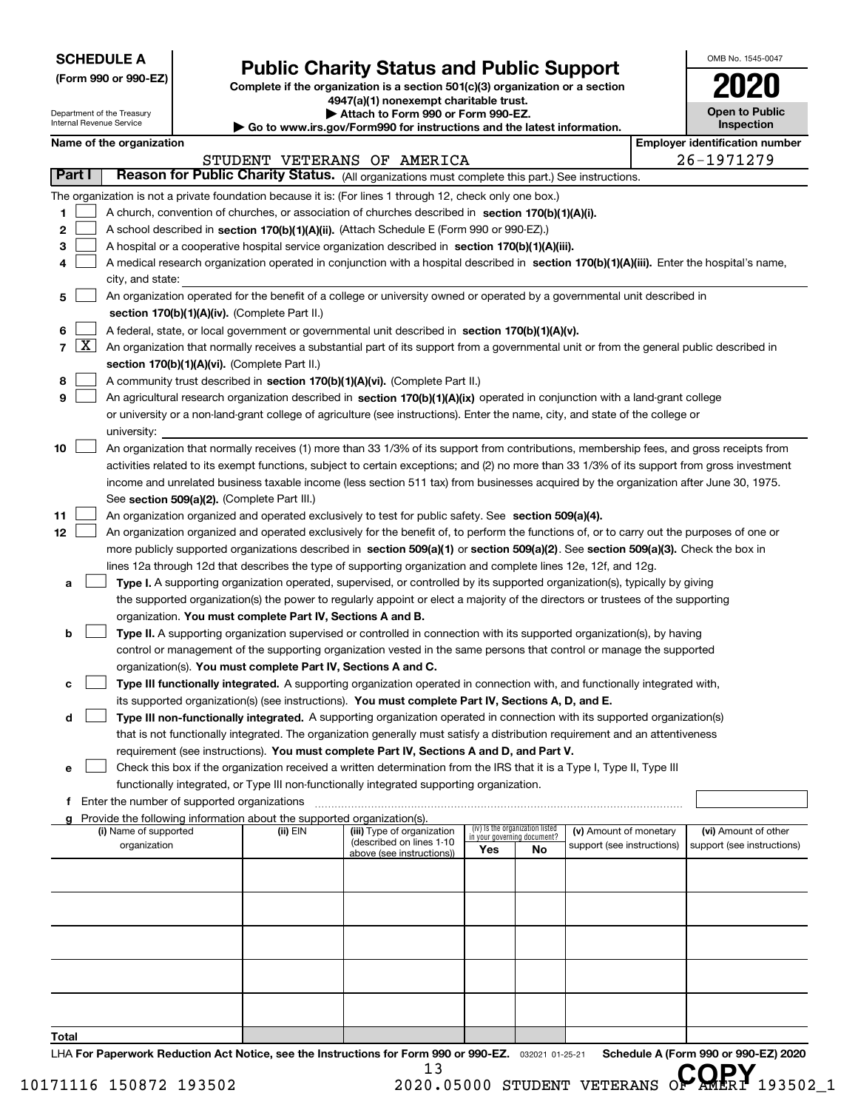| <b>SCHEDULE A</b> |  |
|-------------------|--|
|-------------------|--|

Department of the Treasury Internal Revenue Service

**(Form 990 or 990-EZ)**

# **Public Charity Status and Public Support**

**Complete if the organization is a section 501(c)(3) organization or a section 4947(a)(1) nonexempt charitable trust. | Attach to Form 990 or Form 990-EZ.** 

|  |  | Go to www.irs.gov/Form990 for instructions and the latest information. |
|--|--|------------------------------------------------------------------------|

| OMB No. 1545-0047                   |
|-------------------------------------|
| 020                                 |
| <b>Open to Public</b><br>Inspection |

| Name of the organization |  |
|--------------------------|--|
|--------------------------|--|

|                |                     | Name of the organization                                                                                                                                                                                                                                  |          |                                                       |                                                                |     |                            | <b>Employer identification number</b> |
|----------------|---------------------|-----------------------------------------------------------------------------------------------------------------------------------------------------------------------------------------------------------------------------------------------------------|----------|-------------------------------------------------------|----------------------------------------------------------------|-----|----------------------------|---------------------------------------|
|                |                     |                                                                                                                                                                                                                                                           |          | STUDENT VETERANS OF AMERICA                           |                                                                |     |                            | 26-1971279                            |
| Part I         |                     | Reason for Public Charity Status. (All organizations must complete this part.) See instructions.                                                                                                                                                          |          |                                                       |                                                                |     |                            |                                       |
|                |                     | The organization is not a private foundation because it is: (For lines 1 through 12, check only one box.)                                                                                                                                                 |          |                                                       |                                                                |     |                            |                                       |
| 1              |                     | A church, convention of churches, or association of churches described in section 170(b)(1)(A)(i).                                                                                                                                                        |          |                                                       |                                                                |     |                            |                                       |
| 2              |                     | A school described in section 170(b)(1)(A)(ii). (Attach Schedule E (Form 990 or 990-EZ).)                                                                                                                                                                 |          |                                                       |                                                                |     |                            |                                       |
| 3              |                     | A hospital or a cooperative hospital service organization described in section 170(b)(1)(A)(iii).                                                                                                                                                         |          |                                                       |                                                                |     |                            |                                       |
| 4              |                     | A medical research organization operated in conjunction with a hospital described in section 170(b)(1)(A)(iii). Enter the hospital's name,                                                                                                                |          |                                                       |                                                                |     |                            |                                       |
|                |                     | city, and state:                                                                                                                                                                                                                                          |          |                                                       |                                                                |     |                            |                                       |
| 5              |                     | An organization operated for the benefit of a college or university owned or operated by a governmental unit described in                                                                                                                                 |          |                                                       |                                                                |     |                            |                                       |
|                |                     | section 170(b)(1)(A)(iv). (Complete Part II.)                                                                                                                                                                                                             |          |                                                       |                                                                |     |                            |                                       |
| 6              |                     | A federal, state, or local government or governmental unit described in section 170(b)(1)(A)(v).                                                                                                                                                          |          |                                                       |                                                                |     |                            |                                       |
| $\overline{7}$ | $\lfloor x \rfloor$ | An organization that normally receives a substantial part of its support from a governmental unit or from the general public described in                                                                                                                 |          |                                                       |                                                                |     |                            |                                       |
|                |                     | section 170(b)(1)(A)(vi). (Complete Part II.)                                                                                                                                                                                                             |          |                                                       |                                                                |     |                            |                                       |
| 8              |                     | A community trust described in section 170(b)(1)(A)(vi). (Complete Part II.)                                                                                                                                                                              |          |                                                       |                                                                |     |                            |                                       |
| 9              |                     | An agricultural research organization described in section 170(b)(1)(A)(ix) operated in conjunction with a land-grant college                                                                                                                             |          |                                                       |                                                                |     |                            |                                       |
|                |                     | or university or a non-land-grant college of agriculture (see instructions). Enter the name, city, and state of the college or                                                                                                                            |          |                                                       |                                                                |     |                            |                                       |
|                |                     | university:                                                                                                                                                                                                                                               |          |                                                       |                                                                |     |                            |                                       |
| 10             |                     | An organization that normally receives (1) more than 33 1/3% of its support from contributions, membership fees, and gross receipts from                                                                                                                  |          |                                                       |                                                                |     |                            |                                       |
|                |                     | activities related to its exempt functions, subject to certain exceptions; and (2) no more than 33 1/3% of its support from gross investment                                                                                                              |          |                                                       |                                                                |     |                            |                                       |
|                |                     | income and unrelated business taxable income (less section 511 tax) from businesses acquired by the organization after June 30, 1975.                                                                                                                     |          |                                                       |                                                                |     |                            |                                       |
|                |                     | See section 509(a)(2). (Complete Part III.)                                                                                                                                                                                                               |          |                                                       |                                                                |     |                            |                                       |
| 11             |                     | An organization organized and operated exclusively to test for public safety. See section 509(a)(4).                                                                                                                                                      |          |                                                       |                                                                |     |                            |                                       |
| 12             |                     | An organization organized and operated exclusively for the benefit of, to perform the functions of, or to carry out the purposes of one or                                                                                                                |          |                                                       |                                                                |     |                            |                                       |
|                |                     | more publicly supported organizations described in section 509(a)(1) or section 509(a)(2). See section 509(a)(3). Check the box in                                                                                                                        |          |                                                       |                                                                |     |                            |                                       |
|                |                     | lines 12a through 12d that describes the type of supporting organization and complete lines 12e, 12f, and 12g.                                                                                                                                            |          |                                                       |                                                                |     |                            |                                       |
| а              |                     | Type I. A supporting organization operated, supervised, or controlled by its supported organization(s), typically by giving                                                                                                                               |          |                                                       |                                                                |     |                            |                                       |
|                |                     | the supported organization(s) the power to regularly appoint or elect a majority of the directors or trustees of the supporting                                                                                                                           |          |                                                       |                                                                |     |                            |                                       |
|                |                     | organization. You must complete Part IV, Sections A and B.                                                                                                                                                                                                |          |                                                       |                                                                |     |                            |                                       |
| b              |                     | Type II. A supporting organization supervised or controlled in connection with its supported organization(s), by having                                                                                                                                   |          |                                                       |                                                                |     |                            |                                       |
|                |                     | control or management of the supporting organization vested in the same persons that control or manage the supported                                                                                                                                      |          |                                                       |                                                                |     |                            |                                       |
|                |                     | organization(s). You must complete Part IV, Sections A and C.                                                                                                                                                                                             |          |                                                       |                                                                |     |                            |                                       |
| с              |                     | Type III functionally integrated. A supporting organization operated in connection with, and functionally integrated with,                                                                                                                                |          |                                                       |                                                                |     |                            |                                       |
|                |                     | its supported organization(s) (see instructions). You must complete Part IV, Sections A, D, and E.                                                                                                                                                        |          |                                                       |                                                                |     |                            |                                       |
| d              |                     | Type III non-functionally integrated. A supporting organization operated in connection with its supported organization(s)<br>that is not functionally integrated. The organization generally must satisfy a distribution requirement and an attentiveness |          |                                                       |                                                                |     |                            |                                       |
|                |                     | requirement (see instructions). You must complete Part IV, Sections A and D, and Part V.                                                                                                                                                                  |          |                                                       |                                                                |     |                            |                                       |
| е              |                     | Check this box if the organization received a written determination from the IRS that it is a Type I, Type II, Type III                                                                                                                                   |          |                                                       |                                                                |     |                            |                                       |
|                |                     | functionally integrated, or Type III non-functionally integrated supporting organization.                                                                                                                                                                 |          |                                                       |                                                                |     |                            |                                       |
|                |                     | f Enter the number of supported organizations                                                                                                                                                                                                             |          |                                                       |                                                                |     |                            |                                       |
|                |                     | g Provide the following information about the supported organization(s).                                                                                                                                                                                  |          |                                                       |                                                                |     |                            |                                       |
|                |                     | (i) Name of supported                                                                                                                                                                                                                                     | (ii) EIN | (iii) Type of organization                            | (iv) Is the organization listed<br>in your governing document? |     | (v) Amount of monetary     | (vi) Amount of other                  |
|                |                     | organization                                                                                                                                                                                                                                              |          | (described on lines 1-10<br>above (see instructions)) | Yes                                                            | No. | support (see instructions) | support (see instructions)            |
|                |                     |                                                                                                                                                                                                                                                           |          |                                                       |                                                                |     |                            |                                       |
|                |                     |                                                                                                                                                                                                                                                           |          |                                                       |                                                                |     |                            |                                       |
|                |                     |                                                                                                                                                                                                                                                           |          |                                                       |                                                                |     |                            |                                       |
|                |                     |                                                                                                                                                                                                                                                           |          |                                                       |                                                                |     |                            |                                       |
|                |                     |                                                                                                                                                                                                                                                           |          |                                                       |                                                                |     |                            |                                       |
|                |                     |                                                                                                                                                                                                                                                           |          |                                                       |                                                                |     |                            |                                       |
|                |                     |                                                                                                                                                                                                                                                           |          |                                                       |                                                                |     |                            |                                       |
|                |                     |                                                                                                                                                                                                                                                           |          |                                                       |                                                                |     |                            |                                       |
|                |                     |                                                                                                                                                                                                                                                           |          |                                                       |                                                                |     |                            |                                       |
|                |                     |                                                                                                                                                                                                                                                           |          |                                                       |                                                                |     |                            |                                       |
| Total          |                     |                                                                                                                                                                                                                                                           |          |                                                       |                                                                |     |                            |                                       |

LHA For Paperwork Reduction Act Notice, see the Instructions for Form 990 or 990-EZ. <sub>032021</sub> o1-25-21 Schedule A (Form 990 or 990-EZ) 2020 13

10171116 150872 193502 2020.05000 STUDENT VETERANS OP AMERI 193502\_1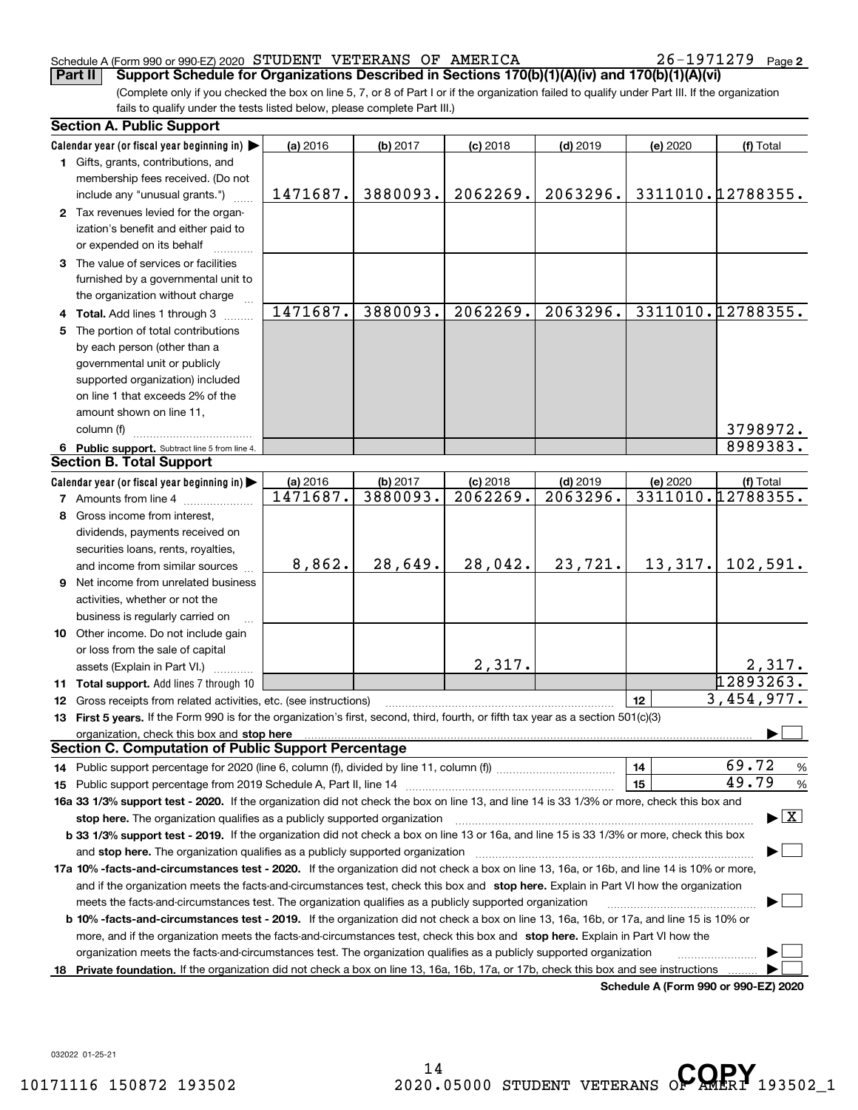## Schedule A (Form 990 or 990-EZ) 2020 Page STUDENT VETERANS OF AMERICA 26-1971279

26-1971279 Page 2

(Complete only if you checked the box on line 5, 7, or 8 of Part I or if the organization failed to qualify under Part III. If the organization fails to qualify under the tests listed below, please complete Part III.) **Part II Support Schedule for Organizations Described in Sections 170(b)(1)(A)(iv) and 170(b)(1)(A)(vi)** 

|    | <b>Section A. Public Support</b>                                                                                                                                                                                               |                      |                      |                        |                        |                                      |                                 |
|----|--------------------------------------------------------------------------------------------------------------------------------------------------------------------------------------------------------------------------------|----------------------|----------------------|------------------------|------------------------|--------------------------------------|---------------------------------|
|    | Calendar year (or fiscal year beginning in)                                                                                                                                                                                    | (a) 2016             | (b) 2017             | $(c)$ 2018             | $(d)$ 2019             | (e) 2020                             | (f) Total                       |
|    | 1 Gifts, grants, contributions, and                                                                                                                                                                                            |                      |                      |                        |                        |                                      |                                 |
|    | membership fees received. (Do not<br>include any "unusual grants.")                                                                                                                                                            | 1471687.             | 3880093.             | 2062269.               | 2063296.               |                                      | 3311010.12788355.               |
|    |                                                                                                                                                                                                                                |                      |                      |                        |                        |                                      |                                 |
|    | 2 Tax revenues levied for the organ-<br>ization's benefit and either paid to                                                                                                                                                   |                      |                      |                        |                        |                                      |                                 |
|    | or expended on its behalf                                                                                                                                                                                                      |                      |                      |                        |                        |                                      |                                 |
|    | 3 The value of services or facilities                                                                                                                                                                                          |                      |                      |                        |                        |                                      |                                 |
|    | furnished by a governmental unit to                                                                                                                                                                                            |                      |                      |                        |                        |                                      |                                 |
|    | the organization without charge                                                                                                                                                                                                |                      |                      |                        |                        |                                      |                                 |
|    | 4 Total. Add lines 1 through 3                                                                                                                                                                                                 | 1471687.             | 3880093.             | 2062269.               | 2063296.               |                                      | 3311010.12788355.               |
| 5. | The portion of total contributions                                                                                                                                                                                             |                      |                      |                        |                        |                                      |                                 |
|    | by each person (other than a                                                                                                                                                                                                   |                      |                      |                        |                        |                                      |                                 |
|    | governmental unit or publicly                                                                                                                                                                                                  |                      |                      |                        |                        |                                      |                                 |
|    | supported organization) included                                                                                                                                                                                               |                      |                      |                        |                        |                                      |                                 |
|    | on line 1 that exceeds 2% of the                                                                                                                                                                                               |                      |                      |                        |                        |                                      |                                 |
|    | amount shown on line 11,                                                                                                                                                                                                       |                      |                      |                        |                        |                                      |                                 |
|    | column (f)                                                                                                                                                                                                                     |                      |                      |                        |                        |                                      | 3798972.                        |
|    |                                                                                                                                                                                                                                |                      |                      |                        |                        |                                      | 8989383.                        |
|    | 6 Public support. Subtract line 5 from line 4.<br><b>Section B. Total Support</b>                                                                                                                                              |                      |                      |                        |                        |                                      |                                 |
|    |                                                                                                                                                                                                                                |                      |                      |                        |                        |                                      |                                 |
|    | Calendar year (or fiscal year beginning in)                                                                                                                                                                                    | (a) 2016<br>1471687. | (b) 2017<br>3880093. | $(c)$ 2018<br>2062269. | $(d)$ 2019<br>2063296. | (e) 2020                             | (f) Total<br>3311010.12788355.  |
|    | <b>7</b> Amounts from line 4                                                                                                                                                                                                   |                      |                      |                        |                        |                                      |                                 |
|    | 8 Gross income from interest,                                                                                                                                                                                                  |                      |                      |                        |                        |                                      |                                 |
|    | dividends, payments received on                                                                                                                                                                                                |                      |                      |                        |                        |                                      |                                 |
|    | securities loans, rents, royalties,                                                                                                                                                                                            |                      |                      |                        |                        |                                      |                                 |
|    | and income from similar sources                                                                                                                                                                                                | 8,862.               | 28,649.              | 28,042.                | 23,721.                | 13,317.                              | 102,591.                        |
|    | <b>9</b> Net income from unrelated business                                                                                                                                                                                    |                      |                      |                        |                        |                                      |                                 |
|    | activities, whether or not the                                                                                                                                                                                                 |                      |                      |                        |                        |                                      |                                 |
|    | business is regularly carried on                                                                                                                                                                                               |                      |                      |                        |                        |                                      |                                 |
|    | 10 Other income. Do not include gain                                                                                                                                                                                           |                      |                      |                        |                        |                                      |                                 |
|    | or loss from the sale of capital                                                                                                                                                                                               |                      |                      |                        |                        |                                      |                                 |
|    | assets (Explain in Part VI.)                                                                                                                                                                                                   |                      |                      | 2,317.                 |                        |                                      | 2,317.                          |
|    | 11 Total support. Add lines 7 through 10                                                                                                                                                                                       |                      |                      |                        |                        |                                      | 12893263.                       |
|    | 12 Gross receipts from related activities, etc. (see instructions)                                                                                                                                                             |                      |                      |                        |                        | 12                                   | 3,454,977.                      |
|    | 13 First 5 years. If the Form 990 is for the organization's first, second, third, fourth, or fifth tax year as a section 501(c)(3)                                                                                             |                      |                      |                        |                        |                                      |                                 |
|    | organization, check this box and stop here manufactured and according to the state of the state of the state of the state of the state of the state of the state of the state of the state of the state of the state of the st |                      |                      |                        |                        |                                      |                                 |
|    | Section C. Computation of Public Support Percentage                                                                                                                                                                            |                      |                      |                        |                        |                                      |                                 |
|    |                                                                                                                                                                                                                                |                      |                      |                        |                        | 14                                   | 69.72<br>$\frac{9}{6}$          |
|    |                                                                                                                                                                                                                                |                      |                      |                        |                        | 15                                   | 49.79<br>%                      |
|    | 16a 33 1/3% support test - 2020. If the organization did not check the box on line 13, and line 14 is 33 1/3% or more, check this box and                                                                                      |                      |                      |                        |                        |                                      |                                 |
|    | stop here. The organization qualifies as a publicly supported organization                                                                                                                                                     |                      |                      |                        |                        |                                      | $\blacktriangleright$ $\vert$ X |
|    | b 33 1/3% support test - 2019. If the organization did not check a box on line 13 or 16a, and line 15 is 33 1/3% or more, check this box                                                                                       |                      |                      |                        |                        |                                      |                                 |
|    | and stop here. The organization qualifies as a publicly supported organization                                                                                                                                                 |                      |                      |                        |                        |                                      |                                 |
|    | 17a 10% -facts-and-circumstances test - 2020. If the organization did not check a box on line 13, 16a, or 16b, and line 14 is 10% or more,                                                                                     |                      |                      |                        |                        |                                      |                                 |
|    | and if the organization meets the facts-and-circumstances test, check this box and stop here. Explain in Part VI how the organization                                                                                          |                      |                      |                        |                        |                                      |                                 |
|    | meets the facts-and-circumstances test. The organization qualifies as a publicly supported organization                                                                                                                        |                      |                      |                        |                        |                                      |                                 |
|    | <b>b 10% -facts-and-circumstances test - 2019.</b> If the organization did not check a box on line 13, 16a, 16b, or 17a, and line 15 is 10% or                                                                                 |                      |                      |                        |                        |                                      |                                 |
|    | more, and if the organization meets the facts-and-circumstances test, check this box and stop here. Explain in Part VI how the                                                                                                 |                      |                      |                        |                        |                                      |                                 |
|    | organization meets the facts-and-circumstances test. The organization qualifies as a publicly supported organization                                                                                                           |                      |                      |                        |                        |                                      |                                 |
|    | 18 Private foundation. If the organization did not check a box on line 13, 16a, 16b, 17a, or 17b, check this box and see instructions                                                                                          |                      |                      |                        |                        |                                      |                                 |
|    |                                                                                                                                                                                                                                |                      |                      |                        |                        | Schodule A (Form 000 or 000 EZ) 2020 |                                 |

**Schedule A (Form 990 or 990-EZ) 2020**

032022 01-25-21

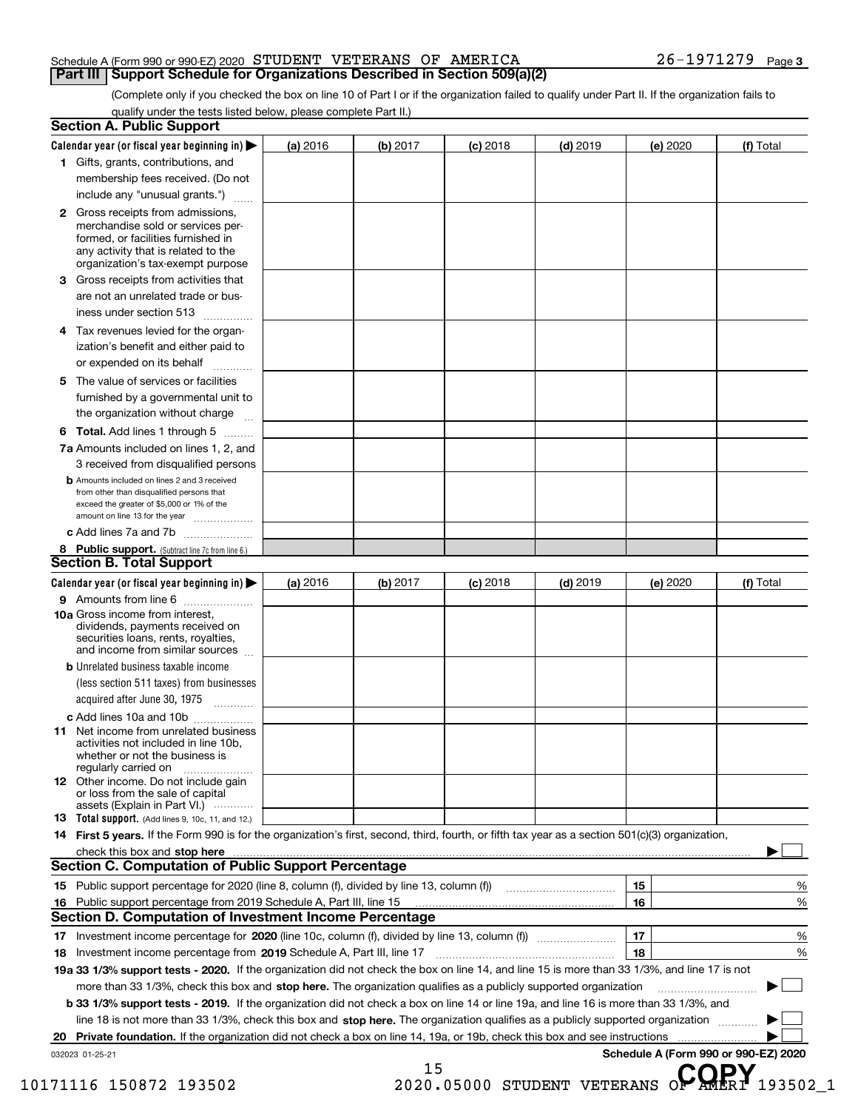## Schedule A (Form 990 or 990-EZ) 2020 Page STUDENT VETERANS OF AMERICA 26-1971279 **Part III** | Support Schedule for Organizations Described in Section 509(a)(2)

(Complete only if you checked the box on line 10 of Part I or if the organization failed to qualify under Part II. If the organization fails to qualify under the tests listed below, please complete Part II.)

| Calendar year (or fiscal year beginning in) $\blacktriangleright$                                                                                | (a) 2016 | (b) 2017   | $(c)$ 2018 | $(d)$ 2019 | (e) 2020 | (f) Total |
|--------------------------------------------------------------------------------------------------------------------------------------------------|----------|------------|------------|------------|----------|-----------|
| 1 Gifts, grants, contributions, and                                                                                                              |          |            |            |            |          |           |
| membership fees received. (Do not                                                                                                                |          |            |            |            |          |           |
| include any "unusual grants.")                                                                                                                   |          |            |            |            |          |           |
| 2 Gross receipts from admissions,<br>merchandise sold or services per-                                                                           |          |            |            |            |          |           |
| formed, or facilities furnished in<br>any activity that is related to the<br>organization's tax-exempt purpose                                   |          |            |            |            |          |           |
| Gross receipts from activities that<br>З.                                                                                                        |          |            |            |            |          |           |
| are not an unrelated trade or bus-                                                                                                               |          |            |            |            |          |           |
| iness under section 513                                                                                                                          |          |            |            |            |          |           |
| 4 Tax revenues levied for the organ-                                                                                                             |          |            |            |            |          |           |
| ization's benefit and either paid to<br>or expended on its behalf<br>.                                                                           |          |            |            |            |          |           |
| The value of services or facilities<br>5.                                                                                                        |          |            |            |            |          |           |
| furnished by a governmental unit to<br>the organization without charge                                                                           |          |            |            |            |          |           |
| <b>6 Total.</b> Add lines 1 through 5                                                                                                            |          |            |            |            |          |           |
| 7a Amounts included on lines 1, 2, and                                                                                                           |          |            |            |            |          |           |
| 3 received from disqualified persons                                                                                                             |          |            |            |            |          |           |
| <b>b</b> Amounts included on lines 2 and 3 received                                                                                              |          |            |            |            |          |           |
| from other than disqualified persons that<br>exceed the greater of \$5,000 or 1% of the                                                          |          |            |            |            |          |           |
| amount on line 13 for the year                                                                                                                   |          |            |            |            |          |           |
| c Add lines 7a and 7b                                                                                                                            |          |            |            |            |          |           |
| 8 Public support. (Subtract line 7c from line 6.)<br><b>Section B. Total Support</b>                                                             |          |            |            |            |          |           |
| Calendar year (or fiscal year beginning in)                                                                                                      | (a) 2016 |            | $(c)$ 2018 |            |          |           |
| 9 Amounts from line 6                                                                                                                            |          | (b) $2017$ |            | $(d)$ 2019 | (e) 2020 | (f) Total |
| 10a Gross income from interest,<br>dividends, payments received on<br>securities loans, rents, royalties,                                        |          |            |            |            |          |           |
| and income from similar sources                                                                                                                  |          |            |            |            |          |           |
| <b>b</b> Unrelated business taxable income<br>(less section 511 taxes) from businesses                                                           |          |            |            |            |          |           |
| acquired after June 30, 1975                                                                                                                     |          |            |            |            |          |           |
| c Add lines 10a and 10b                                                                                                                          |          |            |            |            |          |           |
| <b>11</b> Net income from unrelated business<br>activities not included in line 10b,<br>whether or not the business is                           |          |            |            |            |          |           |
| regularly carried on<br>12 Other income. Do not include gain<br>or loss from the sale of capital                                                 |          |            |            |            |          |           |
| assets (Explain in Part VI.)                                                                                                                     |          |            |            |            |          |           |
| 13 Total support. (Add lines 9, 10c, 11, and 12.)                                                                                                |          |            |            |            |          |           |
| 14 First 5 years. If the Form 990 is for the organization's first, second, third, fourth, or fifth tax year as a section 501(c)(3) organization, |          |            |            |            |          |           |
|                                                                                                                                                  |          |            |            |            |          |           |
| <b>Section C. Computation of Public Support Percentage</b>                                                                                       |          |            |            |            |          |           |
| 15 Public support percentage for 2020 (line 8, column (f), divided by line 13, column (f))                                                       |          |            |            |            | 15       | %         |
| 16 Public support percentage from 2019 Schedule A, Part III, line 15                                                                             |          |            |            |            | 16       | %         |
|                                                                                                                                                  |          |            |            |            |          |           |
| <b>Section D. Computation of Investment Income Percentage</b>                                                                                    |          |            |            |            | 17       | %         |
|                                                                                                                                                  |          |            |            |            | 18       | %         |
| Investment income percentage from 2019 Schedule A, Part III, line 17<br>18                                                                       |          |            |            |            |          |           |
| 19a 33 1/3% support tests - 2020. If the organization did not check the box on line 14, and line 15 is more than 33 1/3%, and line 17 is not     |          |            |            |            |          |           |
| more than 33 1/3%, check this box and stop here. The organization qualifies as a publicly supported organization                                 |          |            |            |            |          |           |
| <b>b 33 1/3% support tests - 2019.</b> If the organization did not check a box on line 14 or line 19a, and line 16 is more than 33 1/3%, and     |          |            |            |            |          |           |
| line 18 is not more than 33 1/3%, check this box and stop here. The organization qualifies as a publicly supported organization                  |          |            |            |            |          |           |
|                                                                                                                                                  |          |            |            |            |          |           |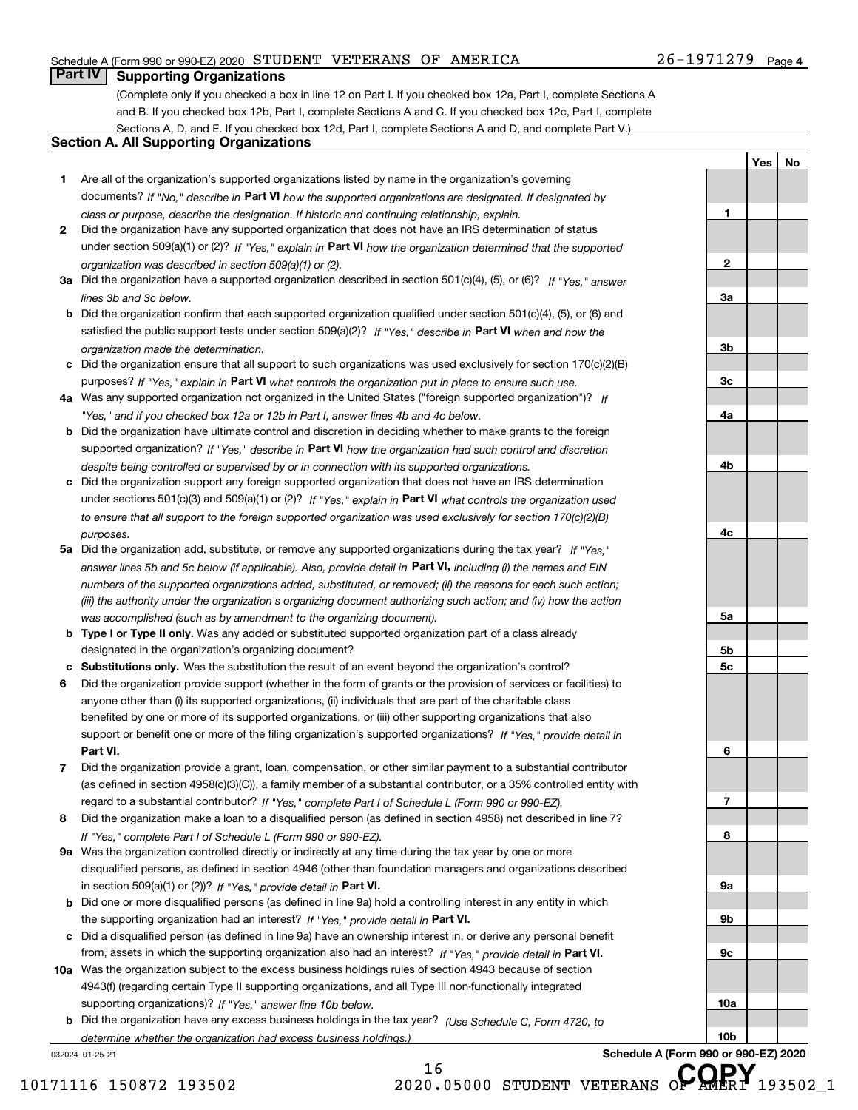# Schedule A (Form 990 or 990-EZ) 2020 Page STUDENT VETERANS OF AMERICA 26-1971279

# **Part IV Supporting Organizations**

(Complete only if you checked a box in line 12 on Part I. If you checked box 12a, Part I, complete Sections A and B. If you checked box 12b, Part I, complete Sections A and C. If you checked box 12c, Part I, complete Sections A, D, and E. If you checked box 12d, Part I, complete Sections A and D, and complete Part V.)

# **Section A. All Supporting Organizations**

- **1** Are all of the organization's supported organizations listed by name in the organization's governing documents? If "No," describe in **Part VI** how the supported organizations are designated. If designated by *class or purpose, describe the designation. If historic and continuing relationship, explain.*
- **2** Did the organization have any supported organization that does not have an IRS determination of status under section 509(a)(1) or (2)? If "Yes," explain in Part VI how the organization determined that the supported *organization was described in section 509(a)(1) or (2).*
- **3a** Did the organization have a supported organization described in section 501(c)(4), (5), or (6)? If "Yes," answer *lines 3b and 3c below.*
- **b** Did the organization confirm that each supported organization qualified under section 501(c)(4), (5), or (6) and satisfied the public support tests under section 509(a)(2)? If "Yes," describe in **Part VI** when and how the *organization made the determination.*
- **c**Did the organization ensure that all support to such organizations was used exclusively for section 170(c)(2)(B) purposes? If "Yes," explain in **Part VI** what controls the organization put in place to ensure such use.
- **4a***If* Was any supported organization not organized in the United States ("foreign supported organization")? *"Yes," and if you checked box 12a or 12b in Part I, answer lines 4b and 4c below.*
- **b** Did the organization have ultimate control and discretion in deciding whether to make grants to the foreign supported organization? If "Yes," describe in **Part VI** how the organization had such control and discretion *despite being controlled or supervised by or in connection with its supported organizations.*
- **c** Did the organization support any foreign supported organization that does not have an IRS determination under sections 501(c)(3) and 509(a)(1) or (2)? If "Yes," explain in **Part VI** what controls the organization used *to ensure that all support to the foreign supported organization was used exclusively for section 170(c)(2)(B) purposes.*
- **5a** Did the organization add, substitute, or remove any supported organizations during the tax year? If "Yes," answer lines 5b and 5c below (if applicable). Also, provide detail in **Part VI,** including (i) the names and EIN *numbers of the supported organizations added, substituted, or removed; (ii) the reasons for each such action; (iii) the authority under the organization's organizing document authorizing such action; and (iv) how the action was accomplished (such as by amendment to the organizing document).*
- **b** Type I or Type II only. Was any added or substituted supported organization part of a class already designated in the organization's organizing document?
- **cSubstitutions only.**  Was the substitution the result of an event beyond the organization's control?
- **6** Did the organization provide support (whether in the form of grants or the provision of services or facilities) to **Part VI.** *If "Yes," provide detail in* support or benefit one or more of the filing organization's supported organizations? anyone other than (i) its supported organizations, (ii) individuals that are part of the charitable class benefited by one or more of its supported organizations, or (iii) other supporting organizations that also
- **7**Did the organization provide a grant, loan, compensation, or other similar payment to a substantial contributor *If "Yes," complete Part I of Schedule L (Form 990 or 990-EZ).* regard to a substantial contributor? (as defined in section 4958(c)(3)(C)), a family member of a substantial contributor, or a 35% controlled entity with
- **8** Did the organization make a loan to a disqualified person (as defined in section 4958) not described in line 7? *If "Yes," complete Part I of Schedule L (Form 990 or 990-EZ).*
- **9a** Was the organization controlled directly or indirectly at any time during the tax year by one or more in section 509(a)(1) or (2))? If "Yes," *provide detail in* <code>Part VI.</code> disqualified persons, as defined in section 4946 (other than foundation managers and organizations described
- **b** Did one or more disqualified persons (as defined in line 9a) hold a controlling interest in any entity in which the supporting organization had an interest? If "Yes," provide detail in P**art VI**.
- **c**Did a disqualified person (as defined in line 9a) have an ownership interest in, or derive any personal benefit from, assets in which the supporting organization also had an interest? If "Yes," provide detail in P**art VI.**
- **10a** Was the organization subject to the excess business holdings rules of section 4943 because of section supporting organizations)? If "Yes," answer line 10b below. 4943(f) (regarding certain Type II supporting organizations, and all Type III non-functionally integrated
- **b** Did the organization have any excess business holdings in the tax year? (Use Schedule C, Form 4720, to *determine whether the organization had excess business holdings.)*

032024 01-25-21

**1**

**Yes No**

**10b**

16

10171116 150872 193502 2020.05000 STUDENT VETERANS O**F AMERI** 193502\_1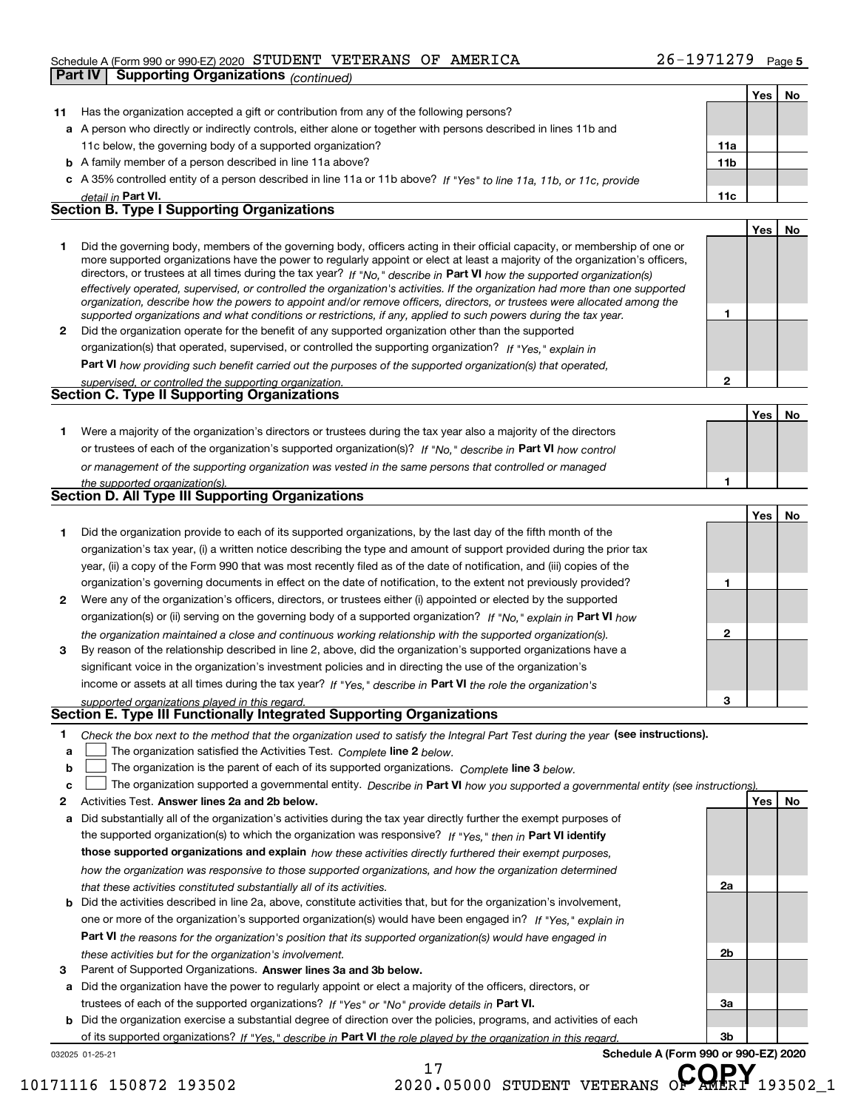# Schedule A (Form 990 or 990-EZ) 2020 Page STUDENT VETERANS OF AMERICA 26-1971279

|    | SCREQUIE A (FORM 990 OF 990-EZ) ZUZU SILOIDENII VEILEIKAINS OF<br>aminica<br>1 J J 1 4 J J                                                                                                                                                                 |     | Page 5 |
|----|------------------------------------------------------------------------------------------------------------------------------------------------------------------------------------------------------------------------------------------------------------|-----|--------|
|    | <b>Part IV</b><br><b>Supporting Organizations (continued)</b>                                                                                                                                                                                              |     |        |
|    |                                                                                                                                                                                                                                                            | Yes | No     |
| 11 | Has the organization accepted a gift or contribution from any of the following persons?                                                                                                                                                                    |     |        |
|    | a A person who directly or indirectly controls, either alone or together with persons described in lines 11b and                                                                                                                                           |     |        |
|    | 11c below, the governing body of a supported organization?<br>11a                                                                                                                                                                                          |     |        |
|    | 11 <sub>b</sub><br><b>b</b> A family member of a person described in line 11a above?                                                                                                                                                                       |     |        |
| c  | A 35% controlled entity of a person described in line 11a or 11b above? If "Yes" to line 11a, 11b, or 11c, provide                                                                                                                                         |     |        |
|    | 11c<br>detail in Part VI.                                                                                                                                                                                                                                  |     |        |
|    | <b>Section B. Type I Supporting Organizations</b>                                                                                                                                                                                                          |     |        |
|    |                                                                                                                                                                                                                                                            | Yes | No     |
| 1  | Did the governing body, members of the governing body, officers acting in their official capacity, or membership of one or                                                                                                                                 |     |        |
|    | more supported organizations have the power to regularly appoint or elect at least a majority of the organization's officers,                                                                                                                              |     |        |
|    | directors, or trustees at all times during the tax year? If "No," describe in Part VI how the supported organization(s)                                                                                                                                    |     |        |
|    | effectively operated, supervised, or controlled the organization's activities. If the organization had more than one supported<br>organization, describe how the powers to appoint and/or remove officers, directors, or trustees were allocated among the |     |        |
|    | 1<br>supported organizations and what conditions or restrictions, if any, applied to such powers during the tax year.                                                                                                                                      |     |        |
| 2  | Did the organization operate for the benefit of any supported organization other than the supported                                                                                                                                                        |     |        |
|    | organization(s) that operated, supervised, or controlled the supporting organization? If "Yes," explain in                                                                                                                                                 |     |        |
|    | Part VI how providing such benefit carried out the purposes of the supported organization(s) that operated,                                                                                                                                                |     |        |
|    | $\mathbf{2}$<br>supervised, or controlled the supporting organization.                                                                                                                                                                                     |     |        |
|    | Section C. Type II Supporting Organizations                                                                                                                                                                                                                |     |        |
|    |                                                                                                                                                                                                                                                            | Yes | No     |
| 1. | Were a majority of the organization's directors or trustees during the tax year also a majority of the directors                                                                                                                                           |     |        |
|    | or trustees of each of the organization's supported organization(s)? If "No." describe in Part VI how control                                                                                                                                              |     |        |
|    | or management of the supporting organization was vested in the same persons that controlled or managed                                                                                                                                                     |     |        |
|    | 1<br>the supported organization(s).                                                                                                                                                                                                                        |     |        |
|    | Section D. All Type III Supporting Organizations                                                                                                                                                                                                           |     |        |
|    |                                                                                                                                                                                                                                                            | Yes | No     |
| 1. | Did the organization provide to each of its supported organizations, by the last day of the fifth month of the                                                                                                                                             |     |        |
|    | organization's tax year, (i) a written notice describing the type and amount of support provided during the prior tax                                                                                                                                      |     |        |
|    | year, (ii) a copy of the Form 990 that was most recently filed as of the date of notification, and (iii) copies of the                                                                                                                                     |     |        |
|    | 1<br>organization's governing documents in effect on the date of notification, to the extent not previously provided?                                                                                                                                      |     |        |
|    |                                                                                                                                                                                                                                                            |     |        |
| 2  | Were any of the organization's officers, directors, or trustees either (i) appointed or elected by the supported                                                                                                                                           |     |        |
|    | organization(s) or (ii) serving on the governing body of a supported organization? If "No," explain in Part VI how<br>$\mathbf{2}$                                                                                                                         |     |        |
|    | the organization maintained a close and continuous working relationship with the supported organization(s).                                                                                                                                                |     |        |
| 3  | By reason of the relationship described in line 2, above, did the organization's supported organizations have a                                                                                                                                            |     |        |
|    | significant voice in the organization's investment policies and in directing the use of the organization's                                                                                                                                                 |     |        |
|    | income or assets at all times during the tax year? If "Yes," describe in Part VI the role the organization's                                                                                                                                               |     |        |
|    | 3<br>supported organizations played in this regard.<br>Section E. Type III Functionally Integrated Supporting Organizations                                                                                                                                |     |        |
|    |                                                                                                                                                                                                                                                            |     |        |
| 1. | Check the box next to the method that the organization used to satisfy the Integral Part Test during the year (see instructions).                                                                                                                          |     |        |
| a  | The organization satisfied the Activities Test. Complete line 2 below.                                                                                                                                                                                     |     |        |
| b  | The organization is the parent of each of its supported organizations. Complete line 3 below.                                                                                                                                                              |     |        |
| c  | The organization supported a governmental entity. Describe in Part VI how you supported a governmental entity (see instructions).                                                                                                                          |     |        |

- **2**Activities Test.
- **Activities Test. Answer lines 2a and 2b below.**<br>**a** Did substantially all of the organization's activities during the tax year directly further the exempt purposes of **b** Did the activities described in line 2a, above, constitute activities that, but for the organization's involvement, the supported organization(s) to which the organization was responsive? If "Yes," then in **Part VI identify those supported organizations and explain**  *how these activities directly furthered their exempt purposes, how the organization was responsive to those supported organizations, and how the organization determined that these activities constituted substantially all of its activities.* one or more of the organization's supported organization(s) would have been engaged in? If "Yes," e*xplain in* 
	- **Part VI**  *the reasons for the organization's position that its supported organization(s) would have engaged in these activities but for the organization's involvement.*
- **3** Parent of Supported Organizations. Answer lines 3a and 3b below.

**a** Did the organization have the power to regularly appoint or elect a majority of the officers, directors, or trustees of each of the supported organizations? If "Yes" or "No" provide details in **Part VI.** 

032025 01-25-21 **b** Did the organization exercise a substantial degree of direction over the policies, programs, and activities of each **Part VI**  *If "Yes," describe in the role played by the organization in this regard.* of its supported organizations?

**Schedule A (Form 990 or 990-EZ) 2020**

**2a**

**2b**

**3a**

**3b**

10171116 150872 193502 2020.05000 STUDENT VETERANS O**F AMERI** 193502\_1

17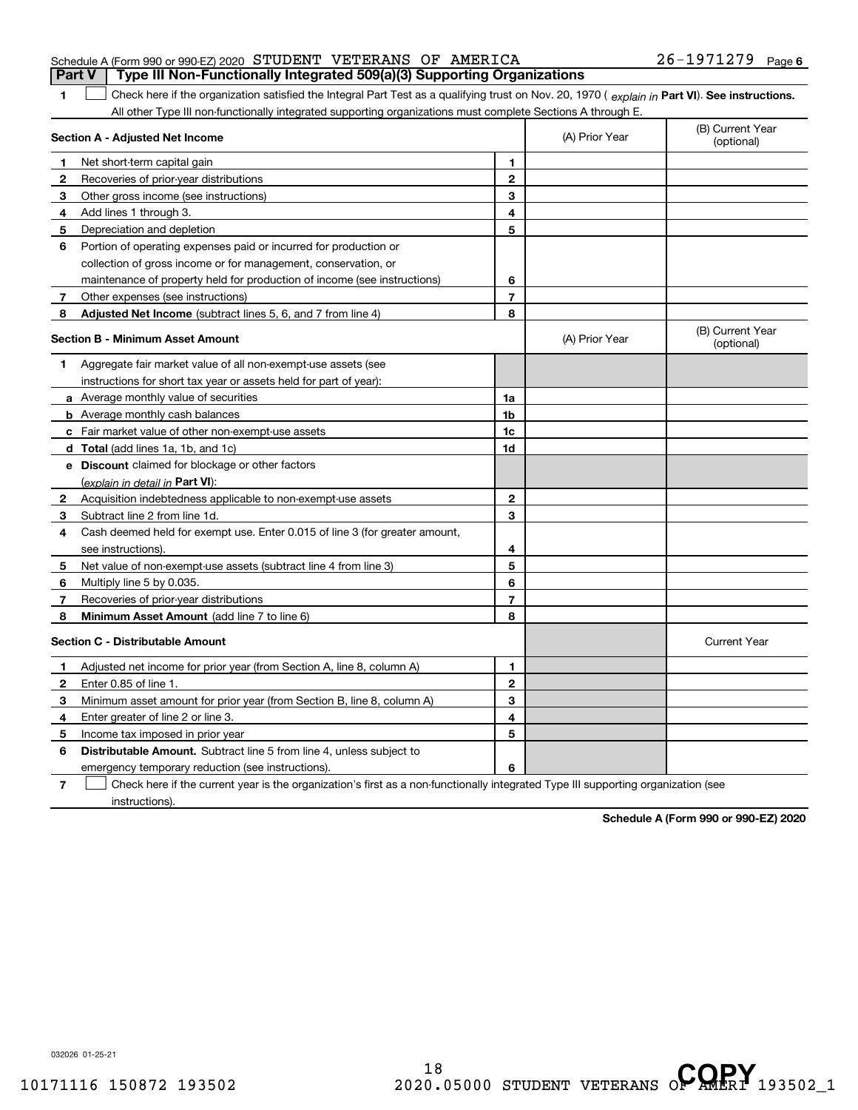|  | Schedule A (Form 990 or 990-EZ) 2020 STUDENT VETERANS OF AMERICA |  |                                                                                  | $26 - 1971279$ Page 6 |  |
|--|------------------------------------------------------------------|--|----------------------------------------------------------------------------------|-----------------------|--|
|  |                                                                  |  | Part V   Type III Non-Functionally Integrated 509(a)(3) Supporting Organizations |                       |  |

The Check here if the organization satisfied the Integral Part Test as a qualifying trust on Nov. 20, 1970 (explain in **Part VI). See instructions.**<br>All other Type III pen functionally integrated supporting examizations mu All other Type III non-functionally integrated supporting organizations must complete Sections A through E.

|              | Section A - Adjusted Net Income                                                                                                   | (A) Prior Year           | (B) Current Year<br>(optional) |                                |
|--------------|-----------------------------------------------------------------------------------------------------------------------------------|--------------------------|--------------------------------|--------------------------------|
| 1            | Net short-term capital gain                                                                                                       | 1                        |                                |                                |
| 2            | Recoveries of prior-year distributions                                                                                            | $\mathbf{2}$             |                                |                                |
| 3            | Other gross income (see instructions)                                                                                             | 3                        |                                |                                |
| 4            | Add lines 1 through 3.                                                                                                            | 4                        |                                |                                |
| 5            | Depreciation and depletion                                                                                                        | 5                        |                                |                                |
| 6            | Portion of operating expenses paid or incurred for production or                                                                  |                          |                                |                                |
|              | collection of gross income or for management, conservation, or                                                                    |                          |                                |                                |
|              | maintenance of property held for production of income (see instructions)                                                          | 6                        |                                |                                |
| 7            | Other expenses (see instructions)                                                                                                 | $\overline{\phantom{a}}$ |                                |                                |
| 8            | Adjusted Net Income (subtract lines 5, 6, and 7 from line 4)                                                                      | 8                        |                                |                                |
|              | <b>Section B - Minimum Asset Amount</b>                                                                                           |                          | (A) Prior Year                 | (B) Current Year<br>(optional) |
| 1            | Aggregate fair market value of all non-exempt-use assets (see                                                                     |                          |                                |                                |
|              | instructions for short tax year or assets held for part of year):                                                                 |                          |                                |                                |
|              | <b>a</b> Average monthly value of securities                                                                                      | 1a                       |                                |                                |
|              | <b>b</b> Average monthly cash balances                                                                                            | 1 <sub>b</sub>           |                                |                                |
|              | c Fair market value of other non-exempt-use assets                                                                                | 1c                       |                                |                                |
|              | <b>d</b> Total (add lines 1a, 1b, and 1c)                                                                                         | 1d                       |                                |                                |
|              | e Discount claimed for blockage or other factors                                                                                  |                          |                                |                                |
|              | (explain in detail in Part VI):                                                                                                   |                          |                                |                                |
| $\mathbf{2}$ | Acquisition indebtedness applicable to non-exempt-use assets                                                                      | $\mathbf{2}$             |                                |                                |
| 3            | Subtract line 2 from line 1d.                                                                                                     | 3                        |                                |                                |
| 4            | Cash deemed held for exempt use. Enter 0.015 of line 3 (for greater amount,                                                       |                          |                                |                                |
|              | see instructions)                                                                                                                 | 4                        |                                |                                |
| 5            | Net value of non-exempt-use assets (subtract line 4 from line 3)                                                                  | 5                        |                                |                                |
| 6            | Multiply line 5 by 0.035.                                                                                                         | 6                        |                                |                                |
| 7            | Recoveries of prior-year distributions                                                                                            | $\overline{7}$           |                                |                                |
| 8            | Minimum Asset Amount (add line 7 to line 6)                                                                                       | 8                        |                                |                                |
|              | <b>Section C - Distributable Amount</b>                                                                                           |                          |                                | <b>Current Year</b>            |
| п.           | Adjusted net income for prior year (from Section A, line 8, column A)                                                             | 1                        |                                |                                |
| 2            | Enter 0.85 of line 1.                                                                                                             | $\mathbf{2}$             |                                |                                |
| 3            | Minimum asset amount for prior year (from Section B, line 8, column A)                                                            | 3                        |                                |                                |
| 4            | Enter greater of line 2 or line 3.                                                                                                | 4                        |                                |                                |
| 5            | Income tax imposed in prior year                                                                                                  | 5                        |                                |                                |
| 6            | <b>Distributable Amount.</b> Subtract line 5 from line 4, unless subject to                                                       |                          |                                |                                |
|              | emergency temporary reduction (see instructions).                                                                                 | 6                        |                                |                                |
| 7            | Check here if the current year is the organization's first as a non-functionally integrated Type III supporting organization (see |                          |                                |                                |

instructions).

**1**

**Schedule A (Form 990 or 990-EZ) 2020**

032026 01-25-21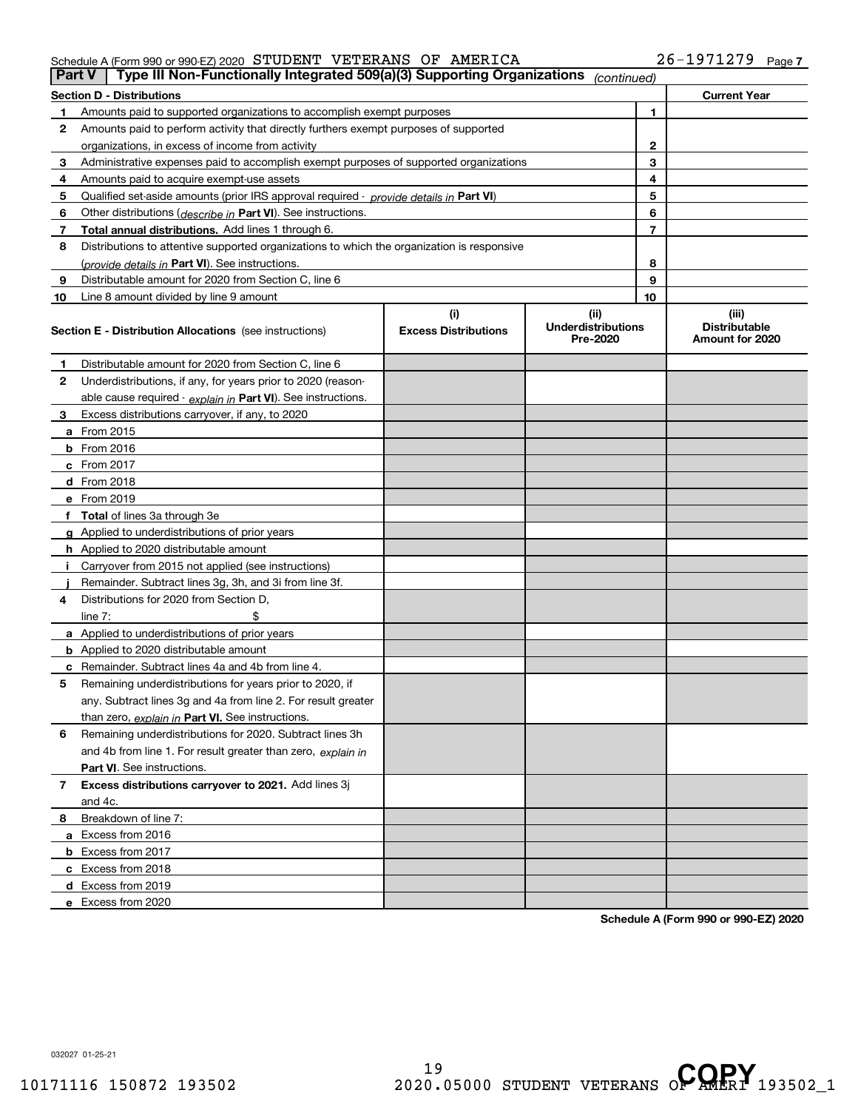## Schedule A (Form 990 or 990-EZ) 2020 Page STUDENT VETERANS OF AMERICA 26-1971279

| <b>Part V</b> | Type III Non-Functionally Integrated 509(a)(3) Supporting Organizations                    |                             | (continued)                           |    |                                         |
|---------------|--------------------------------------------------------------------------------------------|-----------------------------|---------------------------------------|----|-----------------------------------------|
|               | <b>Section D - Distributions</b>                                                           |                             |                                       |    | <b>Current Year</b>                     |
| 1             | Amounts paid to supported organizations to accomplish exempt purposes                      |                             | 1                                     |    |                                         |
| 2             | Amounts paid to perform activity that directly furthers exempt purposes of supported       |                             |                                       |    |                                         |
|               | organizations, in excess of income from activity                                           |                             | 2                                     |    |                                         |
| 3             | Administrative expenses paid to accomplish exempt purposes of supported organizations      |                             | 3                                     |    |                                         |
| 4             | Amounts paid to acquire exempt-use assets                                                  |                             |                                       | 4  |                                         |
| 5             | Qualified set-aside amounts (prior IRS approval required - provide details in Part VI)     |                             |                                       | 5  |                                         |
| 6             | Other distributions (describe in Part VI). See instructions.                               |                             |                                       | 6  |                                         |
| 7             | Total annual distributions. Add lines 1 through 6.                                         |                             |                                       | 7  |                                         |
| 8             | Distributions to attentive supported organizations to which the organization is responsive |                             |                                       |    |                                         |
|               | (provide details in Part VI). See instructions.                                            |                             |                                       | 8  |                                         |
| 9             | Distributable amount for 2020 from Section C, line 6                                       |                             |                                       | 9  |                                         |
| 10            | Line 8 amount divided by line 9 amount                                                     |                             |                                       | 10 |                                         |
|               |                                                                                            | (i)                         | (ii)                                  |    | (iii)                                   |
|               | <b>Section E - Distribution Allocations</b> (see instructions)                             | <b>Excess Distributions</b> | <b>Underdistributions</b><br>Pre-2020 |    | <b>Distributable</b><br>Amount for 2020 |
| 1             | Distributable amount for 2020 from Section C, line 6                                       |                             |                                       |    |                                         |
| 2             | Underdistributions, if any, for years prior to 2020 (reason-                               |                             |                                       |    |                                         |
|               | able cause required - explain in Part VI). See instructions.                               |                             |                                       |    |                                         |
| 3             | Excess distributions carryover, if any, to 2020                                            |                             |                                       |    |                                         |
|               | <b>a</b> From 2015                                                                         |                             |                                       |    |                                         |
|               | <b>b</b> From 2016                                                                         |                             |                                       |    |                                         |
|               | c From 2017                                                                                |                             |                                       |    |                                         |
|               | <b>d</b> From 2018                                                                         |                             |                                       |    |                                         |
|               | e From 2019                                                                                |                             |                                       |    |                                         |
|               | f Total of lines 3a through 3e                                                             |                             |                                       |    |                                         |
|               | g Applied to underdistributions of prior years                                             |                             |                                       |    |                                         |
|               | <b>h</b> Applied to 2020 distributable amount                                              |                             |                                       |    |                                         |
|               | Carryover from 2015 not applied (see instructions)                                         |                             |                                       |    |                                         |
|               | Remainder. Subtract lines 3g, 3h, and 3i from line 3f.                                     |                             |                                       |    |                                         |
| 4             | Distributions for 2020 from Section D,                                                     |                             |                                       |    |                                         |
|               | line $7:$                                                                                  |                             |                                       |    |                                         |
|               | a Applied to underdistributions of prior years                                             |                             |                                       |    |                                         |
|               | <b>b</b> Applied to 2020 distributable amount                                              |                             |                                       |    |                                         |
|               | c Remainder. Subtract lines 4a and 4b from line 4.                                         |                             |                                       |    |                                         |
| 5             | Remaining underdistributions for years prior to 2020, if                                   |                             |                                       |    |                                         |
|               | any. Subtract lines 3g and 4a from line 2. For result greater                              |                             |                                       |    |                                         |
|               | than zero, explain in Part VI. See instructions.                                           |                             |                                       |    |                                         |
| 6             | Remaining underdistributions for 2020. Subtract lines 3h                                   |                             |                                       |    |                                         |
|               | and 4b from line 1. For result greater than zero, explain in                               |                             |                                       |    |                                         |
|               | Part VI. See instructions.                                                                 |                             |                                       |    |                                         |
| 7             | Excess distributions carryover to 2021. Add lines 3j                                       |                             |                                       |    |                                         |
|               | and 4c.                                                                                    |                             |                                       |    |                                         |
| 8             | Breakdown of line 7:                                                                       |                             |                                       |    |                                         |
|               | a Excess from 2016                                                                         |                             |                                       |    |                                         |
|               | <b>b</b> Excess from 2017                                                                  |                             |                                       |    |                                         |
|               | c Excess from 2018                                                                         |                             |                                       |    |                                         |
|               | d Excess from 2019                                                                         |                             |                                       |    |                                         |
|               | e Excess from 2020                                                                         |                             |                                       |    |                                         |

**Schedule A (Form 990 or 990-EZ) 2020**

032027 01-25-21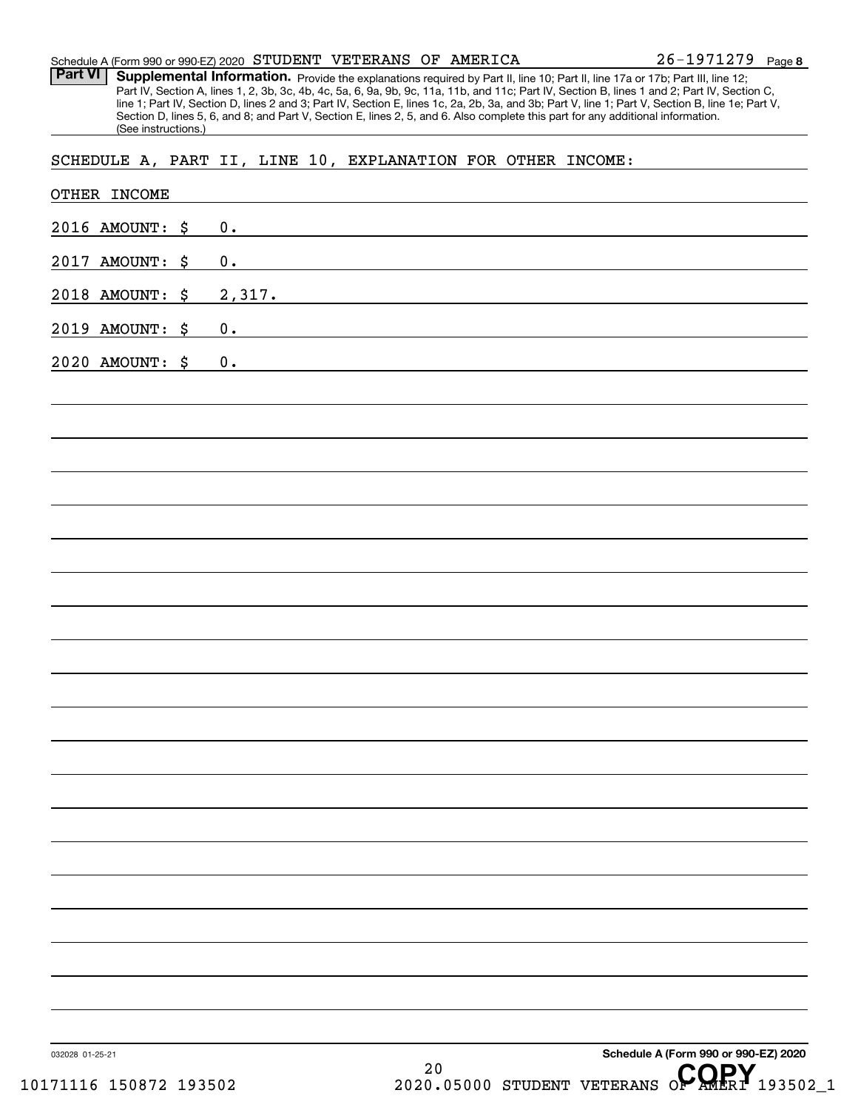| Schedule A (Form 990 or 990-EZ) 2020 STUDENT VETERANS OF AMERICA |  |  | $26 - 1971279$ Page 8 |  |
|------------------------------------------------------------------|--|--|-----------------------|--|
|                                                                  |  |  |                       |  |

Provide the explanations required by Part II, line 10; Part II, line 17a or 17b; Part III, line 12; Part IV, Section A, lines 1, 2, 3b, 3c, 4b, 4c, 5a, 6, 9a, 9b, 9c, 11a, 11b, and 11c; Part IV, Section B, lines 1 and 2; Part IV, Section C, line 1; Part IV, Section D, lines 2 and 3; Part IV, Section E, lines 1c, 2a, 2b, 3a, and 3b; Part V, line 1; Part V, Section B, line 1e; Part V, Section D, lines 5, 6, and 8; and Part V, Section E, lines 2, 5, and 6. Also complete this part for any additional information. (See instructions.) **Part VI Supplemental Information.** 

SCHEDULE A, PART II, LINE 10, EXPLANATION FOR OTHER INCOME:

| 2016 AMOUNT: \$ | 0.                                                                                                                                                                                                                                  |
|-----------------|-------------------------------------------------------------------------------------------------------------------------------------------------------------------------------------------------------------------------------------|
| 2017 AMOUNT: \$ | 0.                                                                                                                                                                                                                                  |
| 2018 AMOUNT: \$ | 2,317.                                                                                                                                                                                                                              |
| 2019 AMOUNT: \$ | 0.<br>and the control of the control of the control of the control of the control of the control of the control of the                                                                                                              |
| 2020 AMOUNT: \$ | 0.<br>the control of the control of the control of the control of the control of the control of the control of the control of the control of the control of the control of the control of the control of the control of the control |
|                 |                                                                                                                                                                                                                                     |
|                 |                                                                                                                                                                                                                                     |
|                 |                                                                                                                                                                                                                                     |
|                 |                                                                                                                                                                                                                                     |
|                 |                                                                                                                                                                                                                                     |
|                 |                                                                                                                                                                                                                                     |
|                 |                                                                                                                                                                                                                                     |
|                 |                                                                                                                                                                                                                                     |
|                 |                                                                                                                                                                                                                                     |
|                 |                                                                                                                                                                                                                                     |
|                 |                                                                                                                                                                                                                                     |
|                 |                                                                                                                                                                                                                                     |
|                 |                                                                                                                                                                                                                                     |
|                 |                                                                                                                                                                                                                                     |
|                 |                                                                                                                                                                                                                                     |
|                 |                                                                                                                                                                                                                                     |
|                 |                                                                                                                                                                                                                                     |
|                 |                                                                                                                                                                                                                                     |
|                 |                                                                                                                                                                                                                                     |
|                 |                                                                                                                                                                                                                                     |
|                 |                                                                                                                                                                                                                                     |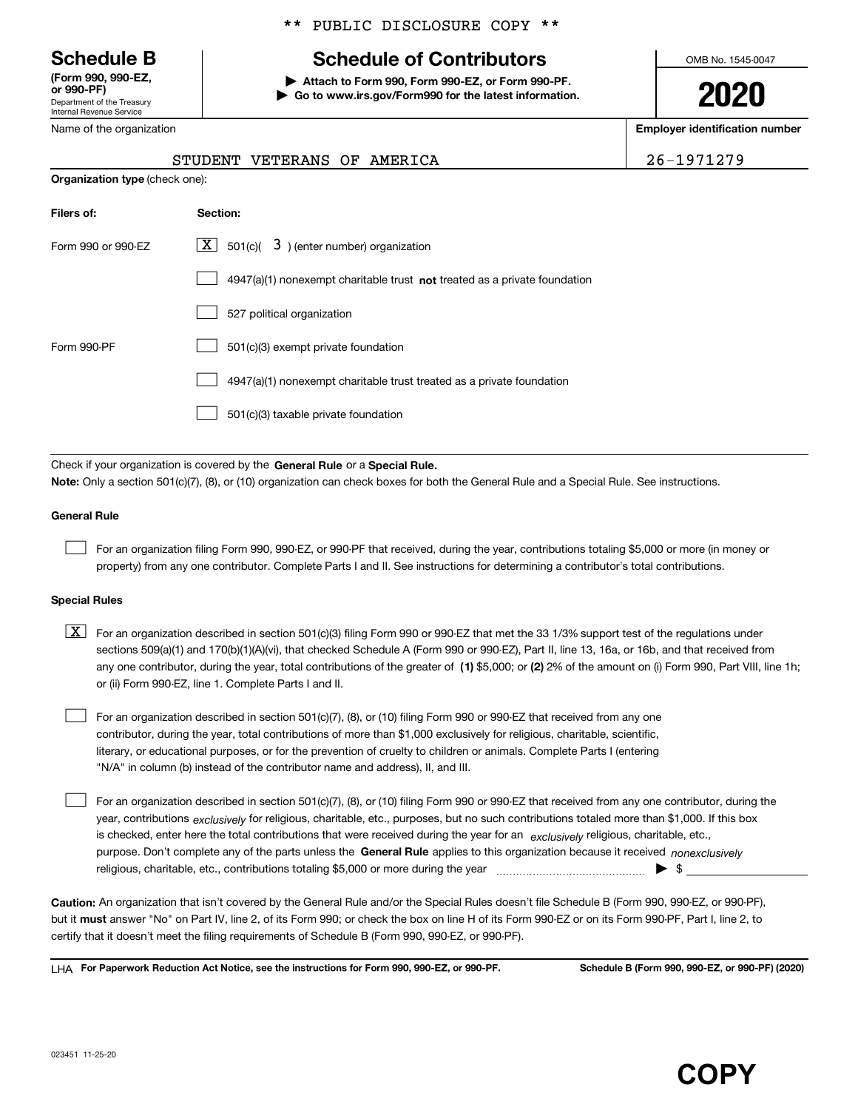Department of the Treasury Internal Revenue Service **(Form 990, 990-EZ, or 990-PF)**

Name of the organization

# \*\* PUBLIC DISCLOSURE COPY \*\*

# **Schedule B Schedule of Contributors**

**| Attach to Form 990, Form 990-EZ, or Form 990-PF. | Go to www.irs.gov/Form990 for the latest information.** OMB No. 1545-0047

**2020**

**Employer identification number**

| 26-1971279 |  |  |
|------------|--|--|
|------------|--|--|

| <b>Organization type (check one):</b> |                                                                           |  |  |  |  |
|---------------------------------------|---------------------------------------------------------------------------|--|--|--|--|
| Filers of:                            | Section:                                                                  |  |  |  |  |
| Form 990 or 990-EZ                    | $\lfloor x \rfloor$ 501(c)( 3) (enter number) organization                |  |  |  |  |
|                                       | 4947(a)(1) nonexempt charitable trust not treated as a private foundation |  |  |  |  |
|                                       | 527 political organization                                                |  |  |  |  |
| Form 990-PF                           | 501(c)(3) exempt private foundation                                       |  |  |  |  |
|                                       | 4947(a)(1) nonexempt charitable trust treated as a private foundation     |  |  |  |  |
|                                       | 501(c)(3) taxable private foundation                                      |  |  |  |  |

STUDENT VETERANS OF AMERICA

Check if your organization is covered by the **General Rule** or a **Special Rule.**<br>Nota: Only a section 501(c)(7), (8), or (10) erganization can chock boxes for be **Note:**  Only a section 501(c)(7), (8), or (10) organization can check boxes for both the General Rule and a Special Rule. See instructions.

## **General Rule**

 $\mathcal{L}^{\text{max}}$ 

For an organization filing Form 990, 990-EZ, or 990-PF that received, during the year, contributions totaling \$5,000 or more (in money or property) from any one contributor. Complete Parts I and II. See instructions for determining a contributor's total contributions.

#### **Special Rules**

any one contributor, during the year, total contributions of the greater of  $\,$  (1) \$5,000; or **(2)** 2% of the amount on (i) Form 990, Part VIII, line 1h;  $\boxed{\textbf{X}}$  For an organization described in section 501(c)(3) filing Form 990 or 990-EZ that met the 33 1/3% support test of the regulations under sections 509(a)(1) and 170(b)(1)(A)(vi), that checked Schedule A (Form 990 or 990-EZ), Part II, line 13, 16a, or 16b, and that received from or (ii) Form 990-EZ, line 1. Complete Parts I and II.

For an organization described in section 501(c)(7), (8), or (10) filing Form 990 or 990-EZ that received from any one contributor, during the year, total contributions of more than \$1,000 exclusively for religious, charitable, scientific, literary, or educational purposes, or for the prevention of cruelty to children or animals. Complete Parts I (entering "N/A" in column (b) instead of the contributor name and address), II, and III.  $\mathcal{L}^{\text{max}}$ 

purpose. Don't complete any of the parts unless the **General Rule** applies to this organization because it received *nonexclusively* year, contributions <sub>exclusively</sub> for religious, charitable, etc., purposes, but no such contributions totaled more than \$1,000. If this box is checked, enter here the total contributions that were received during the year for an  $\;$ exclusively religious, charitable, etc., For an organization described in section 501(c)(7), (8), or (10) filing Form 990 or 990-EZ that received from any one contributor, during the religious, charitable, etc., contributions totaling \$5,000 or more during the year  $\Box$ — $\Box$   $\Box$  $\mathcal{L}^{\text{max}}$ 

**Caution:**  An organization that isn't covered by the General Rule and/or the Special Rules doesn't file Schedule B (Form 990, 990-EZ, or 990-PF), but it **must** answer "No" on Part IV, line 2, of its Form 990; or check the box on line H of its Form 990-EZ or on its Form 990-PF, Part I, line 2, to<br>cortify that it doesn't meet the filipe requirements of Schodule B (Fer certify that it doesn't meet the filing requirements of Schedule B (Form 990, 990-EZ, or 990-PF).

**For Paperwork Reduction Act Notice, see the instructions for Form 990, 990-EZ, or 990-PF. Schedule B (Form 990, 990-EZ, or 990-PF) (2020)** LHA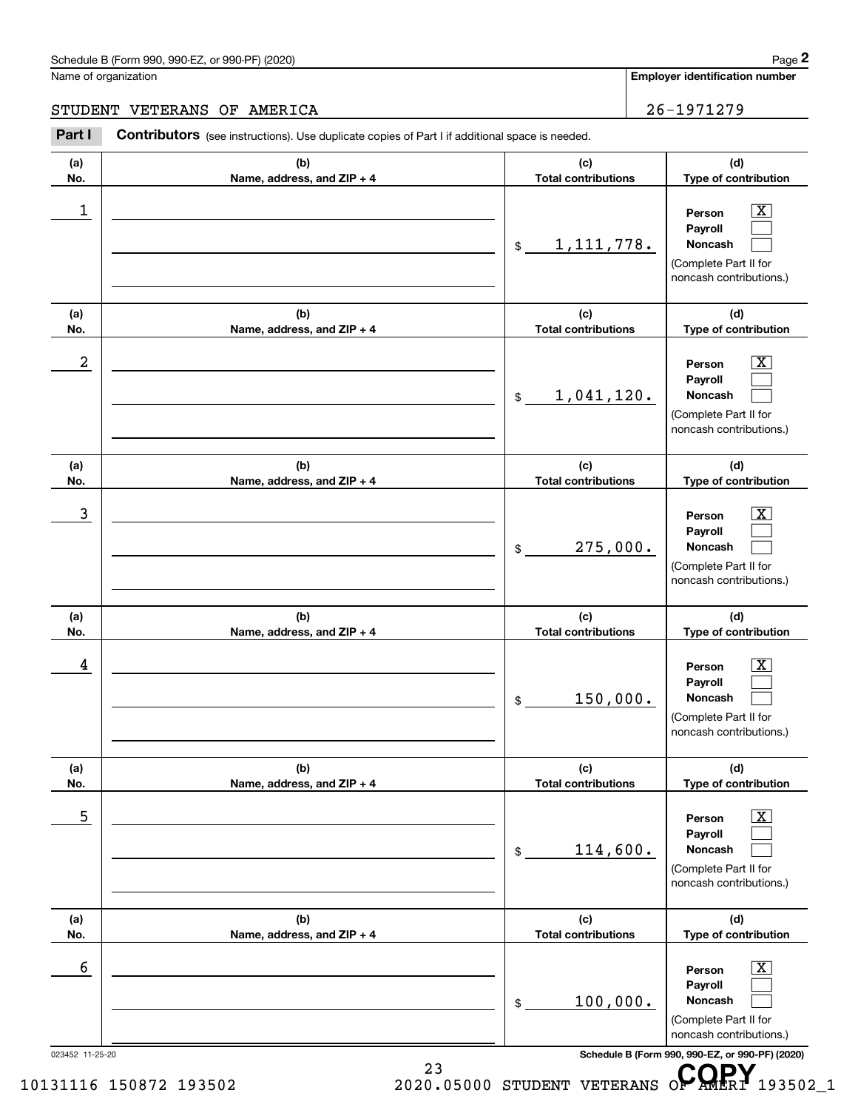# Schedule B (Form 990, 990-EZ, or 990-PF) (2020) **Page 2** Page 2 and the state of the state of the state of the state of the state of the state of the state of the state of the state of the state of the state of the state o

Name of organization

**Employer identification number**

STUDENT VETERANS OF AMERICA 26-1971279

#### 023452 11-25-20 **Schedule B (Form 990, 990-EZ, or 990-PF) (2020) (a)No.(b)Name, address, and ZIP + 4 (c)Total contributions (d)Type of contribution PersonPayrollNoncash (a)No.(b)Name, address, and ZIP + 4 (c)Total contributions (d)Type of contribution PersonPayrollNoncash (a)No.(b)Name, address, and ZIP + 4 (c)Total contributions (d)Type of contribution PersonPayrollNoncash (a) No.(b) Name, address, and ZIP + 4 (c) Total contributions (d) Type of contribution PersonPayrollNoncash(a) No.(b) Name, address, and ZIP + 4 (c) Total contributions (d) Type of contribution PersonPayrollNoncash(a) No.(b)Name, address, and ZIP + 4 (c) Total contributions (d)Type of contribution PersonPayrollNoncash Contributors** (see instructions). Use duplicate copies of Part I if additional space is needed. \$(Complete Part II for noncash contributions.) \$(Complete Part II for noncash contributions.) \$(Complete Part II for noncash contributions.) \$(Complete Part II for noncash contributions.) \$(Complete Part II for noncash contributions.) \$(Complete Part II for noncash contributions.) **29 Chedule B** (Form 990, 990-EZ, or 990-PF) (2020)<br> **28 Contributors** (See instructions). Use duplicate copies of Part I if additional space is needed.<br> **26 - 1971279**<br> **Part I Contributors** (see instructions). Use dupl  $|X|$  $\mathcal{L}^{\text{max}}$  $\mathcal{L}^{\text{max}}$  $\boxed{\text{X}}$  $\mathcal{L}^{\text{max}}$  $\mathcal{L}^{\text{max}}$  $|X|$  $\mathcal{L}^{\text{max}}$  $\mathcal{L}^{\text{max}}$  $\boxed{\text{X}}$  $\mathcal{L}^{\text{max}}$  $\mathcal{L}^{\text{max}}$  $\boxed{\text{X}}$  $\mathcal{L}^{\text{max}}$  $\mathcal{L}^{\text{max}}$  $\boxed{\text{X}}$  $\mathcal{L}^{\text{max}}$  $\mathcal{L}^{\text{max}}$  $\begin{array}{c|c|c|c|c|c} 1 & \hspace{1.5cm} & \hspace{1.5cm} & \hspace{1.5cm} & \hspace{1.5cm} & \hspace{1.5cm} & \hspace{1.5cm} & \hspace{1.5cm} & \hspace{1.5cm} & \hspace{1.5cm} & \hspace{1.5cm} & \hspace{1.5cm} & \hspace{1.5cm} & \hspace{1.5cm} & \hspace{1.5cm} & \hspace{1.5cm} & \hspace{1.5cm} & \hspace{1.5cm} & \hspace{1.5cm} & \hspace{1.5cm} & \hspace{1.5cm} &$ 1,111,778.  $2$  | Person  $\overline{\text{X}}$ 1,041,120.  $\overline{3}$  | Person  $\overline{X}$ 275,000.  $4$  | Person  $\overline{\text{X}}$ 150,000.  $\sim$  5 | Person X 114,600.  $\sim$  6 | Person X 100,000.

23 10131116 150872 193502 23<br>2020.05000 STUDENT VETERANS OP AMERI 193502\_1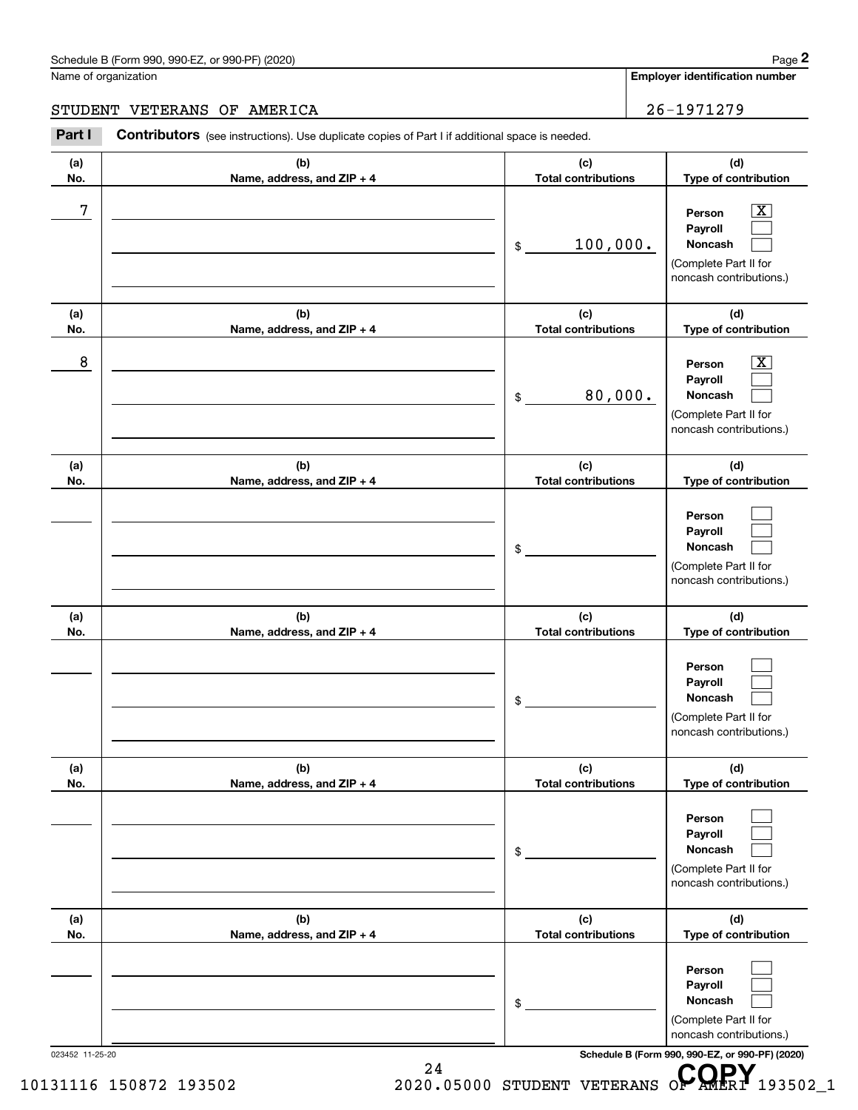# Schedule B (Form 990, 990-EZ, or 990-PF) (2020) Page 2

# STUDENT VETERANS OF AMERICA 26-1971279

|            | STUDENT VETERANS OF AMERICA                                                                    |                                   | 26-1971279                                                                                             |
|------------|------------------------------------------------------------------------------------------------|-----------------------------------|--------------------------------------------------------------------------------------------------------|
| Part I     | Contributors (see instructions). Use duplicate copies of Part I if additional space is needed. |                                   |                                                                                                        |
| (a)<br>No. | (b)<br>Name, address, and ZIP + 4                                                              | (c)<br><b>Total contributions</b> | (d)<br>Type of contribution                                                                            |
| 7          |                                                                                                | 100,000.<br>\$                    | $\boxed{\text{X}}$<br>Person<br>Payroll<br>Noncash<br>(Complete Part II for<br>noncash contributions.) |
| (a)<br>No. | (b)<br>Name, address, and ZIP + 4                                                              | (c)<br><b>Total contributions</b> | (d)<br>Type of contribution                                                                            |
| 8          |                                                                                                | 80,000.<br>\$                     | $\boxed{\text{X}}$<br>Person<br>Payroll<br>Noncash<br>(Complete Part II for<br>noncash contributions.) |
| (a)<br>No. | (b)<br>Name, address, and ZIP + 4                                                              | (c)<br><b>Total contributions</b> | (d)<br>Type of contribution                                                                            |
|            |                                                                                                | \$                                | Person<br>Payroll<br>Noncash<br>(Complete Part II for<br>noncash contributions.)                       |
| (a)<br>No. | (b)<br>Name, address, and ZIP + 4                                                              | (c)<br><b>Total contributions</b> | (d)<br>Type of contribution                                                                            |
|            |                                                                                                | \$                                | Person<br>Payroll<br>Noncash<br>(Complete Part II for<br>noncash contributions.)                       |
| (a)<br>No. | (b)<br>Name, address, and ZIP + 4                                                              | (c)<br><b>Total contributions</b> | (d)<br>Type of contribution                                                                            |
|            |                                                                                                | \$                                | Person<br>Payroll<br>Noncash<br>(Complete Part II for<br>noncash contributions.)                       |
| (a)<br>No. | (b)<br>Name, address, and ZIP + 4                                                              | (c)<br><b>Total contributions</b> | (d)<br>Type of contribution                                                                            |
|            |                                                                                                | \$                                | Person<br>Payroll<br>Noncash<br>(Complete Part II for<br>noncash contributions.)                       |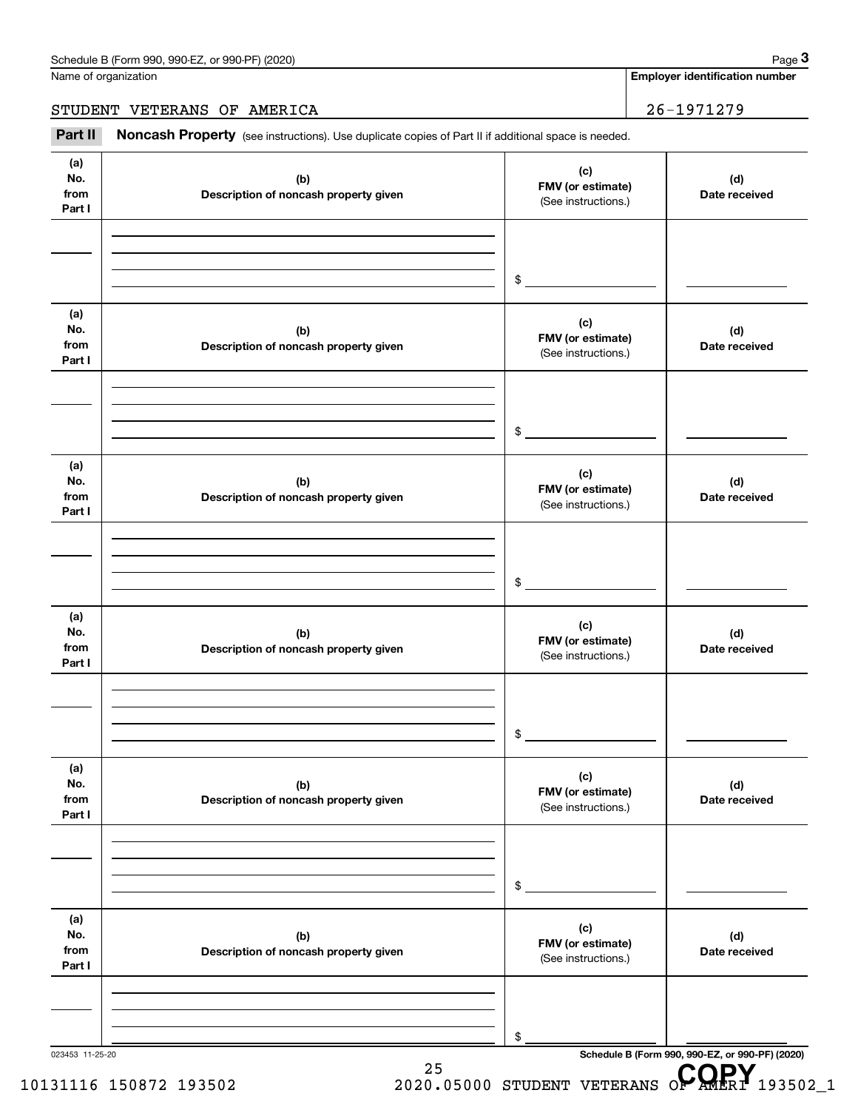|                              | Schedule B (Form 990, 990-EZ, or 990-PF) (2020)                                                     |                                                 | Page 3                                                  |
|------------------------------|-----------------------------------------------------------------------------------------------------|-------------------------------------------------|---------------------------------------------------------|
|                              | Name of organization                                                                                |                                                 | <b>Employer identification number</b>                   |
|                              | STUDENT VETERANS OF AMERICA                                                                         |                                                 | 26-1971279                                              |
| Part II                      | Noncash Property (see instructions). Use duplicate copies of Part II if additional space is needed. |                                                 |                                                         |
| (a)<br>No.<br>from<br>Part I | (b)<br>Description of noncash property given                                                        | (c)<br>FMV (or estimate)<br>(See instructions.) | (d)<br>Date received                                    |
|                              |                                                                                                     | \$                                              |                                                         |
| (a)<br>No.<br>from<br>Part I | (b)<br>Description of noncash property given                                                        | (c)<br>FMV (or estimate)<br>(See instructions.) | (d)<br>Date received                                    |
|                              |                                                                                                     | \$                                              |                                                         |
| (a)<br>No.<br>from<br>Part I | (b)<br>Description of noncash property given                                                        | (c)<br>FMV (or estimate)<br>(See instructions.) | (d)<br>Date received                                    |
|                              |                                                                                                     | \$                                              |                                                         |
| (a)<br>No.<br>from<br>Part I | (b)<br>Description of noncash property given                                                        | (c)<br>FMV (or estimate)<br>(See instructions.) | (d)<br>Date received                                    |
|                              |                                                                                                     | \$                                              |                                                         |
| (a)<br>No.<br>from<br>Part I | (b)<br>Description of noncash property given                                                        | (c)<br>FMV (or estimate)<br>(See instructions.) | (d)<br>Date received                                    |
|                              |                                                                                                     | \$                                              |                                                         |
| (a)<br>No.<br>from<br>Part I | (b)<br>Description of noncash property given                                                        | (c)<br>FMV (or estimate)<br>(See instructions.) | (d)<br>Date received                                    |
|                              |                                                                                                     | \$                                              |                                                         |
| 023453 11-25-20              | 25                                                                                                  |                                                 | Schedule B (Form 990, 990-EZ, or 990-PF) (2020)<br>CODV |

# 10131116 150872 193502 25<br>2020.05000 STUDENT VETERANS OP AMERI 193502\_1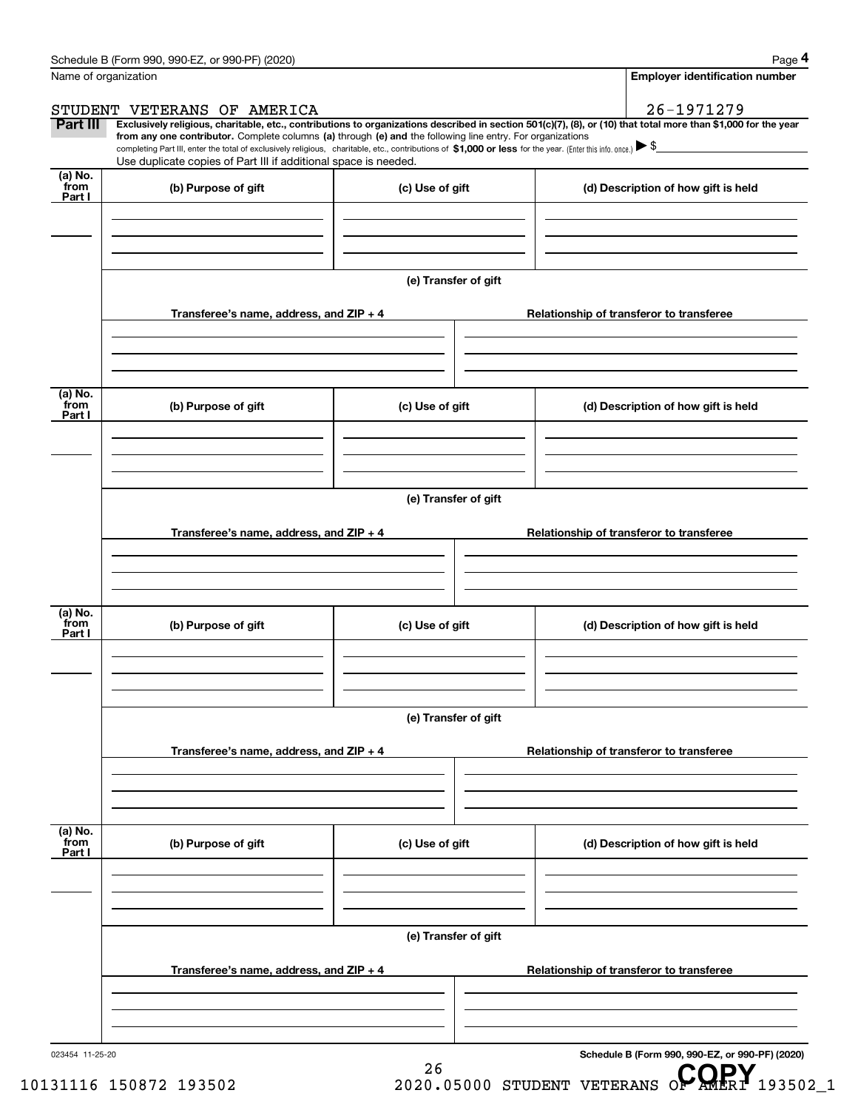|                           | Schedule B (Form 990, 990-EZ, or 990-PF) (2020)                                                                                                                               |                      | Page 4                                                                                                                                                                                                                                                                                                                                              |
|---------------------------|-------------------------------------------------------------------------------------------------------------------------------------------------------------------------------|----------------------|-----------------------------------------------------------------------------------------------------------------------------------------------------------------------------------------------------------------------------------------------------------------------------------------------------------------------------------------------------|
| Name of organization      |                                                                                                                                                                               |                      | <b>Employer identification number</b>                                                                                                                                                                                                                                                                                                               |
|                           | STUDENT VETERANS OF AMERICA                                                                                                                                                   |                      | 26-1971279                                                                                                                                                                                                                                                                                                                                          |
| Part III                  | from any one contributor. Complete columns (a) through (e) and the following line entry. For organizations<br>Use duplicate copies of Part III if additional space is needed. |                      | Exclusively religious, charitable, etc., contributions to organizations described in section 501(c)(7), (8), or (10) that total more than \$1,000 for the year<br>completing Part III, enter the total of exclusively religious, charitable, etc., contributions of \$1,000 or less for the year. (Enter this info. once.) $\blacktriangleright$ \$ |
| (a) No.<br>from<br>Part I | (b) Purpose of gift                                                                                                                                                           | (c) Use of gift      | (d) Description of how gift is held                                                                                                                                                                                                                                                                                                                 |
|                           |                                                                                                                                                                               |                      |                                                                                                                                                                                                                                                                                                                                                     |
|                           |                                                                                                                                                                               | (e) Transfer of gift |                                                                                                                                                                                                                                                                                                                                                     |
|                           | Transferee's name, address, and ZIP + 4                                                                                                                                       |                      | Relationship of transferor to transferee                                                                                                                                                                                                                                                                                                            |
| (a) No.                   |                                                                                                                                                                               |                      |                                                                                                                                                                                                                                                                                                                                                     |
| from<br>Part I            | (b) Purpose of gift                                                                                                                                                           | (c) Use of gift      | (d) Description of how gift is held                                                                                                                                                                                                                                                                                                                 |
|                           |                                                                                                                                                                               |                      |                                                                                                                                                                                                                                                                                                                                                     |
|                           |                                                                                                                                                                               | (e) Transfer of gift |                                                                                                                                                                                                                                                                                                                                                     |
|                           | Transferee's name, address, and $ZIP + 4$                                                                                                                                     |                      | Relationship of transferor to transferee                                                                                                                                                                                                                                                                                                            |
|                           |                                                                                                                                                                               |                      |                                                                                                                                                                                                                                                                                                                                                     |
| (a) No.<br>from<br>Part I | (b) Purpose of gift                                                                                                                                                           | (c) Use of gift      | (d) Description of how gift is held                                                                                                                                                                                                                                                                                                                 |
|                           |                                                                                                                                                                               |                      |                                                                                                                                                                                                                                                                                                                                                     |
|                           |                                                                                                                                                                               | (e) Transfer of gift |                                                                                                                                                                                                                                                                                                                                                     |
|                           | Transferee's name, address, and ZIP + 4                                                                                                                                       |                      | Relationship of transferor to transferee                                                                                                                                                                                                                                                                                                            |
|                           |                                                                                                                                                                               |                      |                                                                                                                                                                                                                                                                                                                                                     |
| (a) No.<br>from<br>Part I | (b) Purpose of gift                                                                                                                                                           | (c) Use of gift      | (d) Description of how gift is held                                                                                                                                                                                                                                                                                                                 |
|                           |                                                                                                                                                                               |                      |                                                                                                                                                                                                                                                                                                                                                     |
|                           |                                                                                                                                                                               | (e) Transfer of gift |                                                                                                                                                                                                                                                                                                                                                     |
|                           | Transferee's name, address, and ZIP + 4                                                                                                                                       |                      | Relationship of transferor to transferee                                                                                                                                                                                                                                                                                                            |
|                           |                                                                                                                                                                               |                      |                                                                                                                                                                                                                                                                                                                                                     |

26

023454 11-25-20

**Schedule B (Form 990, 990-EZ, or 990-PF) (2020)**

10131116 150872 193502 2020.05000 STUDENT VETERANS OP AMERI 193502\_1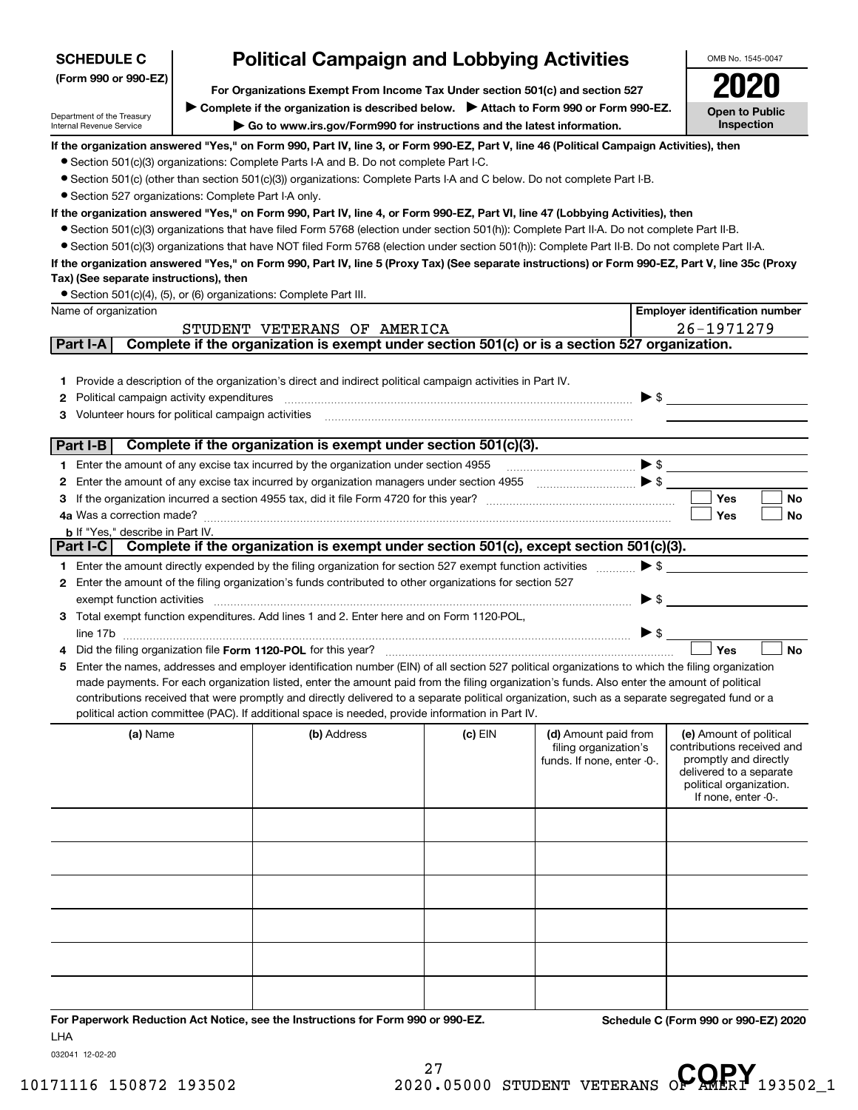| <b>SCHEDULE C</b>                                      | <b>Political Campaign and Lobbying Activities</b>                             | OMB No. 1545-0047                                                                                                                                                                                                                                                             |           |                                                     |                                                     |  |  |
|--------------------------------------------------------|-------------------------------------------------------------------------------|-------------------------------------------------------------------------------------------------------------------------------------------------------------------------------------------------------------------------------------------------------------------------------|-----------|-----------------------------------------------------|-----------------------------------------------------|--|--|
| (Form 990 or 990-EZ)                                   | For Organizations Exempt From Income Tax Under section 501(c) and section 527 |                                                                                                                                                                                                                                                                               |           |                                                     |                                                     |  |  |
|                                                        |                                                                               |                                                                                                                                                                                                                                                                               |           |                                                     |                                                     |  |  |
| Department of the Treasury<br>Internal Revenue Service |                                                                               | Complete if the organization is described below.<br>> Attach to Form 990 or Form 990-EZ.<br>Go to www.irs.gov/Form990 for instructions and the latest information.                                                                                                            |           |                                                     | <b>Open to Public</b><br>Inspection                 |  |  |
|                                                        |                                                                               | If the organization answered "Yes," on Form 990, Part IV, line 3, or Form 990-EZ, Part V, line 46 (Political Campaign Activities), then                                                                                                                                       |           |                                                     |                                                     |  |  |
|                                                        |                                                                               | • Section 501(c)(3) organizations: Complete Parts I-A and B. Do not complete Part I-C.                                                                                                                                                                                        |           |                                                     |                                                     |  |  |
|                                                        |                                                                               | • Section 501(c) (other than section 501(c)(3)) organizations: Complete Parts I-A and C below. Do not complete Part I-B.                                                                                                                                                      |           |                                                     |                                                     |  |  |
| • Section 527 organizations: Complete Part I-A only.   |                                                                               |                                                                                                                                                                                                                                                                               |           |                                                     |                                                     |  |  |
|                                                        |                                                                               | If the organization answered "Yes," on Form 990, Part IV, line 4, or Form 990-EZ, Part VI, line 47 (Lobbying Activities), then<br>• Section 501(c)(3) organizations that have filed Form 5768 (election under section 501(h)): Complete Part II-A. Do not complete Part II-B. |           |                                                     |                                                     |  |  |
|                                                        |                                                                               | • Section 501(c)(3) organizations that have NOT filed Form 5768 (election under section 501(h)): Complete Part II-B. Do not complete Part II-A.                                                                                                                               |           |                                                     |                                                     |  |  |
|                                                        |                                                                               | If the organization answered "Yes," on Form 990, Part IV, line 5 (Proxy Tax) (See separate instructions) or Form 990-EZ, Part V, line 35c (Proxy                                                                                                                              |           |                                                     |                                                     |  |  |
| Tax) (See separate instructions), then                 |                                                                               |                                                                                                                                                                                                                                                                               |           |                                                     |                                                     |  |  |
|                                                        |                                                                               | • Section 501(c)(4), (5), or (6) organizations: Complete Part III.                                                                                                                                                                                                            |           |                                                     |                                                     |  |  |
| Name of organization                                   |                                                                               |                                                                                                                                                                                                                                                                               |           |                                                     | <b>Employer identification number</b>               |  |  |
|                                                        |                                                                               | STUDENT VETERANS OF AMERICA                                                                                                                                                                                                                                                   |           |                                                     | 26-1971279                                          |  |  |
| Part I-A                                               |                                                                               | Complete if the organization is exempt under section 501(c) or is a section 527 organization.                                                                                                                                                                                 |           |                                                     |                                                     |  |  |
|                                                        |                                                                               |                                                                                                                                                                                                                                                                               |           |                                                     |                                                     |  |  |
| 1.                                                     |                                                                               | Provide a description of the organization's direct and indirect political campaign activities in Part IV.                                                                                                                                                                     |           |                                                     |                                                     |  |  |
| Political campaign activity expenditures<br>2          |                                                                               |                                                                                                                                                                                                                                                                               |           | $\blacktriangleright$ \$                            |                                                     |  |  |
| Volunteer hours for political campaign activities<br>з |                                                                               |                                                                                                                                                                                                                                                                               |           |                                                     |                                                     |  |  |
| Part I-B                                               |                                                                               | Complete if the organization is exempt under section 501(c)(3).                                                                                                                                                                                                               |           |                                                     |                                                     |  |  |
| 1.                                                     |                                                                               | Enter the amount of any excise tax incurred by the organization under section 4955                                                                                                                                                                                            |           | $\begin{array}{c} \hline \end{array}$               |                                                     |  |  |
| 2                                                      |                                                                               |                                                                                                                                                                                                                                                                               |           |                                                     |                                                     |  |  |
| з                                                      |                                                                               |                                                                                                                                                                                                                                                                               |           |                                                     | <b>Yes</b><br>No                                    |  |  |
| 4a Was a correction made?                              |                                                                               |                                                                                                                                                                                                                                                                               |           |                                                     | Yes<br>No                                           |  |  |
| <b>b</b> If "Yes," describe in Part IV.                |                                                                               |                                                                                                                                                                                                                                                                               |           |                                                     |                                                     |  |  |
| Part I-C                                               |                                                                               | Complete if the organization is exempt under section 501(c), except section 501(c)(3).                                                                                                                                                                                        |           |                                                     |                                                     |  |  |
|                                                        |                                                                               | 1 Enter the amount directly expended by the filing organization for section 527 exempt function activities                                                                                                                                                                    |           | $\blacktriangleright$ \$                            |                                                     |  |  |
| 2                                                      |                                                                               | Enter the amount of the filing organization's funds contributed to other organizations for section 527                                                                                                                                                                        |           |                                                     |                                                     |  |  |
| exempt function activities                             |                                                                               | Total exempt function expenditures. Add lines 1 and 2. Enter here and on Form 1120-POL,                                                                                                                                                                                       |           |                                                     | $\blacktriangleright$ \$                            |  |  |
|                                                        |                                                                               |                                                                                                                                                                                                                                                                               |           | ▶ \$                                                |                                                     |  |  |
|                                                        |                                                                               | Did the filing organization file Form 1120-POL for this year?                                                                                                                                                                                                                 |           |                                                     | Yes<br><b>No</b>                                    |  |  |
| 5                                                      |                                                                               | Enter the names, addresses and employer identification number (EIN) of all section 527 political organizations to which the filing organization                                                                                                                               |           |                                                     |                                                     |  |  |
|                                                        |                                                                               | made payments. For each organization listed, enter the amount paid from the filing organization's funds. Also enter the amount of political                                                                                                                                   |           |                                                     |                                                     |  |  |
|                                                        |                                                                               | contributions received that were promptly and directly delivered to a separate political organization, such as a separate segregated fund or a                                                                                                                                |           |                                                     |                                                     |  |  |
|                                                        |                                                                               | political action committee (PAC). If additional space is needed, provide information in Part IV.                                                                                                                                                                              |           |                                                     |                                                     |  |  |
| (a) Name                                               |                                                                               | (b) Address                                                                                                                                                                                                                                                                   | $(c)$ EIN | (d) Amount paid from                                | (e) Amount of political                             |  |  |
|                                                        |                                                                               |                                                                                                                                                                                                                                                                               |           | filing organization's<br>funds. If none, enter -0-. | contributions received and<br>promptly and directly |  |  |
|                                                        |                                                                               |                                                                                                                                                                                                                                                                               |           |                                                     | delivered to a separate                             |  |  |
|                                                        |                                                                               |                                                                                                                                                                                                                                                                               |           |                                                     | political organization.<br>If none, enter -0-.      |  |  |
|                                                        |                                                                               |                                                                                                                                                                                                                                                                               |           |                                                     |                                                     |  |  |
|                                                        |                                                                               |                                                                                                                                                                                                                                                                               |           |                                                     |                                                     |  |  |
|                                                        |                                                                               |                                                                                                                                                                                                                                                                               |           |                                                     |                                                     |  |  |
|                                                        |                                                                               |                                                                                                                                                                                                                                                                               |           |                                                     |                                                     |  |  |
|                                                        |                                                                               |                                                                                                                                                                                                                                                                               |           |                                                     |                                                     |  |  |
|                                                        |                                                                               |                                                                                                                                                                                                                                                                               |           |                                                     |                                                     |  |  |
|                                                        |                                                                               |                                                                                                                                                                                                                                                                               |           |                                                     |                                                     |  |  |
|                                                        |                                                                               |                                                                                                                                                                                                                                                                               |           |                                                     |                                                     |  |  |
|                                                        |                                                                               |                                                                                                                                                                                                                                                                               |           |                                                     |                                                     |  |  |
|                                                        |                                                                               |                                                                                                                                                                                                                                                                               |           |                                                     |                                                     |  |  |
|                                                        |                                                                               |                                                                                                                                                                                                                                                                               |           |                                                     |                                                     |  |  |
|                                                        |                                                                               |                                                                                                                                                                                                                                                                               |           |                                                     |                                                     |  |  |
|                                                        |                                                                               | For Paperwork Reduction Act Notice, see the Instructions for Form 990 or 990-EZ.                                                                                                                                                                                              |           |                                                     | Schedule C (Form 990 or 990-EZ) 2020                |  |  |

032041 12-02-20

LHA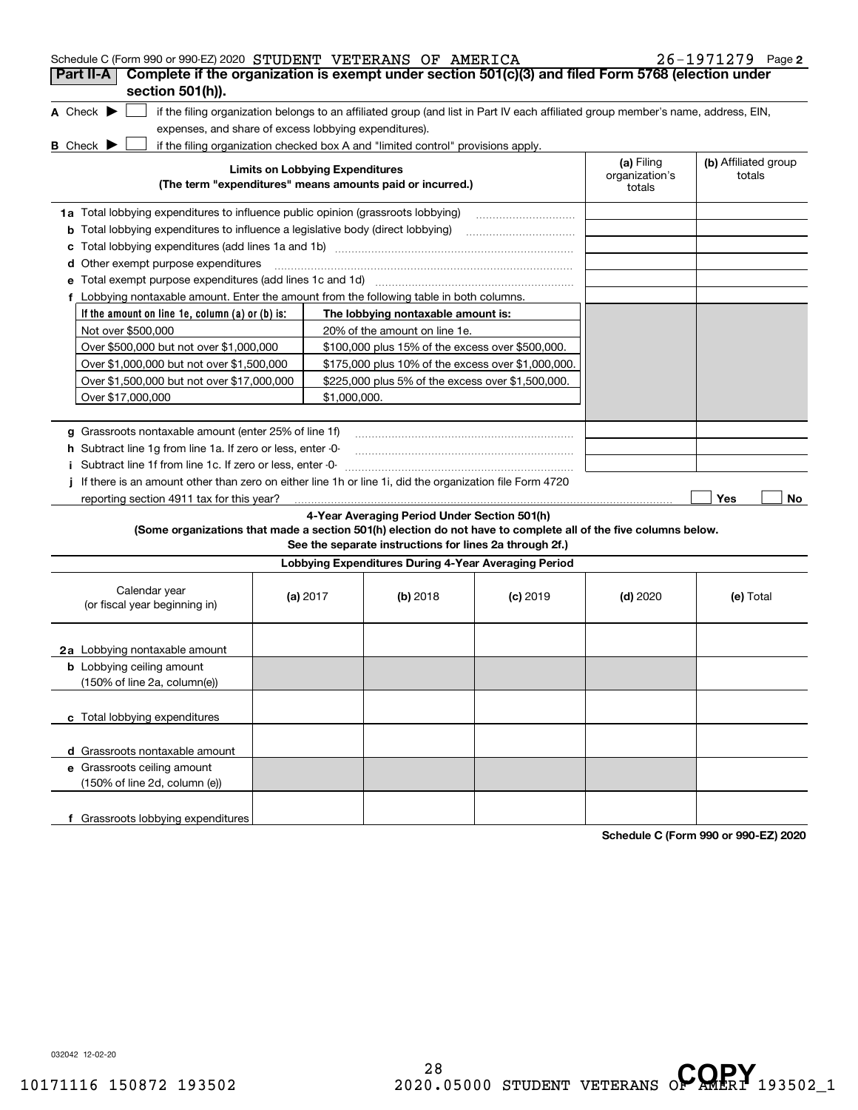| Schedule C (Form 990 or 990-EZ) 2020 STUDENT VETERANS OF AMERICA                                                                    |                                        |              |                                                                                  |                                                                                                                                   |                          | $26 - 1971279$ Page 2 |
|-------------------------------------------------------------------------------------------------------------------------------------|----------------------------------------|--------------|----------------------------------------------------------------------------------|-----------------------------------------------------------------------------------------------------------------------------------|--------------------------|-----------------------|
| Complete if the organization is exempt under section 501(c)(3) and filed Form 5768 (election under<br>Part II-A<br>section 501(h)). |                                        |              |                                                                                  |                                                                                                                                   |                          |                       |
|                                                                                                                                     |                                        |              |                                                                                  |                                                                                                                                   |                          |                       |
| A Check $\blacktriangleright$                                                                                                       |                                        |              |                                                                                  | if the filing organization belongs to an affiliated group (and list in Part IV each affiliated group member's name, address, EIN, |                          |                       |
| expenses, and share of excess lobbying expenditures).                                                                               |                                        |              | if the filing organization checked box A and "limited control" provisions apply. |                                                                                                                                   |                          |                       |
| <b>B</b> Check $\blacktriangleright$                                                                                                | <b>Limits on Lobbying Expenditures</b> |              |                                                                                  |                                                                                                                                   | (a) Filing               | (b) Affiliated group  |
|                                                                                                                                     |                                        |              | (The term "expenditures" means amounts paid or incurred.)                        |                                                                                                                                   | organization's<br>totals | totals                |
| 1a Total lobbying expenditures to influence public opinion (grassroots lobbying)                                                    |                                        |              |                                                                                  |                                                                                                                                   |                          |                       |
| <b>b</b> Total lobbying expenditures to influence a legislative body (direct lobbying)                                              |                                        |              |                                                                                  |                                                                                                                                   |                          |                       |
| c                                                                                                                                   |                                        |              |                                                                                  |                                                                                                                                   |                          |                       |
| d Other exempt purpose expenditures                                                                                                 |                                        |              |                                                                                  |                                                                                                                                   |                          |                       |
|                                                                                                                                     |                                        |              |                                                                                  |                                                                                                                                   |                          |                       |
| f Lobbying nontaxable amount. Enter the amount from the following table in both columns.                                            |                                        |              |                                                                                  |                                                                                                                                   |                          |                       |
| If the amount on line 1e, column $(a)$ or $(b)$ is:                                                                                 |                                        |              | The lobbying nontaxable amount is:                                               |                                                                                                                                   |                          |                       |
| Not over \$500,000                                                                                                                  |                                        |              | 20% of the amount on line 1e.                                                    |                                                                                                                                   |                          |                       |
| Over \$500,000 but not over \$1,000,000                                                                                             |                                        |              | \$100,000 plus 15% of the excess over \$500,000.                                 |                                                                                                                                   |                          |                       |
| Over \$1,000,000 but not over \$1,500,000                                                                                           |                                        |              | \$175,000 plus 10% of the excess over \$1,000,000.                               |                                                                                                                                   |                          |                       |
| Over \$1,500,000 but not over \$17,000,000                                                                                          |                                        |              | \$225,000 plus 5% of the excess over \$1,500,000.                                |                                                                                                                                   |                          |                       |
| Over \$17,000,000                                                                                                                   |                                        | \$1,000,000. |                                                                                  |                                                                                                                                   |                          |                       |
|                                                                                                                                     |                                        |              |                                                                                  |                                                                                                                                   |                          |                       |
| g Grassroots nontaxable amount (enter 25% of line 1f)                                                                               |                                        |              |                                                                                  |                                                                                                                                   |                          |                       |
| h Subtract line 1g from line 1a. If zero or less, enter -0-                                                                         |                                        |              |                                                                                  |                                                                                                                                   |                          |                       |
| Subtract line 1f from line 1c. If zero or less, enter -0-                                                                           |                                        |              |                                                                                  |                                                                                                                                   |                          |                       |
| If there is an amount other than zero on either line 1h or line 1i, did the organization file Form 4720                             |                                        |              |                                                                                  |                                                                                                                                   |                          |                       |
| reporting section 4911 tax for this year?                                                                                           |                                        |              |                                                                                  |                                                                                                                                   |                          | Yes<br>No             |
| (Some organizations that made a section 501(h) election do not have to complete all of the five columns below.                      |                                        |              | 4-Year Averaging Period Under Section 501(h)                                     |                                                                                                                                   |                          |                       |
|                                                                                                                                     |                                        |              | See the separate instructions for lines 2a through 2f.)                          |                                                                                                                                   |                          |                       |
|                                                                                                                                     |                                        |              | Lobbying Expenditures During 4-Year Averaging Period                             |                                                                                                                                   |                          |                       |
|                                                                                                                                     |                                        |              |                                                                                  |                                                                                                                                   |                          |                       |
| Calendar year<br>(or fiscal year beginning in)                                                                                      | (a) $2017$                             |              | (b) 2018                                                                         | $(c)$ 2019                                                                                                                        | $(d)$ 2020               | (e) Total             |
|                                                                                                                                     |                                        |              |                                                                                  |                                                                                                                                   |                          |                       |
|                                                                                                                                     |                                        |              |                                                                                  |                                                                                                                                   |                          |                       |
| <b>2a</b> Lobbying nontaxable amount                                                                                                |                                        |              |                                                                                  |                                                                                                                                   |                          |                       |
| <b>b</b> Lobbying ceiling amount                                                                                                    |                                        |              |                                                                                  |                                                                                                                                   |                          |                       |
| (150% of line 2a, column(e))                                                                                                        |                                        |              |                                                                                  |                                                                                                                                   |                          |                       |
|                                                                                                                                     |                                        |              |                                                                                  |                                                                                                                                   |                          |                       |
| c Total lobbying expenditures                                                                                                       |                                        |              |                                                                                  |                                                                                                                                   |                          |                       |
| d Grassroots nontaxable amount                                                                                                      |                                        |              |                                                                                  |                                                                                                                                   |                          |                       |
| e Grassroots ceiling amount                                                                                                         |                                        |              |                                                                                  |                                                                                                                                   |                          |                       |
| (150% of line 2d, column (e))                                                                                                       |                                        |              |                                                                                  |                                                                                                                                   |                          |                       |
|                                                                                                                                     |                                        |              |                                                                                  |                                                                                                                                   |                          |                       |
| f Grassroots lobbying expenditures                                                                                                  |                                        |              |                                                                                  |                                                                                                                                   |                          |                       |
|                                                                                                                                     |                                        |              |                                                                                  |                                                                                                                                   |                          |                       |

**Schedule C (Form 990 or 990-EZ) 2020**

032042 12-02-20

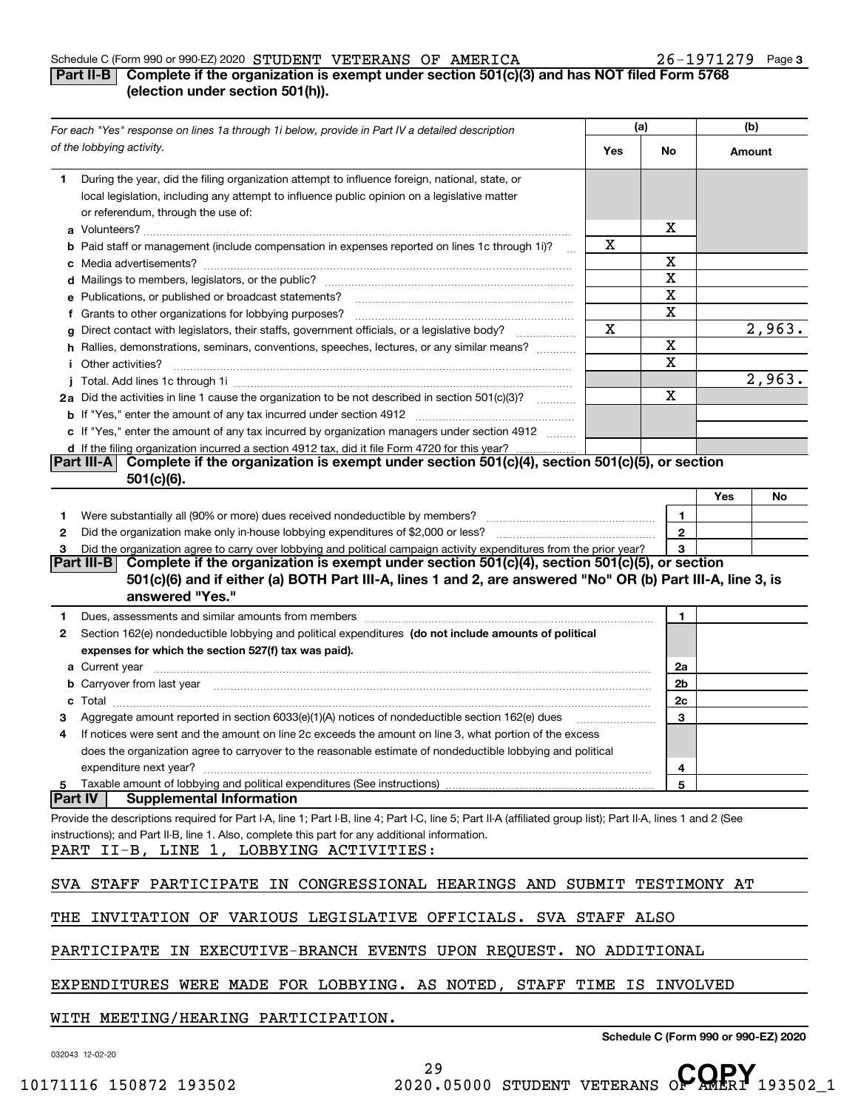## Schedule C (Form 990 or 990-EZ) 2020 Page STUDENT VETERANS OF AMERICA 26-1971279

# **3**

# **Part II-B** Complete if the organization is exempt under section 501(c)(3) and has NOT filed Form 5768 **(election under section 501(h)).**

|                | For each "Yes" response on lines 1a through 1i below, provide in Part IV a detailed description                                                                                                                                      |     | (a)          | (b)                   |  |
|----------------|--------------------------------------------------------------------------------------------------------------------------------------------------------------------------------------------------------------------------------------|-----|--------------|-----------------------|--|
|                | of the lobbying activity.                                                                                                                                                                                                            | Yes | No           | Amount                |  |
| 1.             | During the year, did the filing organization attempt to influence foreign, national, state, or<br>local legislation, including any attempt to influence public opinion on a legislative matter<br>or referendum, through the use of: |     | х            |                       |  |
|                | <b>b</b> Paid staff or management (include compensation in expenses reported on lines 1c through 1i)?                                                                                                                                | x   |              |                       |  |
|                |                                                                                                                                                                                                                                      |     | х            |                       |  |
|                |                                                                                                                                                                                                                                      |     | X            |                       |  |
|                | e Publications, or published or broadcast statements?                                                                                                                                                                                |     | X            |                       |  |
|                | f Grants to other organizations for lobbying purposes?                                                                                                                                                                               |     | Χ            |                       |  |
|                | g Direct contact with legislators, their staffs, government officials, or a legislative body?                                                                                                                                        | Χ   |              | $\overline{2}$ , 963. |  |
|                | h Rallies, demonstrations, seminars, conventions, speeches, lectures, or any similar means?                                                                                                                                          |     | X            |                       |  |
|                | <i>i</i> Other activities?                                                                                                                                                                                                           |     | $\mathbf X$  |                       |  |
|                |                                                                                                                                                                                                                                      |     |              | 2,963.                |  |
|                | 2a Did the activities in line 1 cause the organization to be not described in section 501(c)(3)?                                                                                                                                     |     | X            |                       |  |
|                |                                                                                                                                                                                                                                      |     |              |                       |  |
|                | c If "Yes," enter the amount of any tax incurred by organization managers under section 4912                                                                                                                                         |     |              |                       |  |
|                | d If the filing organization incurred a section 4912 tax, did it file Form 4720 for this year?<br>Complete if the organization is exempt under section 501(c)(4), section 501(c)(5), or section<br> Part III-A                       |     |              |                       |  |
|                | $501(c)(6)$ .                                                                                                                                                                                                                        |     |              |                       |  |
|                |                                                                                                                                                                                                                                      |     |              | Yes<br>No             |  |
| 1.             |                                                                                                                                                                                                                                      |     | 1            |                       |  |
| 2              |                                                                                                                                                                                                                                      |     | $\mathbf{2}$ |                       |  |
| з              | Did the organization agree to carry over lobbying and political campaign activity expenditures from the prior year?                                                                                                                  |     | 3            |                       |  |
|                | Complete if the organization is exempt under section 501(c)(4), section 501(c)(5), or section<br> Part III-B                                                                                                                         |     |              |                       |  |
|                | 501(c)(6) and if either (a) BOTH Part III-A, lines 1 and 2, are answered "No" OR (b) Part III-A, line 3, is                                                                                                                          |     |              |                       |  |
|                | answered "Yes."                                                                                                                                                                                                                      |     |              |                       |  |
| 1.             |                                                                                                                                                                                                                                      |     | 1.           |                       |  |
| 2              | Section 162(e) nondeductible lobbying and political expenditures (do not include amounts of political                                                                                                                                |     |              |                       |  |
|                | expenses for which the section 527(f) tax was paid).                                                                                                                                                                                 |     |              |                       |  |
|                |                                                                                                                                                                                                                                      |     | 2a<br>2b     |                       |  |
| c              | b Carryover from last year manufactured and contact the control of the control of the control of the control of the control of the control of the control of the control of the control of the control of the control of the c       |     | 2c           |                       |  |
|                | Aggregate amount reported in section 6033(e)(1)(A) notices of nondeductible section 162(e) dues                                                                                                                                      |     | 3            |                       |  |
| 4              | If notices were sent and the amount on line 2c exceeds the amount on line 3, what portion of the excess                                                                                                                              |     |              |                       |  |
|                | does the organization agree to carryover to the reasonable estimate of nondeductible lobbying and political                                                                                                                          |     |              |                       |  |
|                | expenditure next year?                                                                                                                                                                                                               |     | 4            |                       |  |
| 5              |                                                                                                                                                                                                                                      |     | 5            |                       |  |
| <b>Part IV</b> | <b>Supplemental Information</b>                                                                                                                                                                                                      |     |              |                       |  |
|                | Provide the descriptions required for Part I-A, line 1; Part I-B, line 4; Part I-C, line 5; Part II-A (affiliated group list); Part II-A, lines 1 and 2 (See                                                                         |     |              |                       |  |
|                | instructions); and Part II-B, line 1. Also, complete this part for any additional information.                                                                                                                                       |     |              |                       |  |
|                | PART II-B, LINE 1, LOBBYING ACTIVITIES:                                                                                                                                                                                              |     |              |                       |  |
|                |                                                                                                                                                                                                                                      |     |              |                       |  |
|                | SVA STAFF PARTICIPATE IN CONGRESSIONAL HEARINGS AND SUBMIT TESTIMONY AT                                                                                                                                                              |     |              |                       |  |
|                | THE INVITATION OF VARIOUS LEGISLATIVE OFFICIALS. SVA STAFF ALSO                                                                                                                                                                      |     |              |                       |  |
|                | PARTICIPATE IN EXECUTIVE-BRANCH EVENTS UPON REQUEST. NO ADDITIONAL                                                                                                                                                                   |     |              |                       |  |
|                | EXPENDITURES WERE MADE FOR LOBBYING. AS NOTED, STAFF TIME IS INVOLVED                                                                                                                                                                |     |              |                       |  |
|                | WITH MEETING/HEARING PARTICIPATION.                                                                                                                                                                                                  |     |              |                       |  |

**Schedule C (Form 990 or 990-EZ) 2020**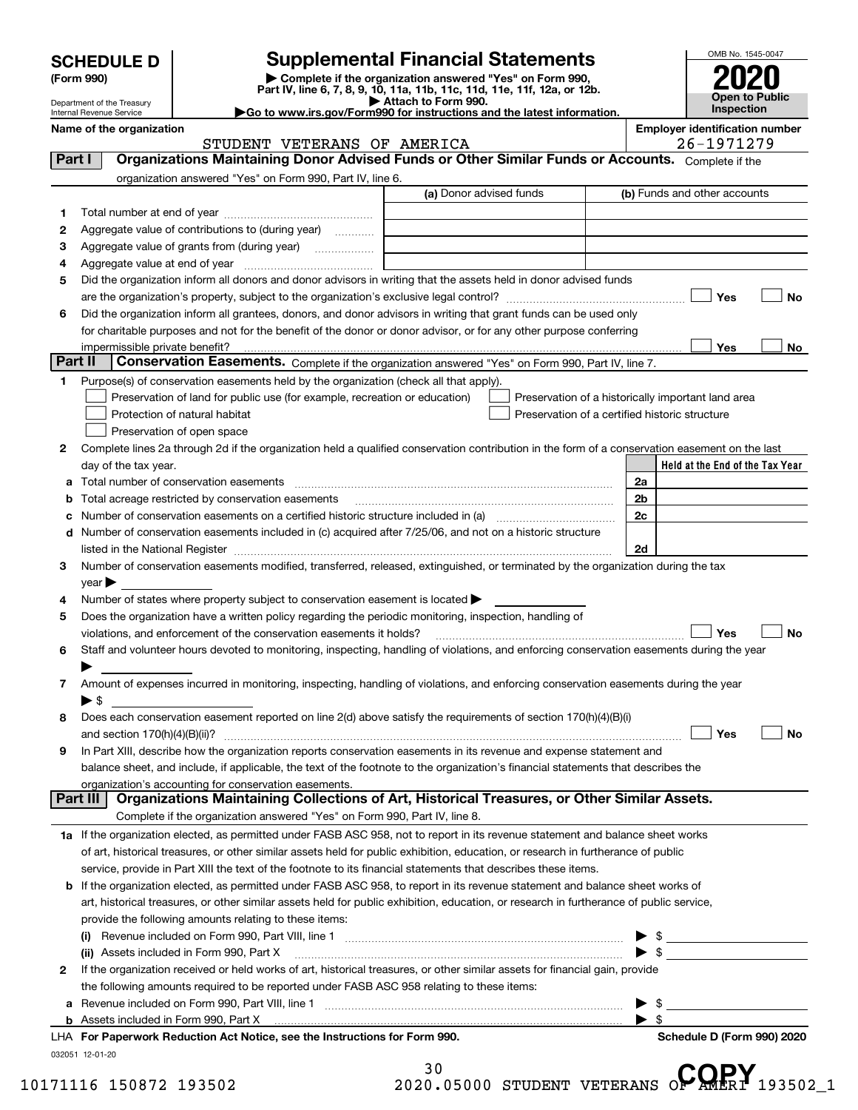| <b>SCHEDULE D</b> |  |
|-------------------|--|
|-------------------|--|

| (Form 990) |  |
|------------|--|
|------------|--|

# **Supplemental Financial Statements**

(Form 990)<br>
Pepartment of the Treasury<br>
Department of the Treasury<br>
Department of the Treasury<br>
Department of the Treasury<br> **Co to www.irs.gov/Form990 for instructions and the latest information.**<br> **Co to www.irs.gov/Form9** 



Department of the Treasury Internal Revenue Service

**Name of the organization Employer identification number**

|    |                                                                                                                                                                                                                                | (a) Donor advised funds |                                                    |                | (b) Funds and other accounts                                                                                                                                                                                                                                                                                                               |           |
|----|--------------------------------------------------------------------------------------------------------------------------------------------------------------------------------------------------------------------------------|-------------------------|----------------------------------------------------|----------------|--------------------------------------------------------------------------------------------------------------------------------------------------------------------------------------------------------------------------------------------------------------------------------------------------------------------------------------------|-----------|
| 1  |                                                                                                                                                                                                                                |                         |                                                    |                |                                                                                                                                                                                                                                                                                                                                            |           |
| 2  | Aggregate value of contributions to (during year)                                                                                                                                                                              |                         |                                                    |                |                                                                                                                                                                                                                                                                                                                                            |           |
| 3  |                                                                                                                                                                                                                                |                         |                                                    |                |                                                                                                                                                                                                                                                                                                                                            |           |
| 4  |                                                                                                                                                                                                                                |                         |                                                    |                |                                                                                                                                                                                                                                                                                                                                            |           |
| 5  | Did the organization inform all donors and donor advisors in writing that the assets held in donor advised funds                                                                                                               |                         |                                                    |                |                                                                                                                                                                                                                                                                                                                                            |           |
|    |                                                                                                                                                                                                                                |                         |                                                    |                | Yes                                                                                                                                                                                                                                                                                                                                        | No        |
| 6  | Did the organization inform all grantees, donors, and donor advisors in writing that grant funds can be used only                                                                                                              |                         |                                                    |                |                                                                                                                                                                                                                                                                                                                                            |           |
|    | for charitable purposes and not for the benefit of the donor or donor advisor, or for any other purpose conferring                                                                                                             |                         |                                                    |                |                                                                                                                                                                                                                                                                                                                                            |           |
|    |                                                                                                                                                                                                                                |                         |                                                    |                | Yes                                                                                                                                                                                                                                                                                                                                        | No        |
|    | Part II<br><b>Conservation Easements.</b> Complete if the organization answered "Yes" on Form 990, Part IV, line 7.                                                                                                            |                         |                                                    |                |                                                                                                                                                                                                                                                                                                                                            |           |
| 1. | Purpose(s) of conservation easements held by the organization (check all that apply).                                                                                                                                          |                         |                                                    |                |                                                                                                                                                                                                                                                                                                                                            |           |
|    | Preservation of land for public use (for example, recreation or education)                                                                                                                                                     |                         | Preservation of a historically important land area |                |                                                                                                                                                                                                                                                                                                                                            |           |
|    | Protection of natural habitat                                                                                                                                                                                                  |                         | Preservation of a certified historic structure     |                |                                                                                                                                                                                                                                                                                                                                            |           |
|    | Preservation of open space                                                                                                                                                                                                     |                         |                                                    |                |                                                                                                                                                                                                                                                                                                                                            |           |
| 2  | Complete lines 2a through 2d if the organization held a qualified conservation contribution in the form of a conservation easement on the last                                                                                 |                         |                                                    |                |                                                                                                                                                                                                                                                                                                                                            |           |
|    | day of the tax year.                                                                                                                                                                                                           |                         |                                                    |                | Held at the End of the Tax Year                                                                                                                                                                                                                                                                                                            |           |
| а  |                                                                                                                                                                                                                                |                         |                                                    | 2a             |                                                                                                                                                                                                                                                                                                                                            |           |
| b  |                                                                                                                                                                                                                                |                         |                                                    | 2 <sub>b</sub> |                                                                                                                                                                                                                                                                                                                                            |           |
| c  | Number of conservation easements on a certified historic structure included in (a) manufactured in the manufactured in the manufactured in the manufactured in the manufactured in the manufactured in the manufactured in the |                         |                                                    | 2c             |                                                                                                                                                                                                                                                                                                                                            |           |
|    | d Number of conservation easements included in (c) acquired after 7/25/06, and not on a historic structure                                                                                                                     |                         |                                                    |                |                                                                                                                                                                                                                                                                                                                                            |           |
|    | listed in the National Register [111] [12] The Mational Register [11] Mathematic Mathematic Mathematic Mathematic Mathematic Mathematic Mathematic Mathematic Mathematic Mathematic Mathematic Mathematic Mathematic Mathemati |                         |                                                    | 2d             |                                                                                                                                                                                                                                                                                                                                            |           |
|    |                                                                                                                                                                                                                                |                         |                                                    |                |                                                                                                                                                                                                                                                                                                                                            |           |
| з  | Number of conservation easements modified, transferred, released, extinguished, or terminated by the organization during the tax                                                                                               |                         |                                                    |                |                                                                                                                                                                                                                                                                                                                                            |           |
|    | year                                                                                                                                                                                                                           |                         |                                                    |                |                                                                                                                                                                                                                                                                                                                                            |           |
| 4  | Number of states where property subject to conservation easement is located >                                                                                                                                                  |                         |                                                    |                |                                                                                                                                                                                                                                                                                                                                            |           |
| 5  | Does the organization have a written policy regarding the periodic monitoring, inspection, handling of                                                                                                                         |                         |                                                    |                |                                                                                                                                                                                                                                                                                                                                            |           |
|    | violations, and enforcement of the conservation easements it holds?                                                                                                                                                            |                         |                                                    |                | Yes                                                                                                                                                                                                                                                                                                                                        |           |
| 6  | Staff and volunteer hours devoted to monitoring, inspecting, handling of violations, and enforcing conservation easements during the year                                                                                      |                         |                                                    |                |                                                                                                                                                                                                                                                                                                                                            | <b>No</b> |
|    |                                                                                                                                                                                                                                |                         |                                                    |                |                                                                                                                                                                                                                                                                                                                                            |           |
| 7  | Amount of expenses incurred in monitoring, inspecting, handling of violations, and enforcing conservation easements during the year<br>$\blacktriangleright$ \$                                                                |                         |                                                    |                |                                                                                                                                                                                                                                                                                                                                            |           |
| 8  | Does each conservation easement reported on line 2(d) above satisfy the requirements of section 170(h)(4)(B)(i)                                                                                                                |                         |                                                    |                | Yes                                                                                                                                                                                                                                                                                                                                        |           |
| 9  |                                                                                                                                                                                                                                |                         |                                                    |                |                                                                                                                                                                                                                                                                                                                                            | No        |
|    | In Part XIII, describe how the organization reports conservation easements in its revenue and expense statement and                                                                                                            |                         |                                                    |                |                                                                                                                                                                                                                                                                                                                                            |           |
|    | balance sheet, and include, if applicable, the text of the footnote to the organization's financial statements that describes the<br>organization's accounting for conservation easements.                                     |                         |                                                    |                |                                                                                                                                                                                                                                                                                                                                            |           |
|    | Part III   Organizations Maintaining Collections of Art, Historical Treasures, or Other Similar Assets.                                                                                                                        |                         |                                                    |                |                                                                                                                                                                                                                                                                                                                                            |           |
|    | Complete if the organization answered "Yes" on Form 990, Part IV, line 8.                                                                                                                                                      |                         |                                                    |                |                                                                                                                                                                                                                                                                                                                                            |           |
|    | 1a If the organization elected, as permitted under FASB ASC 958, not to report in its revenue statement and balance sheet works                                                                                                |                         |                                                    |                |                                                                                                                                                                                                                                                                                                                                            |           |
|    | of art, historical treasures, or other similar assets held for public exhibition, education, or research in furtherance of public                                                                                              |                         |                                                    |                |                                                                                                                                                                                                                                                                                                                                            |           |
|    | service, provide in Part XIII the text of the footnote to its financial statements that describes these items.                                                                                                                 |                         |                                                    |                |                                                                                                                                                                                                                                                                                                                                            |           |
|    |                                                                                                                                                                                                                                |                         |                                                    |                |                                                                                                                                                                                                                                                                                                                                            |           |
|    | b If the organization elected, as permitted under FASB ASC 958, to report in its revenue statement and balance sheet works of                                                                                                  |                         |                                                    |                |                                                                                                                                                                                                                                                                                                                                            |           |
|    | art, historical treasures, or other similar assets held for public exhibition, education, or research in furtherance of public service,<br>provide the following amounts relating to these items:                              |                         |                                                    |                |                                                                                                                                                                                                                                                                                                                                            |           |
|    |                                                                                                                                                                                                                                |                         |                                                    |                |                                                                                                                                                                                                                                                                                                                                            |           |
|    | (ii) Assets included in Form 990, Part X                                                                                                                                                                                       |                         |                                                    |                | $\frac{1}{2}$ $\frac{1}{2}$ $\frac{1}{2}$ $\frac{1}{2}$ $\frac{1}{2}$ $\frac{1}{2}$ $\frac{1}{2}$ $\frac{1}{2}$ $\frac{1}{2}$ $\frac{1}{2}$ $\frac{1}{2}$ $\frac{1}{2}$ $\frac{1}{2}$ $\frac{1}{2}$ $\frac{1}{2}$ $\frac{1}{2}$ $\frac{1}{2}$ $\frac{1}{2}$ $\frac{1}{2}$ $\frac{1}{2}$ $\frac{1}{2}$ $\frac{1}{2}$<br>$\triangleright$ \$ |           |
| 2  |                                                                                                                                                                                                                                |                         |                                                    |                |                                                                                                                                                                                                                                                                                                                                            |           |
|    | If the organization received or held works of art, historical treasures, or other similar assets for financial gain, provide<br>the following amounts required to be reported under FASB ASC 958 relating to these items:      |                         |                                                    |                |                                                                                                                                                                                                                                                                                                                                            |           |
|    |                                                                                                                                                                                                                                |                         |                                                    |                | -\$                                                                                                                                                                                                                                                                                                                                        |           |
|    |                                                                                                                                                                                                                                |                         |                                                    |                |                                                                                                                                                                                                                                                                                                                                            |           |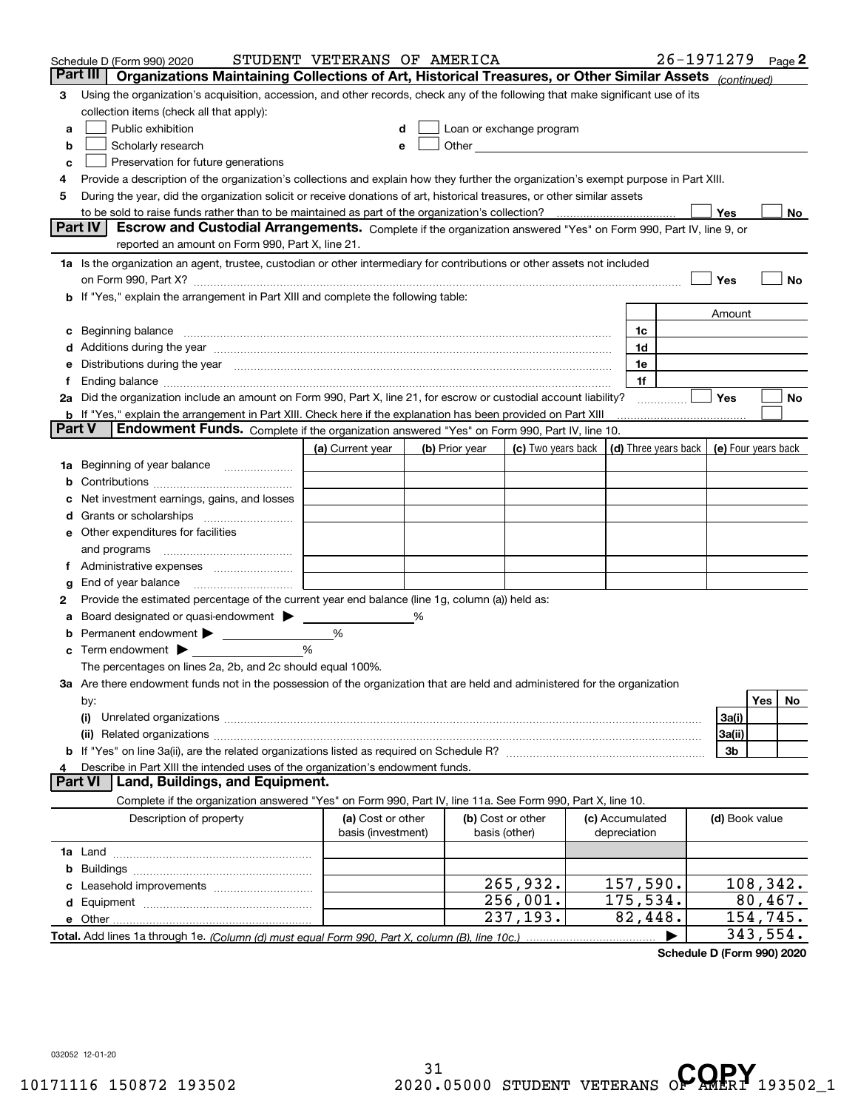| Part III<br>Organizations Maintaining Collections of Art, Historical Treasures, or Other Similar Assets (continued)<br>Using the organization's acquisition, accession, and other records, check any of the following that make significant use of its<br>3<br>collection items (check all that apply):<br>Public exhibition<br>Loan or exchange program<br>a<br>Other <b>Committee Committee Committee Committee</b><br>Scholarly research<br>b<br>е<br>Preservation for future generations<br>с<br>Provide a description of the organization's collections and explain how they further the organization's exempt purpose in Part XIII.<br>4<br>During the year, did the organization solicit or receive donations of art, historical treasures, or other similar assets<br>5<br>to be sold to raise funds rather than to be maintained as part of the organization's collection?<br>Yes<br><b>Part IV</b><br>Escrow and Custodial Arrangements. Complete if the organization answered "Yes" on Form 990, Part IV, line 9, or<br>reported an amount on Form 990, Part X, line 21.<br>1a Is the organization an agent, trustee, custodian or other intermediary for contributions or other assets not included<br>Yes<br>on Form 990, Part X? [11] matter contracts and contracts and contracts are contracted as a form 990, Part X?<br>b If "Yes," explain the arrangement in Part XIII and complete the following table:<br>Amount<br>Beginning balance material content contracts and content and content and content and content and content and content and content and content and content and content and content and content and content and content and conte<br>1c<br>c<br>1d<br>Additions during the year manufactured and an account of the state of the state of the state of the state of the state of the state of the state of the state of the state of the state of the state of the state of the state<br>Distributions during the year manufactured and continuum and continuum and continuum and continuum and continuum<br>1e<br>1f<br>Ť.<br>2a Did the organization include an amount on Form 990, Part X, line 21, for escrow or custodial account liability?<br>Yes | No<br>No |
|------------------------------------------------------------------------------------------------------------------------------------------------------------------------------------------------------------------------------------------------------------------------------------------------------------------------------------------------------------------------------------------------------------------------------------------------------------------------------------------------------------------------------------------------------------------------------------------------------------------------------------------------------------------------------------------------------------------------------------------------------------------------------------------------------------------------------------------------------------------------------------------------------------------------------------------------------------------------------------------------------------------------------------------------------------------------------------------------------------------------------------------------------------------------------------------------------------------------------------------------------------------------------------------------------------------------------------------------------------------------------------------------------------------------------------------------------------------------------------------------------------------------------------------------------------------------------------------------------------------------------------------------------------------------------------------------------------------------------------------------------------------------------------------------------------------------------------------------------------------------------------------------------------------------------------------------------------------------------------------------------------------------------------------------------------------------------------------------------------------------------------------------------------------------------------------------|----------|
|                                                                                                                                                                                                                                                                                                                                                                                                                                                                                                                                                                                                                                                                                                                                                                                                                                                                                                                                                                                                                                                                                                                                                                                                                                                                                                                                                                                                                                                                                                                                                                                                                                                                                                                                                                                                                                                                                                                                                                                                                                                                                                                                                                                                |          |
|                                                                                                                                                                                                                                                                                                                                                                                                                                                                                                                                                                                                                                                                                                                                                                                                                                                                                                                                                                                                                                                                                                                                                                                                                                                                                                                                                                                                                                                                                                                                                                                                                                                                                                                                                                                                                                                                                                                                                                                                                                                                                                                                                                                                |          |
|                                                                                                                                                                                                                                                                                                                                                                                                                                                                                                                                                                                                                                                                                                                                                                                                                                                                                                                                                                                                                                                                                                                                                                                                                                                                                                                                                                                                                                                                                                                                                                                                                                                                                                                                                                                                                                                                                                                                                                                                                                                                                                                                                                                                |          |
|                                                                                                                                                                                                                                                                                                                                                                                                                                                                                                                                                                                                                                                                                                                                                                                                                                                                                                                                                                                                                                                                                                                                                                                                                                                                                                                                                                                                                                                                                                                                                                                                                                                                                                                                                                                                                                                                                                                                                                                                                                                                                                                                                                                                |          |
|                                                                                                                                                                                                                                                                                                                                                                                                                                                                                                                                                                                                                                                                                                                                                                                                                                                                                                                                                                                                                                                                                                                                                                                                                                                                                                                                                                                                                                                                                                                                                                                                                                                                                                                                                                                                                                                                                                                                                                                                                                                                                                                                                                                                |          |
|                                                                                                                                                                                                                                                                                                                                                                                                                                                                                                                                                                                                                                                                                                                                                                                                                                                                                                                                                                                                                                                                                                                                                                                                                                                                                                                                                                                                                                                                                                                                                                                                                                                                                                                                                                                                                                                                                                                                                                                                                                                                                                                                                                                                |          |
|                                                                                                                                                                                                                                                                                                                                                                                                                                                                                                                                                                                                                                                                                                                                                                                                                                                                                                                                                                                                                                                                                                                                                                                                                                                                                                                                                                                                                                                                                                                                                                                                                                                                                                                                                                                                                                                                                                                                                                                                                                                                                                                                                                                                |          |
|                                                                                                                                                                                                                                                                                                                                                                                                                                                                                                                                                                                                                                                                                                                                                                                                                                                                                                                                                                                                                                                                                                                                                                                                                                                                                                                                                                                                                                                                                                                                                                                                                                                                                                                                                                                                                                                                                                                                                                                                                                                                                                                                                                                                |          |
|                                                                                                                                                                                                                                                                                                                                                                                                                                                                                                                                                                                                                                                                                                                                                                                                                                                                                                                                                                                                                                                                                                                                                                                                                                                                                                                                                                                                                                                                                                                                                                                                                                                                                                                                                                                                                                                                                                                                                                                                                                                                                                                                                                                                |          |
|                                                                                                                                                                                                                                                                                                                                                                                                                                                                                                                                                                                                                                                                                                                                                                                                                                                                                                                                                                                                                                                                                                                                                                                                                                                                                                                                                                                                                                                                                                                                                                                                                                                                                                                                                                                                                                                                                                                                                                                                                                                                                                                                                                                                |          |
|                                                                                                                                                                                                                                                                                                                                                                                                                                                                                                                                                                                                                                                                                                                                                                                                                                                                                                                                                                                                                                                                                                                                                                                                                                                                                                                                                                                                                                                                                                                                                                                                                                                                                                                                                                                                                                                                                                                                                                                                                                                                                                                                                                                                |          |
|                                                                                                                                                                                                                                                                                                                                                                                                                                                                                                                                                                                                                                                                                                                                                                                                                                                                                                                                                                                                                                                                                                                                                                                                                                                                                                                                                                                                                                                                                                                                                                                                                                                                                                                                                                                                                                                                                                                                                                                                                                                                                                                                                                                                |          |
|                                                                                                                                                                                                                                                                                                                                                                                                                                                                                                                                                                                                                                                                                                                                                                                                                                                                                                                                                                                                                                                                                                                                                                                                                                                                                                                                                                                                                                                                                                                                                                                                                                                                                                                                                                                                                                                                                                                                                                                                                                                                                                                                                                                                |          |
|                                                                                                                                                                                                                                                                                                                                                                                                                                                                                                                                                                                                                                                                                                                                                                                                                                                                                                                                                                                                                                                                                                                                                                                                                                                                                                                                                                                                                                                                                                                                                                                                                                                                                                                                                                                                                                                                                                                                                                                                                                                                                                                                                                                                |          |
|                                                                                                                                                                                                                                                                                                                                                                                                                                                                                                                                                                                                                                                                                                                                                                                                                                                                                                                                                                                                                                                                                                                                                                                                                                                                                                                                                                                                                                                                                                                                                                                                                                                                                                                                                                                                                                                                                                                                                                                                                                                                                                                                                                                                |          |
|                                                                                                                                                                                                                                                                                                                                                                                                                                                                                                                                                                                                                                                                                                                                                                                                                                                                                                                                                                                                                                                                                                                                                                                                                                                                                                                                                                                                                                                                                                                                                                                                                                                                                                                                                                                                                                                                                                                                                                                                                                                                                                                                                                                                |          |
|                                                                                                                                                                                                                                                                                                                                                                                                                                                                                                                                                                                                                                                                                                                                                                                                                                                                                                                                                                                                                                                                                                                                                                                                                                                                                                                                                                                                                                                                                                                                                                                                                                                                                                                                                                                                                                                                                                                                                                                                                                                                                                                                                                                                |          |
|                                                                                                                                                                                                                                                                                                                                                                                                                                                                                                                                                                                                                                                                                                                                                                                                                                                                                                                                                                                                                                                                                                                                                                                                                                                                                                                                                                                                                                                                                                                                                                                                                                                                                                                                                                                                                                                                                                                                                                                                                                                                                                                                                                                                |          |
|                                                                                                                                                                                                                                                                                                                                                                                                                                                                                                                                                                                                                                                                                                                                                                                                                                                                                                                                                                                                                                                                                                                                                                                                                                                                                                                                                                                                                                                                                                                                                                                                                                                                                                                                                                                                                                                                                                                                                                                                                                                                                                                                                                                                |          |
| .                                                                                                                                                                                                                                                                                                                                                                                                                                                                                                                                                                                                                                                                                                                                                                                                                                                                                                                                                                                                                                                                                                                                                                                                                                                                                                                                                                                                                                                                                                                                                                                                                                                                                                                                                                                                                                                                                                                                                                                                                                                                                                                                                                                              | No       |
| <b>b</b> If "Yes," explain the arrangement in Part XIII. Check here if the explanation has been provided on Part XIII<br>Part V<br>Endowment Funds. Complete if the organization answered "Yes" on Form 990, Part IV, line 10.                                                                                                                                                                                                                                                                                                                                                                                                                                                                                                                                                                                                                                                                                                                                                                                                                                                                                                                                                                                                                                                                                                                                                                                                                                                                                                                                                                                                                                                                                                                                                                                                                                                                                                                                                                                                                                                                                                                                                                 |          |
|                                                                                                                                                                                                                                                                                                                                                                                                                                                                                                                                                                                                                                                                                                                                                                                                                                                                                                                                                                                                                                                                                                                                                                                                                                                                                                                                                                                                                                                                                                                                                                                                                                                                                                                                                                                                                                                                                                                                                                                                                                                                                                                                                                                                |          |
| (d) Three years back<br>(a) Current year<br>(c) Two years back<br>(e) Four years back<br>(b) Prior year                                                                                                                                                                                                                                                                                                                                                                                                                                                                                                                                                                                                                                                                                                                                                                                                                                                                                                                                                                                                                                                                                                                                                                                                                                                                                                                                                                                                                                                                                                                                                                                                                                                                                                                                                                                                                                                                                                                                                                                                                                                                                        |          |
| Beginning of year balance<br>1a                                                                                                                                                                                                                                                                                                                                                                                                                                                                                                                                                                                                                                                                                                                                                                                                                                                                                                                                                                                                                                                                                                                                                                                                                                                                                                                                                                                                                                                                                                                                                                                                                                                                                                                                                                                                                                                                                                                                                                                                                                                                                                                                                                |          |
|                                                                                                                                                                                                                                                                                                                                                                                                                                                                                                                                                                                                                                                                                                                                                                                                                                                                                                                                                                                                                                                                                                                                                                                                                                                                                                                                                                                                                                                                                                                                                                                                                                                                                                                                                                                                                                                                                                                                                                                                                                                                                                                                                                                                |          |
| Net investment earnings, gains, and losses                                                                                                                                                                                                                                                                                                                                                                                                                                                                                                                                                                                                                                                                                                                                                                                                                                                                                                                                                                                                                                                                                                                                                                                                                                                                                                                                                                                                                                                                                                                                                                                                                                                                                                                                                                                                                                                                                                                                                                                                                                                                                                                                                     |          |
| d                                                                                                                                                                                                                                                                                                                                                                                                                                                                                                                                                                                                                                                                                                                                                                                                                                                                                                                                                                                                                                                                                                                                                                                                                                                                                                                                                                                                                                                                                                                                                                                                                                                                                                                                                                                                                                                                                                                                                                                                                                                                                                                                                                                              |          |
| e Other expenditures for facilities                                                                                                                                                                                                                                                                                                                                                                                                                                                                                                                                                                                                                                                                                                                                                                                                                                                                                                                                                                                                                                                                                                                                                                                                                                                                                                                                                                                                                                                                                                                                                                                                                                                                                                                                                                                                                                                                                                                                                                                                                                                                                                                                                            |          |
| and programs                                                                                                                                                                                                                                                                                                                                                                                                                                                                                                                                                                                                                                                                                                                                                                                                                                                                                                                                                                                                                                                                                                                                                                                                                                                                                                                                                                                                                                                                                                                                                                                                                                                                                                                                                                                                                                                                                                                                                                                                                                                                                                                                                                                   |          |
| End of year balance                                                                                                                                                                                                                                                                                                                                                                                                                                                                                                                                                                                                                                                                                                                                                                                                                                                                                                                                                                                                                                                                                                                                                                                                                                                                                                                                                                                                                                                                                                                                                                                                                                                                                                                                                                                                                                                                                                                                                                                                                                                                                                                                                                            |          |
| g<br>Provide the estimated percentage of the current year end balance (line 1g, column (a)) held as:<br>2                                                                                                                                                                                                                                                                                                                                                                                                                                                                                                                                                                                                                                                                                                                                                                                                                                                                                                                                                                                                                                                                                                                                                                                                                                                                                                                                                                                                                                                                                                                                                                                                                                                                                                                                                                                                                                                                                                                                                                                                                                                                                      |          |
| Board designated or quasi-endowment<br>℅                                                                                                                                                                                                                                                                                                                                                                                                                                                                                                                                                                                                                                                                                                                                                                                                                                                                                                                                                                                                                                                                                                                                                                                                                                                                                                                                                                                                                                                                                                                                                                                                                                                                                                                                                                                                                                                                                                                                                                                                                                                                                                                                                       |          |
| а<br>Permanent endowment > <u>example</u><br>%                                                                                                                                                                                                                                                                                                                                                                                                                                                                                                                                                                                                                                                                                                                                                                                                                                                                                                                                                                                                                                                                                                                                                                                                                                                                                                                                                                                                                                                                                                                                                                                                                                                                                                                                                                                                                                                                                                                                                                                                                                                                                                                                                 |          |
| %<br>Term endowment $\blacktriangleright$                                                                                                                                                                                                                                                                                                                                                                                                                                                                                                                                                                                                                                                                                                                                                                                                                                                                                                                                                                                                                                                                                                                                                                                                                                                                                                                                                                                                                                                                                                                                                                                                                                                                                                                                                                                                                                                                                                                                                                                                                                                                                                                                                      |          |
| The percentages on lines 2a, 2b, and 2c should equal 100%.                                                                                                                                                                                                                                                                                                                                                                                                                                                                                                                                                                                                                                                                                                                                                                                                                                                                                                                                                                                                                                                                                                                                                                                                                                                                                                                                                                                                                                                                                                                                                                                                                                                                                                                                                                                                                                                                                                                                                                                                                                                                                                                                     |          |
| 3a Are there endowment funds not in the possession of the organization that are held and administered for the organization                                                                                                                                                                                                                                                                                                                                                                                                                                                                                                                                                                                                                                                                                                                                                                                                                                                                                                                                                                                                                                                                                                                                                                                                                                                                                                                                                                                                                                                                                                                                                                                                                                                                                                                                                                                                                                                                                                                                                                                                                                                                     |          |
| Yes<br>by:                                                                                                                                                                                                                                                                                                                                                                                                                                                                                                                                                                                                                                                                                                                                                                                                                                                                                                                                                                                                                                                                                                                                                                                                                                                                                                                                                                                                                                                                                                                                                                                                                                                                                                                                                                                                                                                                                                                                                                                                                                                                                                                                                                                     | No.      |
| 3a(i)<br>(i)                                                                                                                                                                                                                                                                                                                                                                                                                                                                                                                                                                                                                                                                                                                                                                                                                                                                                                                                                                                                                                                                                                                                                                                                                                                                                                                                                                                                                                                                                                                                                                                                                                                                                                                                                                                                                                                                                                                                                                                                                                                                                                                                                                                   |          |
| 3a(ii)                                                                                                                                                                                                                                                                                                                                                                                                                                                                                                                                                                                                                                                                                                                                                                                                                                                                                                                                                                                                                                                                                                                                                                                                                                                                                                                                                                                                                                                                                                                                                                                                                                                                                                                                                                                                                                                                                                                                                                                                                                                                                                                                                                                         |          |
| 3b                                                                                                                                                                                                                                                                                                                                                                                                                                                                                                                                                                                                                                                                                                                                                                                                                                                                                                                                                                                                                                                                                                                                                                                                                                                                                                                                                                                                                                                                                                                                                                                                                                                                                                                                                                                                                                                                                                                                                                                                                                                                                                                                                                                             |          |
| Describe in Part XIII the intended uses of the organization's endowment funds.<br>4                                                                                                                                                                                                                                                                                                                                                                                                                                                                                                                                                                                                                                                                                                                                                                                                                                                                                                                                                                                                                                                                                                                                                                                                                                                                                                                                                                                                                                                                                                                                                                                                                                                                                                                                                                                                                                                                                                                                                                                                                                                                                                            |          |
| Land, Buildings, and Equipment.<br>Part VI                                                                                                                                                                                                                                                                                                                                                                                                                                                                                                                                                                                                                                                                                                                                                                                                                                                                                                                                                                                                                                                                                                                                                                                                                                                                                                                                                                                                                                                                                                                                                                                                                                                                                                                                                                                                                                                                                                                                                                                                                                                                                                                                                     |          |
| Complete if the organization answered "Yes" on Form 990, Part IV, line 11a. See Form 990, Part X, line 10.                                                                                                                                                                                                                                                                                                                                                                                                                                                                                                                                                                                                                                                                                                                                                                                                                                                                                                                                                                                                                                                                                                                                                                                                                                                                                                                                                                                                                                                                                                                                                                                                                                                                                                                                                                                                                                                                                                                                                                                                                                                                                     |          |
| Description of property<br>(a) Cost or other<br>(b) Cost or other<br>(c) Accumulated<br>(d) Book value<br>basis (investment)<br>basis (other)<br>depreciation                                                                                                                                                                                                                                                                                                                                                                                                                                                                                                                                                                                                                                                                                                                                                                                                                                                                                                                                                                                                                                                                                                                                                                                                                                                                                                                                                                                                                                                                                                                                                                                                                                                                                                                                                                                                                                                                                                                                                                                                                                  |          |
|                                                                                                                                                                                                                                                                                                                                                                                                                                                                                                                                                                                                                                                                                                                                                                                                                                                                                                                                                                                                                                                                                                                                                                                                                                                                                                                                                                                                                                                                                                                                                                                                                                                                                                                                                                                                                                                                                                                                                                                                                                                                                                                                                                                                |          |
| b                                                                                                                                                                                                                                                                                                                                                                                                                                                                                                                                                                                                                                                                                                                                                                                                                                                                                                                                                                                                                                                                                                                                                                                                                                                                                                                                                                                                                                                                                                                                                                                                                                                                                                                                                                                                                                                                                                                                                                                                                                                                                                                                                                                              |          |
|                                                                                                                                                                                                                                                                                                                                                                                                                                                                                                                                                                                                                                                                                                                                                                                                                                                                                                                                                                                                                                                                                                                                                                                                                                                                                                                                                                                                                                                                                                                                                                                                                                                                                                                                                                                                                                                                                                                                                                                                                                                                                                                                                                                                | 108,342. |
| 265,932.<br>157,590.                                                                                                                                                                                                                                                                                                                                                                                                                                                                                                                                                                                                                                                                                                                                                                                                                                                                                                                                                                                                                                                                                                                                                                                                                                                                                                                                                                                                                                                                                                                                                                                                                                                                                                                                                                                                                                                                                                                                                                                                                                                                                                                                                                           |          |
| 256,001.<br>175,534.                                                                                                                                                                                                                                                                                                                                                                                                                                                                                                                                                                                                                                                                                                                                                                                                                                                                                                                                                                                                                                                                                                                                                                                                                                                                                                                                                                                                                                                                                                                                                                                                                                                                                                                                                                                                                                                                                                                                                                                                                                                                                                                                                                           | 80,467.  |
| 237,193.<br>82,448.<br>154,745.<br>343,554.                                                                                                                                                                                                                                                                                                                                                                                                                                                                                                                                                                                                                                                                                                                                                                                                                                                                                                                                                                                                                                                                                                                                                                                                                                                                                                                                                                                                                                                                                                                                                                                                                                                                                                                                                                                                                                                                                                                                                                                                                                                                                                                                                    |          |

**Schedule D (Form 990) 2020**

032052 12-01-20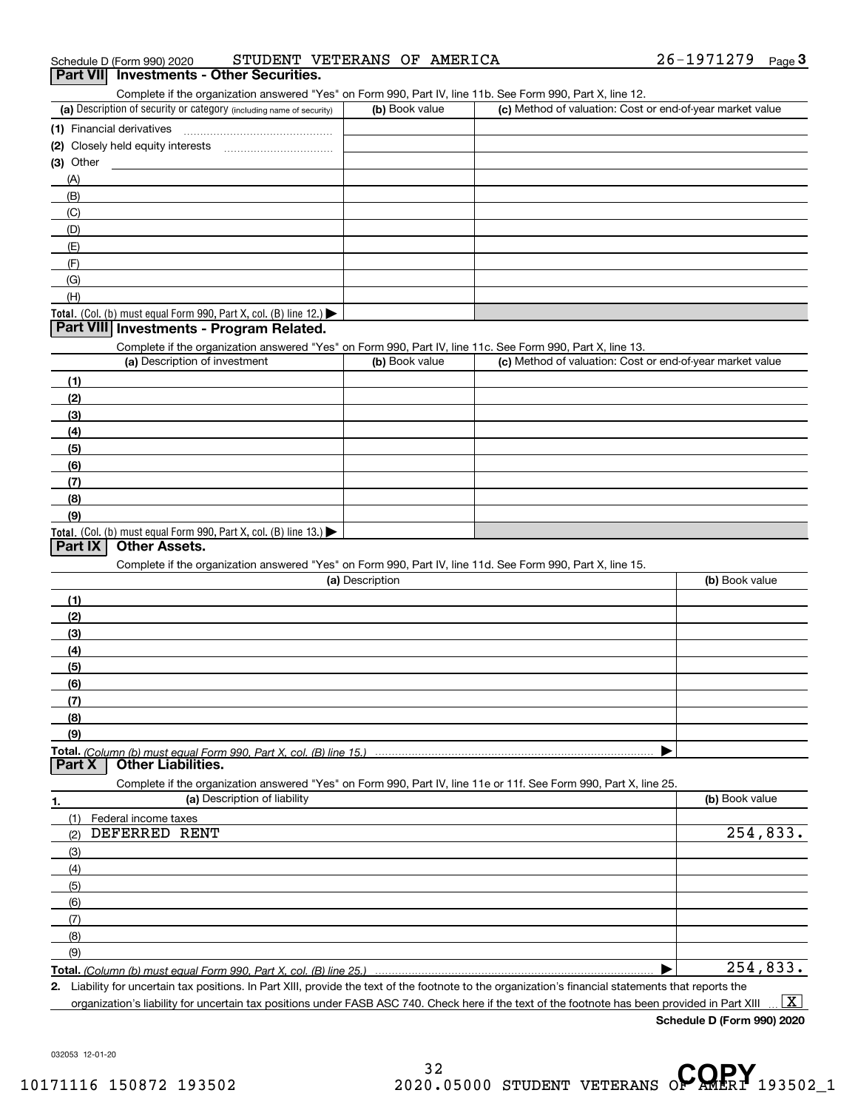| 26-1971279<br>STUDENT VETERANS OF AMERICA<br>Schedule D (Form 990) 2020 |  | Page |
|-------------------------------------------------------------------------|--|------|
|-------------------------------------------------------------------------|--|------|

ichedule D (Form 990) 2020 STUDENT VETERANS OF AMERICA 26-1971279 Page 3<br>**Part VII Investments - Other Securities.**<br>Complete if the organization answered "Yes" on Form 990, Part IV, line 11b. See Form 990, Part X, line 1

| (a) Description of security or category (including name of security)       | (b) Book value | (c) Method of valuation: Cost or end-of-year market value |
|----------------------------------------------------------------------------|----------------|-----------------------------------------------------------|
| (1) Financial derivatives                                                  |                |                                                           |
| (2) Closely held equity interests                                          |                |                                                           |
| $(3)$ Other                                                                |                |                                                           |
| (A)                                                                        |                |                                                           |
| (B)                                                                        |                |                                                           |
| (C)                                                                        |                |                                                           |
| (D)                                                                        |                |                                                           |
| (E)                                                                        |                |                                                           |
| (F)                                                                        |                |                                                           |
| (G)                                                                        |                |                                                           |
| (H)                                                                        |                |                                                           |
| <b>Total.</b> (Col. (b) must equal Form 990, Part X, col. (B) line $12$ .) |                |                                                           |

## **Part VIII Investments - Program Related.**

Complete if the organization answered "Yes" on Form 990, Part IV, line 11c. See Form 990, Part X, line 13.

| (a) Description of investment                                    | (b) Book value | (c) Method of valuation: Cost or end-of-year market value |
|------------------------------------------------------------------|----------------|-----------------------------------------------------------|
| (1)                                                              |                |                                                           |
| (2)                                                              |                |                                                           |
| (3)                                                              |                |                                                           |
| (4)                                                              |                |                                                           |
| $\left(5\right)$                                                 |                |                                                           |
| (6)                                                              |                |                                                           |
| (7)                                                              |                |                                                           |
| (8)                                                              |                |                                                           |
| (9)                                                              |                |                                                           |
| Total. (Col. (b) must equal Form 990, Part X, col. (B) line 13.) |                |                                                           |

# **Part IX Other Assets.**

Complete if the organization answered "Yes" on Form 990, Part IV, line 11d. See Form 990, Part X, line 15.

| (a) Description                                                                                                  | (b) Book value |
|------------------------------------------------------------------------------------------------------------------|----------------|
| (1)                                                                                                              |                |
| (2)                                                                                                              |                |
| (3)                                                                                                              |                |
| (4)                                                                                                              |                |
| (5)                                                                                                              |                |
| (6)                                                                                                              |                |
| (7)                                                                                                              |                |
| (8)                                                                                                              |                |
| (9)                                                                                                              |                |
|                                                                                                                  |                |
| Part X<br><b>Other Liabilities.</b>                                                                              |                |
| Complete if the organization answered "Yes" on Form 990, Part IV, line 11e or 11f, See Form 990, Part X, line 25 |                |

|     | Complete if the organization answered "Yes" on Form 990, Part IV, line 11e or 11f. See Form 990, Part X, line 25. |                |
|-----|-------------------------------------------------------------------------------------------------------------------|----------------|
| 1.  | (a) Description of liability                                                                                      | (b) Book value |
|     | Federal income taxes                                                                                              |                |
| (2) | DEFERRED RENT                                                                                                     | 254,833.       |
| (3) |                                                                                                                   |                |
| (4) |                                                                                                                   |                |
| (5) |                                                                                                                   |                |
| (6) |                                                                                                                   |                |
|     |                                                                                                                   |                |
| (8) |                                                                                                                   |                |
| (9) |                                                                                                                   |                |
|     |                                                                                                                   | 254,833.       |

**Total.**  *(Column (b) must equal Form 990, Part X, col. (B) line 25.)* 

**2.**ll. *(Column (b) must equal Form 990, Part X, col. (B) line 25.)*<br>Liability for uncertain tax positions. In Part XIII, provide the text of the footnote to the organization's financial statements that reports the organization's liability for uncertain tax positions under FASB ASC 740. Check here if the text of the footnote has been provided in Part XIII  $\boxed{\text{X}}$ 

**Schedule D (Form 990) 2020**

032053 12-01-20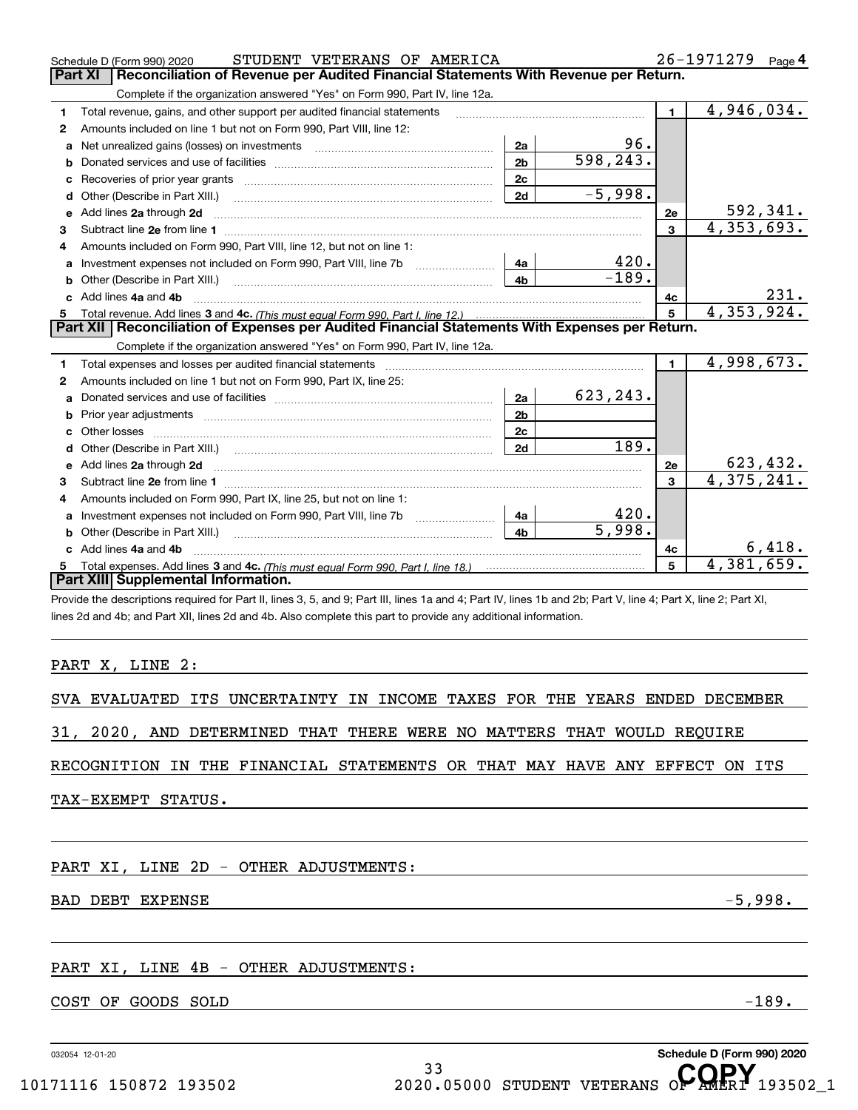|    | STUDENT VETERANS OF AMERICA<br>Schedule D (Form 990) 2020                                                                                                                                                                      |                |                     |                | 26-1971279 Page 4         |
|----|--------------------------------------------------------------------------------------------------------------------------------------------------------------------------------------------------------------------------------|----------------|---------------------|----------------|---------------------------|
|    | Reconciliation of Revenue per Audited Financial Statements With Revenue per Return.<br>Part XI                                                                                                                                 |                |                     |                |                           |
|    | Complete if the organization answered "Yes" on Form 990, Part IV, line 12a.                                                                                                                                                    |                |                     |                |                           |
| 1  | Total revenue, gains, and other support per audited financial statements                                                                                                                                                       |                |                     | $\mathbf{1}$   | $\overline{4,946}$ , 034. |
| 2  | Amounts included on line 1 but not on Form 990, Part VIII, line 12:                                                                                                                                                            |                |                     |                |                           |
| a  | Net unrealized gains (losses) on investments [11] matter contracts and the unrealized gains (losses) on investments                                                                                                            | 2a             | 96.                 |                |                           |
| b  |                                                                                                                                                                                                                                | 2 <sub>b</sub> | 598,243.            |                |                           |
| с  | Recoveries of prior year grants [11,111] [11] Recoveries of prior year grants [11] [11] [11] Recoveries of prior                                                                                                               | 2c             |                     |                |                           |
| d  |                                                                                                                                                                                                                                | 2d             | $-5,998.$           |                |                           |
| е  | Add lines 2a through 2d                                                                                                                                                                                                        |                |                     | 2e             | 592,341.                  |
| 3  |                                                                                                                                                                                                                                |                |                     | 3              | 4,353,693.                |
| 4  | Amounts included on Form 990, Part VIII, line 12, but not on line 1:                                                                                                                                                           |                |                     |                |                           |
| a  | Investment expenses not included on Form 990, Part VIII, line 7b [11, 111, 111, 111]                                                                                                                                           | 4a             | 420.                |                |                           |
| b  |                                                                                                                                                                                                                                | 4 <sub>b</sub> | $-189.$             |                |                           |
| c. | Add lines 4a and 4b                                                                                                                                                                                                            |                |                     | 4c             | 231.                      |
| 5  |                                                                                                                                                                                                                                |                |                     | 5              | 4,353,924.                |
|    | Part XII   Reconciliation of Expenses per Audited Financial Statements With Expenses per Return.                                                                                                                               |                |                     |                |                           |
|    | Complete if the organization answered "Yes" on Form 990, Part IV, line 12a.                                                                                                                                                    |                |                     |                |                           |
|    | Total expenses and losses per audited financial statements [11] [12] manuscription control expenses and losses per audited financial statements [12] [12] manuscription of the statements [12] manuscription of the statements |                |                     |                |                           |
| 1  |                                                                                                                                                                                                                                |                |                     | $\blacksquare$ | 4,998,673.                |
| 2  | Amounts included on line 1 but not on Form 990, Part IX, line 25:                                                                                                                                                              |                |                     |                |                           |
| a  |                                                                                                                                                                                                                                | 2a             | 623, 243.           |                |                           |
| b  |                                                                                                                                                                                                                                | 2 <sub>b</sub> |                     |                |                           |
| c. |                                                                                                                                                                                                                                | 2c             |                     |                |                           |
| d  | Other (Describe in Part XIII.) (2000) (2000) (2000) (2000) (2000) (2000) (2000) (2000) (2000) (2000) (2000) (2000) (2000) (2000) (2000) (2000) (2000) (2000) (2000) (2000) (2000) (2000) (2000) (2000) (2000) (2000) (2000) (2 | 2d             | 189.                |                |                           |
| е  |                                                                                                                                                                                                                                |                |                     | 2e             | 623, 432.                 |
| 3  | Add lines 2a through 2d <b>must be a constructed as the constant of the constant of the constant of the construction</b>                                                                                                       |                |                     | $\mathbf{3}$   | 4,375,241.                |
| 4  | Amounts included on Form 990, Part IX, line 25, but not on line 1:                                                                                                                                                             |                |                     |                |                           |
| a  |                                                                                                                                                                                                                                | 4a             | 420.                |                |                           |
|    | Other (Describe in Part XIII.) <b>Construction Contract Construction</b> (Describe in Part XIII.)                                                                                                                              | 4 <sub>h</sub> | $\overline{5.998.}$ |                |                           |
|    | c Add lines 4a and 4b                                                                                                                                                                                                          |                |                     | 4с             | 6,418.                    |
| 5. |                                                                                                                                                                                                                                |                |                     | 5              | 4,381,659.                |
|    | Part XIII Supplemental Information.                                                                                                                                                                                            |                |                     |                |                           |
|    | Provide the descriptions required for Part II, lines 3, 5, and 9; Part III, lines 1a and 4; Part IV, lines 1b and 2b; Part V, line 4; Part X, line 2; Part XI,                                                                 |                |                     |                |                           |

# PART X, LINE 2:

SVA EVALUATED ITS UNCERTAINTY IN INCOME TAXES FOR THE YEARS ENDED DECEMBER

31, 2020, AND DETERMINED THAT THERE WERE NO MATTERS THAT WOULD REQUIRE

RECOGNITION IN THE FINANCIAL STATEMENTS OR THAT MAY HAVE ANY EFFECT ON ITS

TAX-EXEMPT STATUS.

# PART XI, LINE 2D - OTHER ADJUSTMENTS:

# BAD DEBT EXPENSE  $-5,998$ .

# PART XI, LINE 4B - OTHER ADJUSTMENTS:

# COST OF GOODS SOLD -189.

032054 12-01-20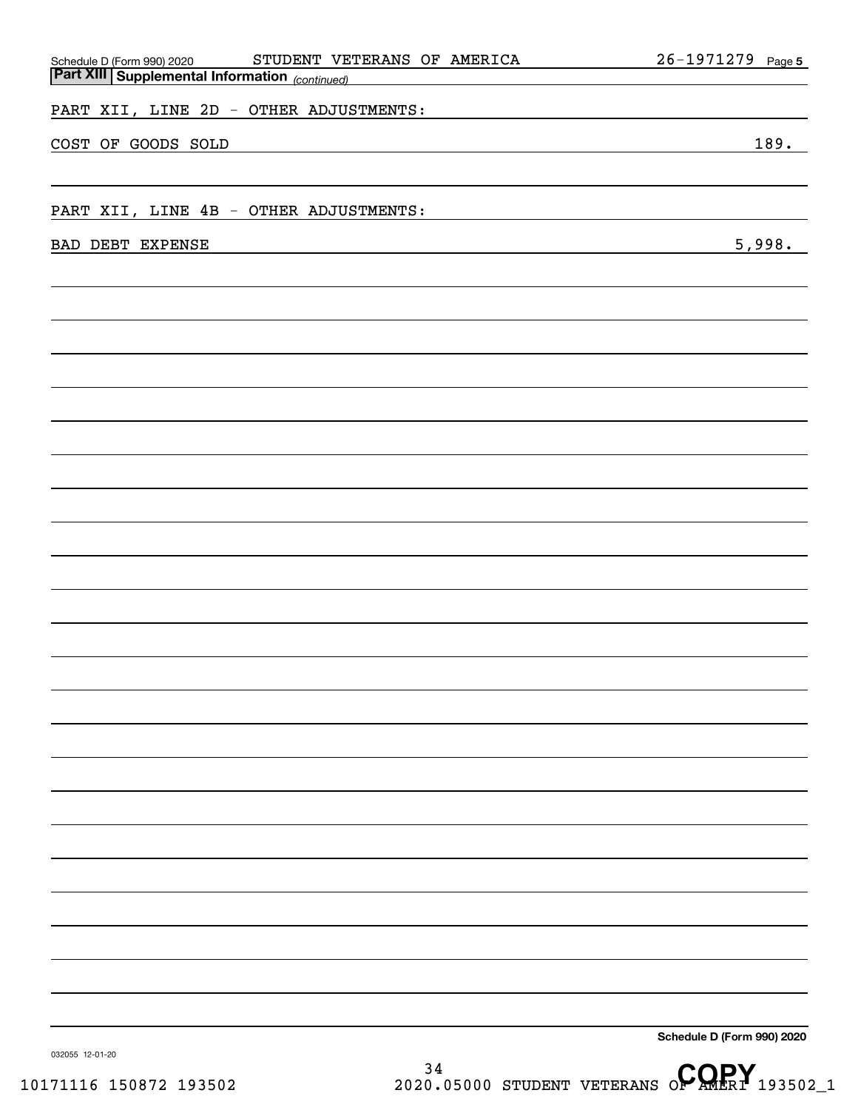| STUDENT VETERANS OF AMERICA<br>Schedule D (Form 990) 2020 STUDENT VE'                                                                      | 26-1971279 Page 5          |
|--------------------------------------------------------------------------------------------------------------------------------------------|----------------------------|
| PART XII, LINE 2D - OTHER ADJUSTMENTS:                                                                                                     |                            |
| COST OF GOODS SOLD<br><u> 1980 - Johann Barn, amerikansk politiker (d. 1980)</u>                                                           | 189.                       |
|                                                                                                                                            |                            |
| PART XII, LINE 4B - OTHER ADJUSTMENTS:                                                                                                     |                            |
| BAD DEBT EXPENSE<br><u> 1989 - Andrea Aonaich, ann an t-Aonaich an t-Aonaich an t-Aonaich an t-Aonaich an t-Aonaich an t-Aonaich an t-</u> | 5,998.                     |
|                                                                                                                                            |                            |
|                                                                                                                                            |                            |
|                                                                                                                                            |                            |
|                                                                                                                                            |                            |
|                                                                                                                                            |                            |
|                                                                                                                                            |                            |
|                                                                                                                                            |                            |
|                                                                                                                                            |                            |
|                                                                                                                                            |                            |
|                                                                                                                                            |                            |
|                                                                                                                                            |                            |
|                                                                                                                                            |                            |
|                                                                                                                                            |                            |
|                                                                                                                                            |                            |
|                                                                                                                                            |                            |
|                                                                                                                                            |                            |
|                                                                                                                                            |                            |
|                                                                                                                                            |                            |
|                                                                                                                                            |                            |
|                                                                                                                                            |                            |
|                                                                                                                                            |                            |
|                                                                                                                                            | Schedule D (Form 990) 2020 |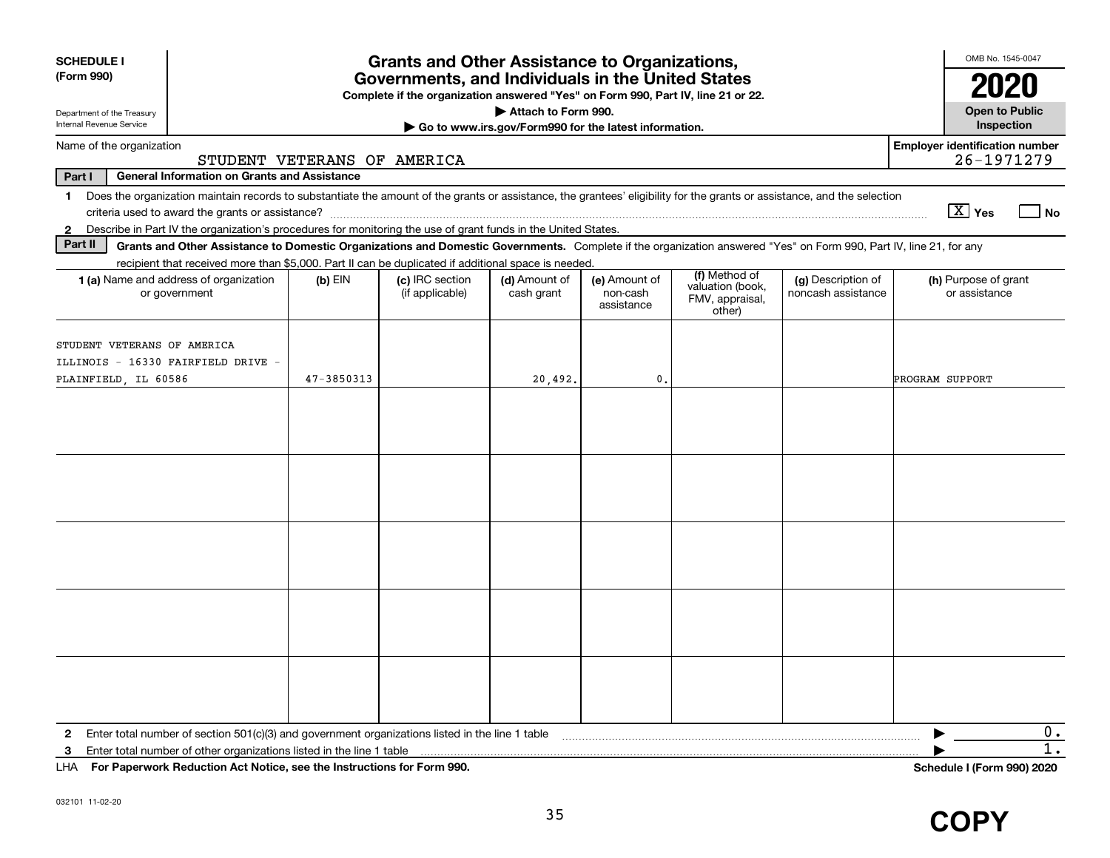| <b>SCHEDULE I</b><br>(Form 990)                                                                                                                                            |                                                                                                                                                                    |                             | <b>Grants and Other Assistance to Organizations,</b><br>Governments, and Individuals in the United States |                                                       |                                         |                                               |                                          | OMB No. 1545-0047                                   |
|----------------------------------------------------------------------------------------------------------------------------------------------------------------------------|--------------------------------------------------------------------------------------------------------------------------------------------------------------------|-----------------------------|-----------------------------------------------------------------------------------------------------------|-------------------------------------------------------|-----------------------------------------|-----------------------------------------------|------------------------------------------|-----------------------------------------------------|
| Department of the Treasury                                                                                                                                                 |                                                                                                                                                                    |                             | Complete if the organization answered "Yes" on Form 990, Part IV, line 21 or 22.                          | Attach to Form 990.                                   |                                         |                                               |                                          | <b>Open to Public</b>                               |
| Internal Revenue Service                                                                                                                                                   |                                                                                                                                                                    |                             |                                                                                                           | Go to www.irs.gov/Form990 for the latest information. |                                         |                                               |                                          | Inspection                                          |
| Name of the organization                                                                                                                                                   |                                                                                                                                                                    | STUDENT VETERANS OF AMERICA |                                                                                                           |                                                       |                                         |                                               |                                          | <b>Employer identification number</b><br>26-1971279 |
| Part I                                                                                                                                                                     | <b>General Information on Grants and Assistance</b>                                                                                                                |                             |                                                                                                           |                                                       |                                         |                                               |                                          |                                                     |
| 1 Does the organization maintain records to substantiate the amount of the grants or assistance, the grantees' eligibility for the grants or assistance, and the selection |                                                                                                                                                                    |                             |                                                                                                           |                                                       |                                         |                                               |                                          | $\boxed{\text{X}}$ Yes<br>l No                      |
| 2 Describe in Part IV the organization's procedures for monitoring the use of grant funds in the United States.                                                            |                                                                                                                                                                    |                             |                                                                                                           |                                                       |                                         |                                               |                                          |                                                     |
| Part II                                                                                                                                                                    | Grants and Other Assistance to Domestic Organizations and Domestic Governments. Complete if the organization answered "Yes" on Form 990, Part IV, line 21, for any |                             |                                                                                                           |                                                       |                                         |                                               |                                          |                                                     |
|                                                                                                                                                                            | recipient that received more than \$5,000. Part II can be duplicated if additional space is needed.                                                                |                             |                                                                                                           |                                                       |                                         | (f) Method of                                 |                                          |                                                     |
| 1 (a) Name and address of organization<br>or government                                                                                                                    |                                                                                                                                                                    | $(b)$ EIN                   | (c) IRC section<br>(if applicable)                                                                        | (d) Amount of<br>cash grant                           | (e) Amount of<br>non-cash<br>assistance | valuation (book,<br>FMV, appraisal,<br>other) | (g) Description of<br>noncash assistance | (h) Purpose of grant<br>or assistance               |
| STUDENT VETERANS OF AMERICA<br>ILLINOIS - 16330 FAIRFIELD DRIVE -<br>PLAINFIELD, IL 60586                                                                                  |                                                                                                                                                                    | 47-3850313                  |                                                                                                           | 20,492.                                               | $\mathbf{0}$                            |                                               |                                          | PROGRAM SUPPORT                                     |
|                                                                                                                                                                            |                                                                                                                                                                    |                             |                                                                                                           |                                                       |                                         |                                               |                                          |                                                     |
|                                                                                                                                                                            |                                                                                                                                                                    |                             |                                                                                                           |                                                       |                                         |                                               |                                          |                                                     |
|                                                                                                                                                                            |                                                                                                                                                                    |                             |                                                                                                           |                                                       |                                         |                                               |                                          |                                                     |
|                                                                                                                                                                            |                                                                                                                                                                    |                             |                                                                                                           |                                                       |                                         |                                               |                                          |                                                     |
|                                                                                                                                                                            |                                                                                                                                                                    |                             |                                                                                                           |                                                       |                                         |                                               |                                          |                                                     |
| $\mathbf{2}$                                                                                                                                                               | Enter total number of section 501(c)(3) and government organizations listed in the line 1 table                                                                    |                             |                                                                                                           |                                                       |                                         |                                               |                                          | 0.                                                  |
| 3                                                                                                                                                                          | Enter total number of other organizations listed in the line 1 table                                                                                               |                             |                                                                                                           |                                                       |                                         |                                               |                                          | 1.                                                  |
| LHA For Paperwork Reduction Act Notice, see the Instructions for Form 990.                                                                                                 |                                                                                                                                                                    |                             |                                                                                                           |                                                       |                                         |                                               |                                          | Schedule I (Form 990) 2020                          |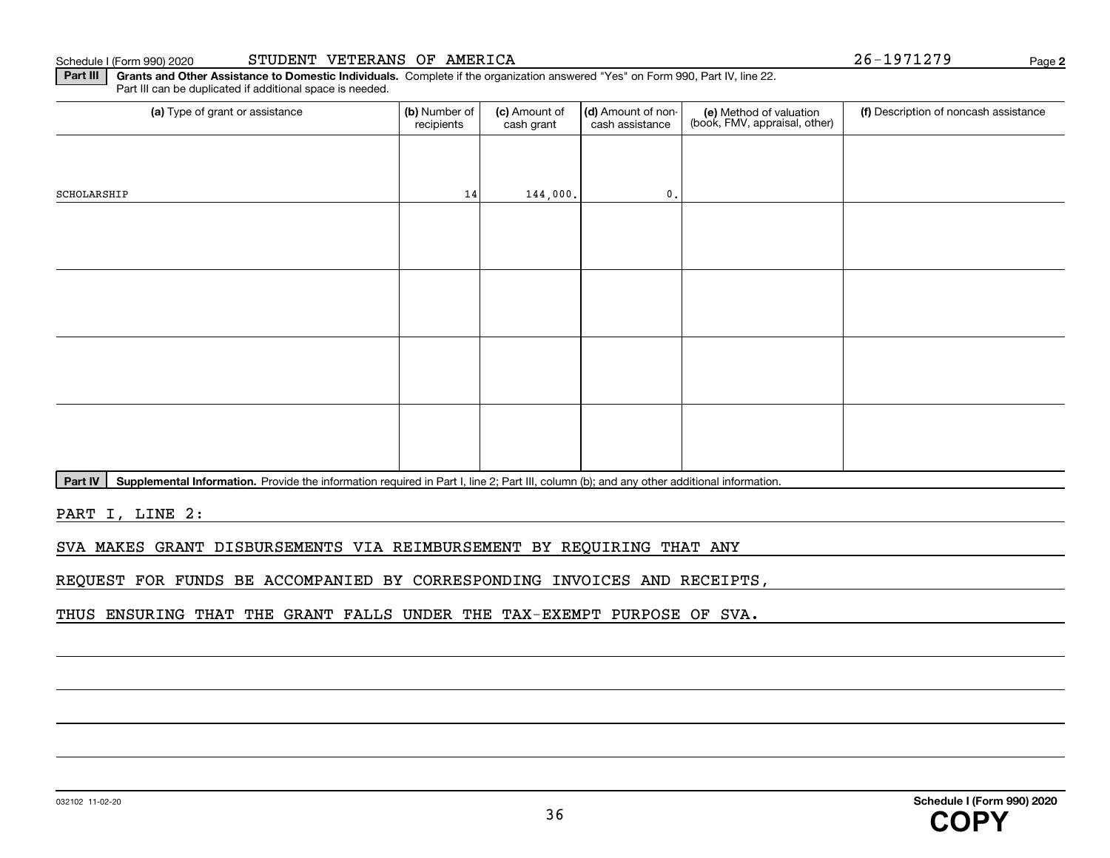**Part III | Grants and Other Assistance to Domestic Individuals. Complete if the organization answered "Yes" on Form 990, Part IV, line 22.** Part III can be duplicated if additional space is needed.

| (a) Type of grant or assistance | (b) Number of<br>recipients | (c) Amount of<br>cash grant | (d) Amount of non-<br>cash assistance | (e) Method of valuation<br>(book, FMV, appraisal, other) | (f) Description of noncash assistance |
|---------------------------------|-----------------------------|-----------------------------|---------------------------------------|----------------------------------------------------------|---------------------------------------|
|                                 |                             |                             |                                       |                                                          |                                       |
| SCHOLARSHIP                     | 14                          | 144,000.                    | 0.                                    |                                                          |                                       |
|                                 |                             |                             |                                       |                                                          |                                       |
|                                 |                             |                             |                                       |                                                          |                                       |
|                                 |                             |                             |                                       |                                                          |                                       |
|                                 |                             |                             |                                       |                                                          |                                       |
|                                 |                             |                             |                                       |                                                          |                                       |
|                                 |                             |                             |                                       |                                                          |                                       |
|                                 |                             |                             |                                       |                                                          |                                       |
|                                 |                             |                             |                                       |                                                          |                                       |

**Part IV** | Supplemental Information. Provide the information required in Part I, line 2; Part III, column (b); and any other additional information.<br>

PART I, LINE 2:

SVA MAKES GRANT DISBURSEMENTS VIA REIMBURSEMENT BY REQUIRING THAT ANY

REQUEST FOR FUNDS BE ACCOMPANIED BY CORRESPONDING INVOICES AND RECEIPTS,

THUS ENSURING THAT THE GRANT FALLS UNDER THE TAX-EXEMPT PURPOSE OF SVA.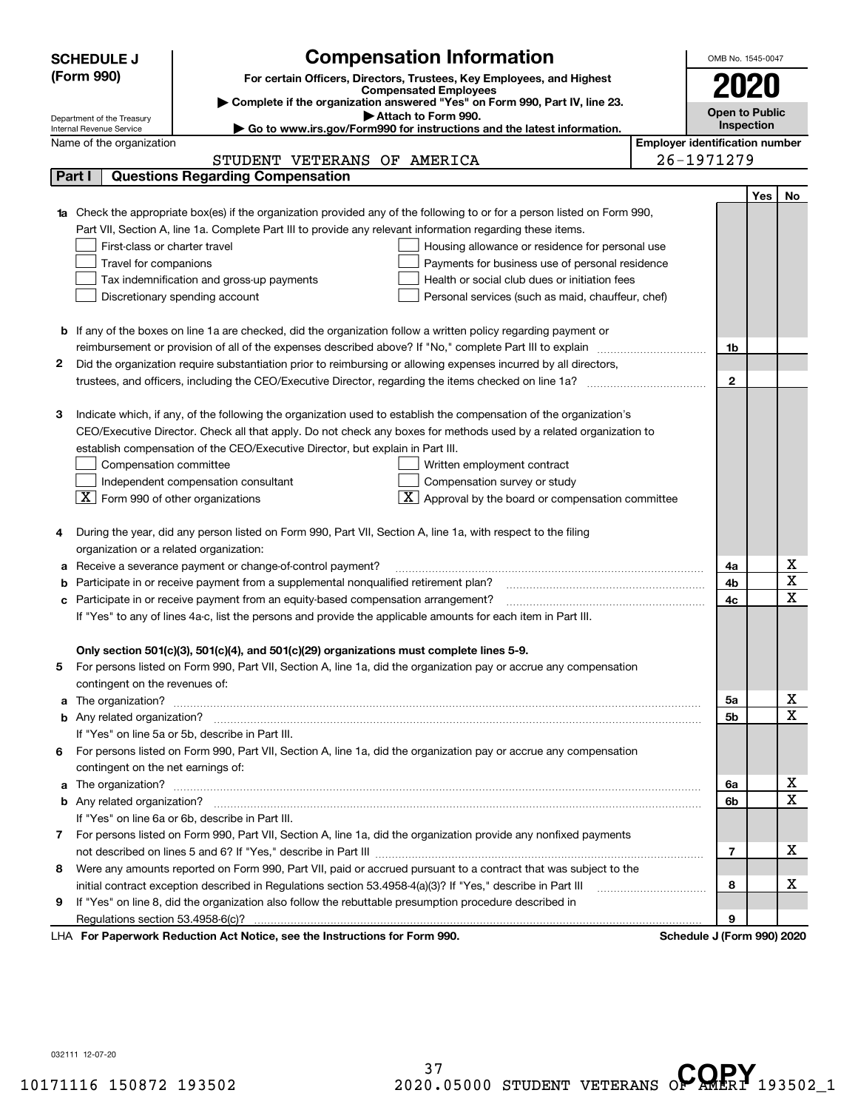| <b>SCHEDULE J</b>                                      | <b>Compensation Information</b>                                                                                                                                                                                                      |                                       | OMB No. 1545-0047            |     |                         |
|--------------------------------------------------------|--------------------------------------------------------------------------------------------------------------------------------------------------------------------------------------------------------------------------------------|---------------------------------------|------------------------------|-----|-------------------------|
| (Form 990)                                             |                                                                                                                                                                                                                                      |                                       |                              |     |                         |
|                                                        | For certain Officers, Directors, Trustees, Key Employees, and Highest<br><b>Compensated Employees</b>                                                                                                                                |                                       |                              |     |                         |
|                                                        | Complete if the organization answered "Yes" on Form 990, Part IV, line 23.                                                                                                                                                           |                                       |                              |     |                         |
| Department of the Treasury<br>Internal Revenue Service | Attach to Form 990.<br>Go to www.irs.gov/Form990 for instructions and the latest information.                                                                                                                                        |                                       | Open to Public<br>Inspection |     |                         |
| Name of the organization                               |                                                                                                                                                                                                                                      | <b>Employer identification number</b> |                              |     |                         |
|                                                        | STUDENT VETERANS OF AMERICA                                                                                                                                                                                                          |                                       | 26-1971279                   |     |                         |
| Part I                                                 | <b>Questions Regarding Compensation</b>                                                                                                                                                                                              |                                       |                              |     |                         |
|                                                        |                                                                                                                                                                                                                                      |                                       |                              | Yes | No.                     |
|                                                        | 1a Check the appropriate box(es) if the organization provided any of the following to or for a person listed on Form 990,                                                                                                            |                                       |                              |     |                         |
|                                                        | Part VII, Section A, line 1a. Complete Part III to provide any relevant information regarding these items.                                                                                                                           |                                       |                              |     |                         |
|                                                        | First-class or charter travel<br>Housing allowance or residence for personal use                                                                                                                                                     |                                       |                              |     |                         |
|                                                        | Travel for companions<br>Payments for business use of personal residence                                                                                                                                                             |                                       |                              |     |                         |
|                                                        | Health or social club dues or initiation fees<br>Tax indemnification and gross-up payments                                                                                                                                           |                                       |                              |     |                         |
|                                                        | Discretionary spending account<br>Personal services (such as maid, chauffeur, chef)                                                                                                                                                  |                                       |                              |     |                         |
|                                                        |                                                                                                                                                                                                                                      |                                       |                              |     |                         |
|                                                        | <b>b</b> If any of the boxes on line 1a are checked, did the organization follow a written policy regarding payment or                                                                                                               |                                       |                              |     |                         |
|                                                        | reimbursement or provision of all of the expenses described above? If "No," complete Part III to explain                                                                                                                             |                                       | 1b                           |     |                         |
| 2                                                      | Did the organization require substantiation prior to reimbursing or allowing expenses incurred by all directors,                                                                                                                     |                                       |                              |     |                         |
|                                                        |                                                                                                                                                                                                                                      |                                       | $\mathbf{2}$                 |     |                         |
|                                                        |                                                                                                                                                                                                                                      |                                       |                              |     |                         |
| з                                                      | Indicate which, if any, of the following the organization used to establish the compensation of the organization's                                                                                                                   |                                       |                              |     |                         |
|                                                        | CEO/Executive Director. Check all that apply. Do not check any boxes for methods used by a related organization to                                                                                                                   |                                       |                              |     |                         |
|                                                        | establish compensation of the CEO/Executive Director, but explain in Part III.                                                                                                                                                       |                                       |                              |     |                         |
|                                                        | Compensation committee<br>Written employment contract                                                                                                                                                                                |                                       |                              |     |                         |
|                                                        | Compensation survey or study<br>Independent compensation consultant                                                                                                                                                                  |                                       |                              |     |                         |
|                                                        | $ \mathbf{X} $ Form 990 of other organizations<br>Approval by the board or compensation committee                                                                                                                                    |                                       |                              |     |                         |
|                                                        |                                                                                                                                                                                                                                      |                                       |                              |     |                         |
|                                                        | During the year, did any person listed on Form 990, Part VII, Section A, line 1a, with respect to the filing                                                                                                                         |                                       |                              |     |                         |
|                                                        | organization or a related organization:                                                                                                                                                                                              |                                       |                              |     |                         |
|                                                        | Receive a severance payment or change-of-control payment?                                                                                                                                                                            |                                       | 4a                           |     | Χ                       |
|                                                        | Participate in or receive payment from a supplemental nonqualified retirement plan?                                                                                                                                                  |                                       | 4b                           |     | $\overline{\textbf{x}}$ |
|                                                        | c Participate in or receive payment from an equity-based compensation arrangement?                                                                                                                                                   |                                       | 4c                           |     | $\overline{\mathbf{x}}$ |
|                                                        | If "Yes" to any of lines 4a-c, list the persons and provide the applicable amounts for each item in Part III.                                                                                                                        |                                       |                              |     |                         |
|                                                        |                                                                                                                                                                                                                                      |                                       |                              |     |                         |
|                                                        | Only section 501(c)(3), 501(c)(4), and 501(c)(29) organizations must complete lines 5-9.                                                                                                                                             |                                       |                              |     |                         |
| 5                                                      | For persons listed on Form 990, Part VII, Section A, line 1a, did the organization pay or accrue any compensation                                                                                                                    |                                       |                              |     |                         |
| contingent on the revenues of:                         |                                                                                                                                                                                                                                      |                                       |                              |     |                         |
|                                                        | a The organization? <b>Entitled Strategies and Strategies and Strategies and Strategies and Strategies and Strategies and Strategies and Strategies and Strategies and Strategies and Strategies and Strategies and Strategies a</b> |                                       | 5а                           |     | x                       |
|                                                        |                                                                                                                                                                                                                                      |                                       | 5b                           |     | $\overline{\mathbf{x}}$ |
|                                                        | If "Yes" on line 5a or 5b, describe in Part III.                                                                                                                                                                                     |                                       |                              |     |                         |
|                                                        | 6 For persons listed on Form 990, Part VII, Section A, line 1a, did the organization pay or accrue any compensation                                                                                                                  |                                       |                              |     |                         |
|                                                        | contingent on the net earnings of:                                                                                                                                                                                                   |                                       |                              |     |                         |
|                                                        |                                                                                                                                                                                                                                      |                                       | 6a                           |     | х                       |
|                                                        |                                                                                                                                                                                                                                      |                                       | 6b                           |     | $\mathbf X$             |
|                                                        | If "Yes" on line 6a or 6b, describe in Part III.                                                                                                                                                                                     |                                       |                              |     |                         |
|                                                        | 7 For persons listed on Form 990, Part VII, Section A, line 1a, did the organization provide any nonfixed payments                                                                                                                   |                                       |                              |     |                         |
|                                                        |                                                                                                                                                                                                                                      |                                       | 7                            |     | х                       |
| 8                                                      | Were any amounts reported on Form 990, Part VII, paid or accrued pursuant to a contract that was subject to the                                                                                                                      |                                       |                              |     |                         |
|                                                        | initial contract exception described in Regulations section 53.4958-4(a)(3)? If "Yes," describe in Part III                                                                                                                          |                                       | 8                            |     | х                       |
| 9                                                      | If "Yes" on line 8, did the organization also follow the rebuttable presumption procedure described in                                                                                                                               |                                       |                              |     |                         |
|                                                        |                                                                                                                                                                                                                                      |                                       | 9                            |     |                         |
|                                                        | LHA For Paperwork Reduction Act Notice, see the Instructions for Form 990.                                                                                                                                                           |                                       | Schedule J (Form 990) 2020   |     |                         |

032111 12-07-20

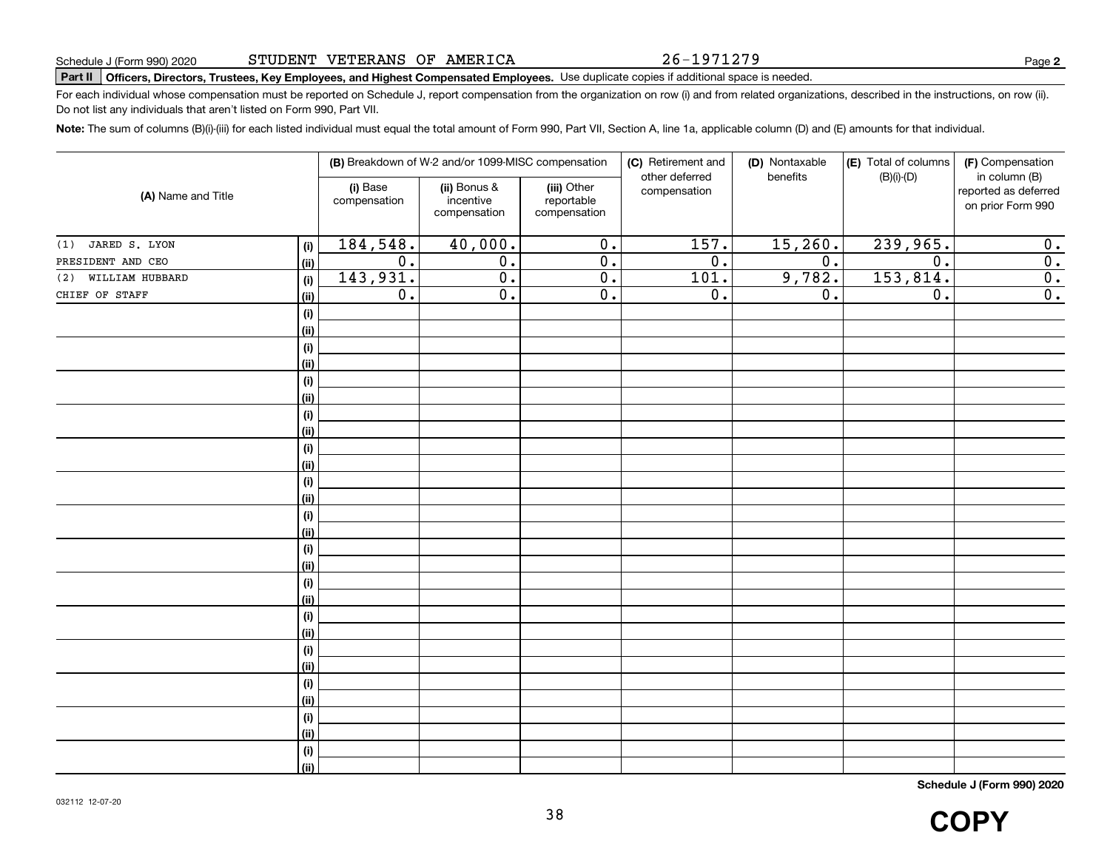26-1971279

**2**

# **Part II Officers, Directors, Trustees, Key Employees, and Highest Compensated Employees.**  Schedule J (Form 990) 2020 Page Use duplicate copies if additional space is needed.

For each individual whose compensation must be reported on Schedule J, report compensation from the organization on row (i) and from related organizations, described in the instructions, on row (ii). Do not list any individuals that aren't listed on Form 990, Part VII.

**Note:**  The sum of columns (B)(i)-(iii) for each listed individual must equal the total amount of Form 990, Part VII, Section A, line 1a, applicable column (D) and (E) amounts for that individual.

|                        |                              |                          | (B) Breakdown of W-2 and/or 1099-MISC compensation |                                           | (C) Retirement and<br>other deferred | (D) Nontaxable<br>benefits | (E) Total of columns<br>$(B)(i)-(D)$ | (F) Compensation<br>in column (B)         |
|------------------------|------------------------------|--------------------------|----------------------------------------------------|-------------------------------------------|--------------------------------------|----------------------------|--------------------------------------|-------------------------------------------|
| (A) Name and Title     |                              | (i) Base<br>compensation | (ii) Bonus &<br>incentive<br>compensation          | (iii) Other<br>reportable<br>compensation | compensation                         |                            |                                      | reported as deferred<br>on prior Form 990 |
| JARED S. LYON<br>(1)   | (i)                          | 184,548.                 | 40,000.                                            | 0.                                        | 157.                                 | 15,260.                    | 239,965.                             | 0.                                        |
| PRESIDENT AND CEO      | (ii)                         | $\overline{0}$ .         | $\overline{0}$ .                                   | 0.                                        | $\overline{0}$ .                     | $\overline{0}$ .           | $\overline{0}$ .                     | $\overline{0}$ .                          |
| WILLIAM HUBBARD<br>(2) | (i)                          | 143,931.                 | $\overline{0}$ .                                   | 0.                                        | 101.                                 | 9,782.                     | 153,814.                             | $\overline{0}$ .                          |
| CHIEF OF STAFF         | (ii)                         | $\overline{0}$ .         | $\overline{0}$ .                                   | $\overline{0}$ .                          | $\overline{0}$ .                     | 0.                         | $\overline{0}$ .                     | $\overline{0}$ .                          |
|                        | $(\sf{i})$                   |                          |                                                    |                                           |                                      |                            |                                      |                                           |
|                        | (ii)                         |                          |                                                    |                                           |                                      |                            |                                      |                                           |
|                        | $(\sf{i})$                   |                          |                                                    |                                           |                                      |                            |                                      |                                           |
|                        | (ii)                         |                          |                                                    |                                           |                                      |                            |                                      |                                           |
|                        | (i)                          |                          |                                                    |                                           |                                      |                            |                                      |                                           |
|                        | (ii)                         |                          |                                                    |                                           |                                      |                            |                                      |                                           |
|                        | (i)                          |                          |                                                    |                                           |                                      |                            |                                      |                                           |
|                        | (ii)                         |                          |                                                    |                                           |                                      |                            |                                      |                                           |
|                        | (i)                          |                          |                                                    |                                           |                                      |                            |                                      |                                           |
|                        | (ii)                         |                          |                                                    |                                           |                                      |                            |                                      |                                           |
|                        | (i)                          |                          |                                                    |                                           |                                      |                            |                                      |                                           |
|                        | (ii)                         |                          |                                                    |                                           |                                      |                            |                                      |                                           |
|                        | $(\sf{i})$                   |                          |                                                    |                                           |                                      |                            |                                      |                                           |
|                        | (ii)                         |                          |                                                    |                                           |                                      |                            |                                      |                                           |
|                        | $(\sf{i})$                   |                          |                                                    |                                           |                                      |                            |                                      |                                           |
|                        | (ii)                         |                          |                                                    |                                           |                                      |                            |                                      |                                           |
|                        | $\qquad \qquad \textbf{(i)}$ |                          |                                                    |                                           |                                      |                            |                                      |                                           |
|                        | (ii)                         |                          |                                                    |                                           |                                      |                            |                                      |                                           |
|                        | (i)                          |                          |                                                    |                                           |                                      |                            |                                      |                                           |
|                        | (ii)                         |                          |                                                    |                                           |                                      |                            |                                      |                                           |
|                        | (i)                          |                          |                                                    |                                           |                                      |                            |                                      |                                           |
|                        | (ii)                         |                          |                                                    |                                           |                                      |                            |                                      |                                           |
|                        | $\qquad \qquad \textbf{(i)}$ |                          |                                                    |                                           |                                      |                            |                                      |                                           |
|                        | (ii)                         |                          |                                                    |                                           |                                      |                            |                                      |                                           |
|                        | $\qquad \qquad \textbf{(i)}$ |                          |                                                    |                                           |                                      |                            |                                      |                                           |
|                        | (ii)                         |                          |                                                    |                                           |                                      |                            |                                      |                                           |
|                        | $(\sf{i})$                   |                          |                                                    |                                           |                                      |                            |                                      |                                           |
|                        | (ii)                         |                          |                                                    |                                           |                                      |                            |                                      |                                           |

**Schedule J (Form 990) 2020**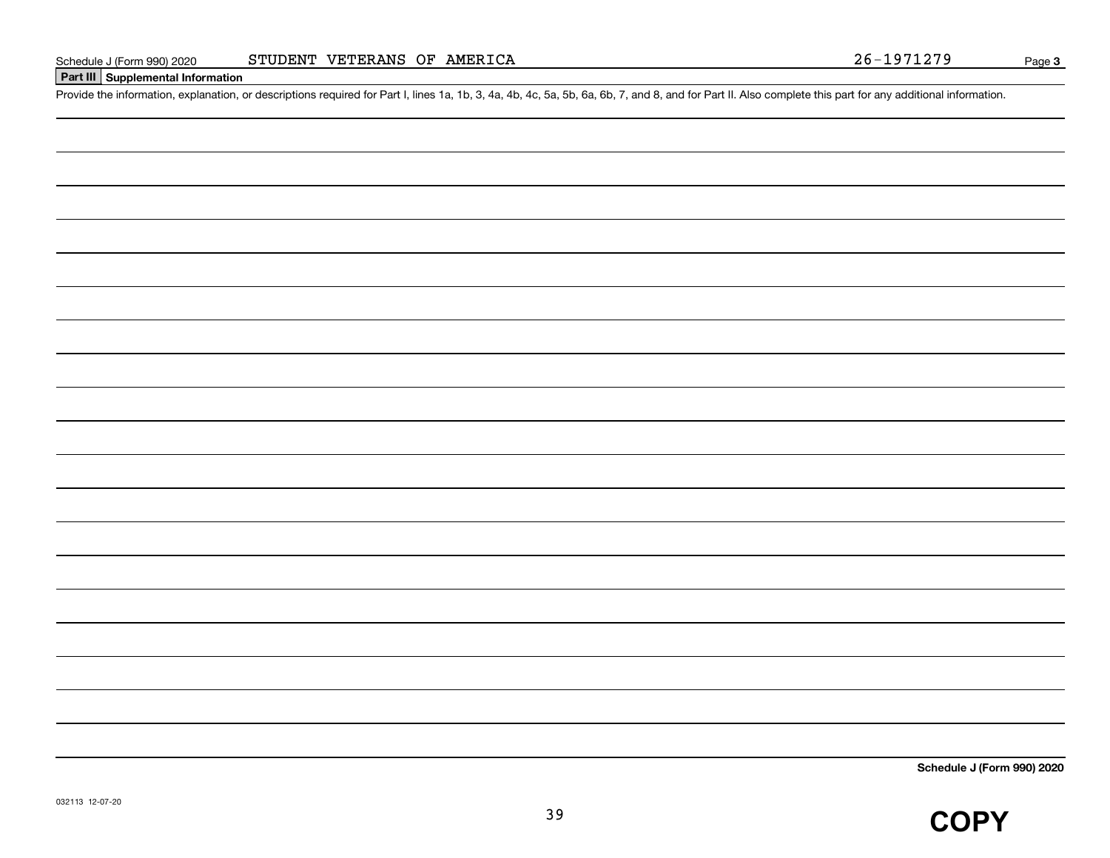# **Part III Supplemental Information**

Schedule J (Form 990) 2020 STUDENT VETERANS OF AMERICA<br>
Part III Supplemental Information<br>
Provide the information, explanation, or descriptions required for Part I, lines 1a, 1b, 3, 4a, 4b, 4c, 5a, 5b, 6a, 6b, 7, and 8, a

**Schedule J (Form 990) 2020**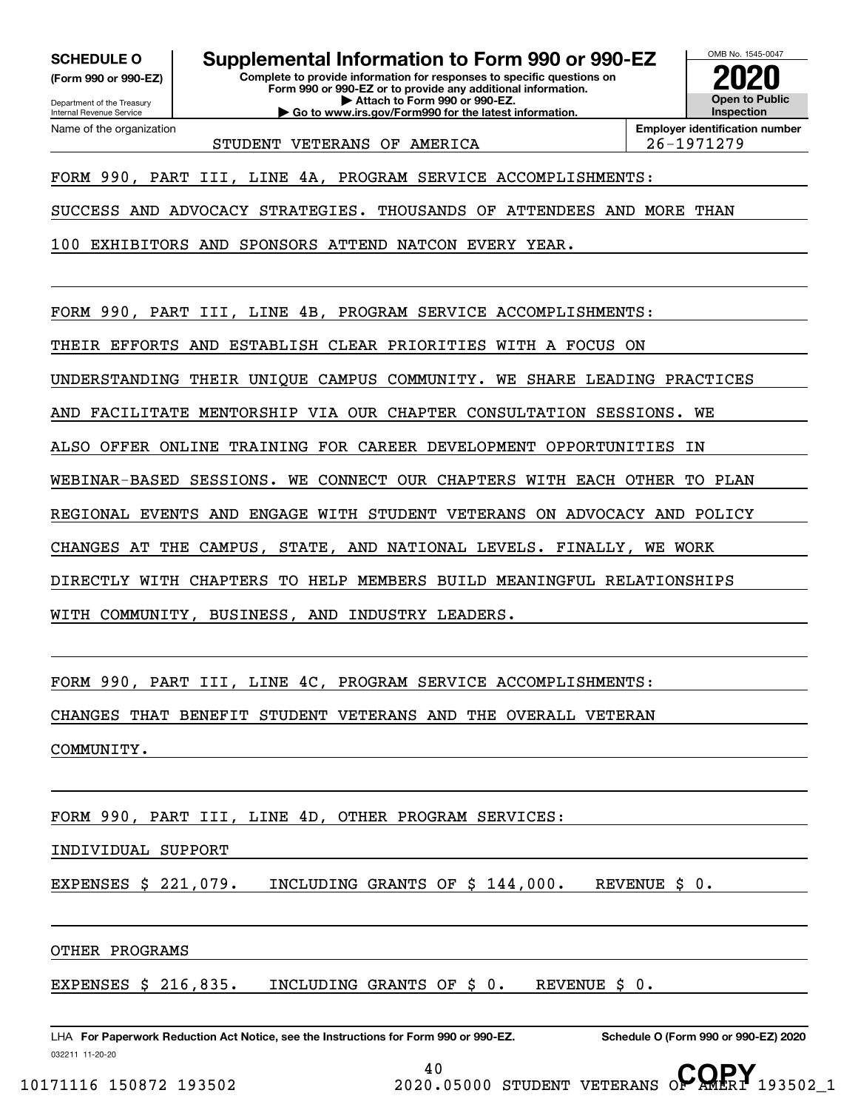**(Form 990 or 990-EZ)**

Department of the Treasury Internal Revenue Service Name of the organization

**SCHEDULE O Supplemental Information to Form 990 or 990-EZ**

**Complete to provide information for responses to specific questions on Form 990 or 990-EZ or to provide any additional information. | Attach to Form 990 or 990-EZ. | Go to www.irs.gov/Form990 for the latest information.**



STUDENT VETERANS OF AMERICA 26-1971279

**Employer identification number**

FORM 990, PART III, LINE 4A, PROGRAM SERVICE ACCOMPLISHMENTS:

SUCCESS AND ADVOCACY STRATEGIES. THOUSANDS OF ATTENDEES AND MORE THAN

100 EXHIBITORS AND SPONSORS ATTEND NATCON EVERY YEAR.

FORM 990, PART III, LINE 4B, PROGRAM SERVICE ACCOMPLISHMENTS:

THEIR EFFORTS AND ESTABLISH CLEAR PRIORITIES WITH A FOCUS ON

UNDERSTANDING THEIR UNIQUE CAMPUS COMMUNITY. WE SHARE LEADING PRACTICES

AND FACILITATE MENTORSHIP VIA OUR CHAPTER CONSULTATION SESSIONS. WE

ALSO OFFER ONLINE TRAINING FOR CAREER DEVELOPMENT OPPORTUNITIES IN

WEBINAR-BASED SESSIONS. WE CONNECT OUR CHAPTERS WITH EACH OTHER TO PLAN

REGIONAL EVENTS AND ENGAGE WITH STUDENT VETERANS ON ADVOCACY AND POLICY

CHANGES AT THE CAMPUS, STATE, AND NATIONAL LEVELS. FINALLY, WE WORK

DIRECTLY WITH CHAPTERS TO HELP MEMBERS BUILD MEANINGFUL RELATIONSHIPS

WITH COMMUNITY, BUSINESS, AND INDUSTRY LEADERS.

FORM 990, PART III, LINE 4C, PROGRAM SERVICE ACCOMPLISHMENTS:

CHANGES THAT BENEFIT STUDENT VETERANS AND THE OVERALL VETERAN

COMMUNITY.

FORM 990, PART III, LINE 4D, OTHER PROGRAM SERVICES:

INDIVIDUAL SUPPORT

EXPENSES \$ 221,079. INCLUDING GRANTS OF \$ 144,000. REVENUE \$ 0.

OTHER PROGRAMS

EXPENSES \$ 216,835. INCLUDING GRANTS OF \$ 0. REVENUE \$ 0.

032211 11-20-20 LHA For Paperwork Reduction Act Notice, see the Instructions for Form 990 or 990-EZ. Schedule O (Form 990 or 990-EZ) 2020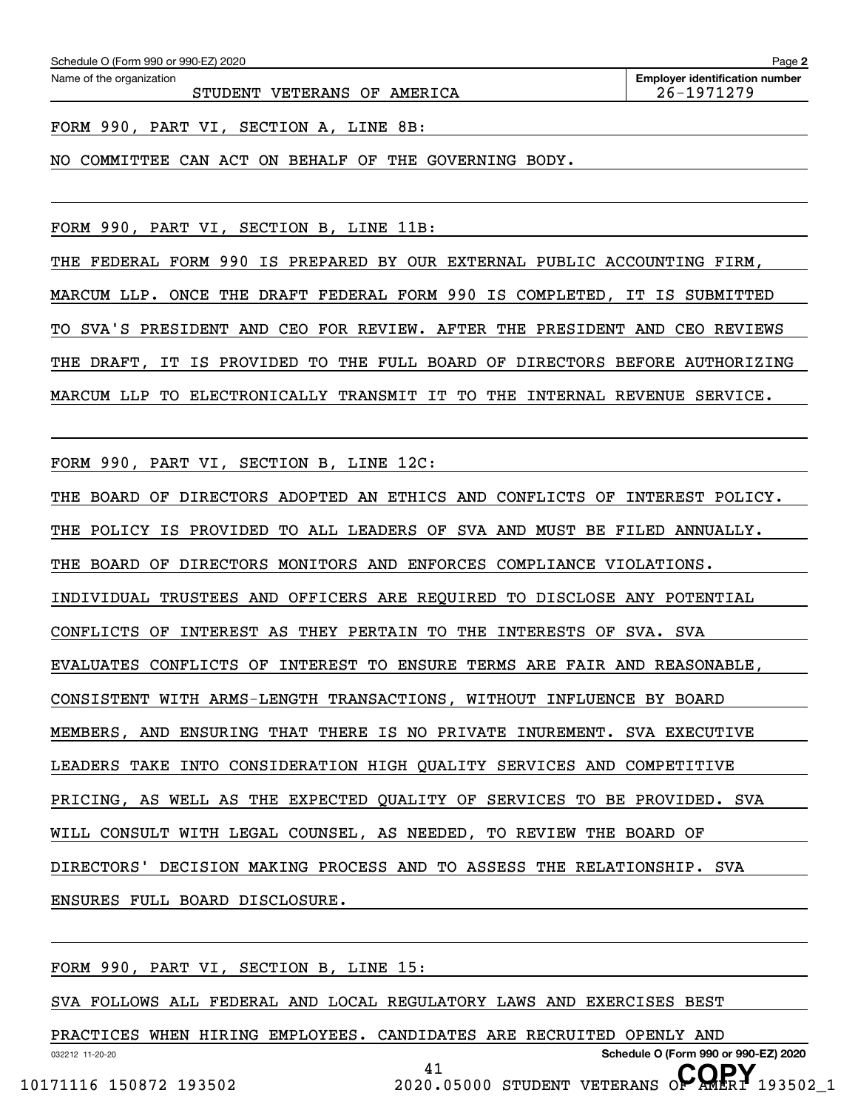STUDENT VETERANS OF AMERICA  $\vert$  26-1971279

FORM 990, PART VI, SECTION A, LINE 8B:

NO COMMITTEE CAN ACT ON BEHALF OF THE GOVERNING BODY.

FORM 990, PART VI, SECTION B, LINE 11B:

THE FEDERAL FORM 990 IS PREPARED BY OUR EXTERNAL PUBLIC ACCOUNTING FIRM, MARCUM LLP. ONCE THE DRAFT FEDERAL FORM 990 IS COMPLETED, IT IS SUBMITTED TO SVA'S PRESIDENT AND CEO FOR REVIEW. AFTER THE PRESIDENT AND CEO REVIEWS THE DRAFT, IT IS PROVIDED TO THE FULL BOARD OF DIRECTORS BEFORE AUTHORIZING MARCUM LLP TO ELECTRONICALLY TRANSMIT IT TO THE INTERNAL REVENUE SERVICE.

FORM 990, PART VI, SECTION B, LINE 12C:

THE BOARD OF DIRECTORS ADOPTED AN ETHICS AND CONFLICTS OF INTEREST POLICY.

THE POLICY IS PROVIDED TO ALL LEADERS OF SVA AND MUST BE FILED ANNUALLY.

THE BOARD OF DIRECTORS MONITORS AND ENFORCES COMPLIANCE VIOLATIONS.

INDIVIDUAL TRUSTEES AND OFFICERS ARE REQUIRED TO DISCLOSE ANY POTENTIAL

CONFLICTS OF INTEREST AS THEY PERTAIN TO THE INTERESTS OF SVA. SVA

EVALUATES CONFLICTS OF INTEREST TO ENSURE TERMS ARE FAIR AND REASONABLE,

CONSISTENT WITH ARMS-LENGTH TRANSACTIONS, WITHOUT INFLUENCE BY BOARD

MEMBERS, AND ENSURING THAT THERE IS NO PRIVATE INUREMENT. SVA EXECUTIVE

LEADERS TAKE INTO CONSIDERATION HIGH QUALITY SERVICES AND COMPETITIVE

PRICING, AS WELL AS THE EXPECTED QUALITY OF SERVICES TO BE PROVIDED. SVA

WILL CONSULT WITH LEGAL COUNSEL, AS NEEDED, TO REVIEW THE BOARD OF

DIRECTORS' DECISION MAKING PROCESS AND TO ASSESS THE RELATIONSHIP. SVA

ENSURES FULL BOARD DISCLOSURE.

FORM 990, PART VI, SECTION B, LINE 15:

SVA FOLLOWS ALL FEDERAL AND LOCAL REGULATORY LAWS AND EXERCISES BEST

032212 11-20-20 **Schedule O (Form 990 or 990-EZ) 2020** PRACTICES WHEN HIRING EMPLOYEES. CANDIDATES ARE RECRUITED OPENLY AND 41

10171116 150872 193502 **2020.05000 STUDENT VETERANS OF AMERI** 193502\_1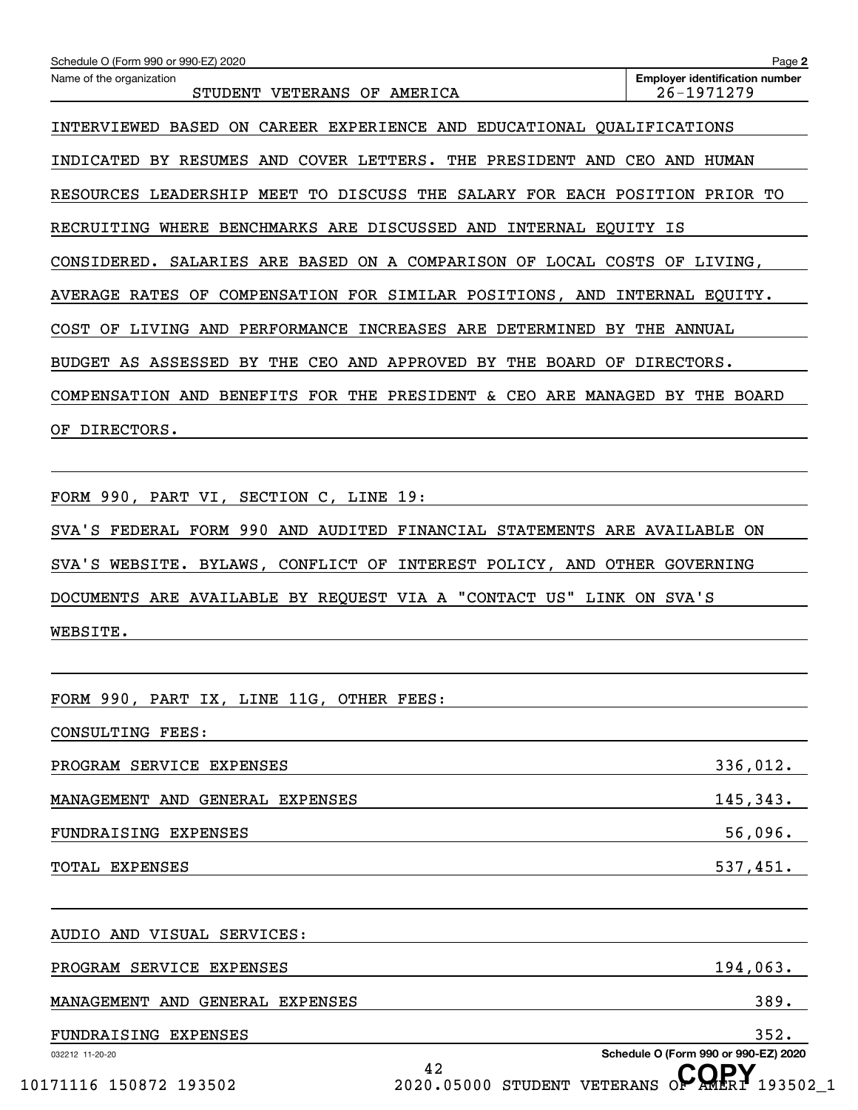| Schedule O (Form 990 or 990-EZ) 2020                                          | Page 2                                              |
|-------------------------------------------------------------------------------|-----------------------------------------------------|
| Name of the organization<br>STUDENT VETERANS OF AMERICA                       | <b>Employer identification number</b><br>26-1971279 |
| ON CAREER EXPERIENCE AND EDUCATIONAL QUALIFICATIONS<br>INTERVIEWED BASED      |                                                     |
| COVER LETTERS.<br>THE PRESIDENT AND<br>INDICATED BY RESUMES AND               | CEO AND HUMAN                                       |
| RESOURCES LEADERSHIP MEET<br>TO DISCUSS THE SALARY FOR EACH POSITION PRIOR TO |                                                     |
| RECRUITING WHERE BENCHMARKS ARE DISCUSSED AND INTERNAL EQUITY IS              |                                                     |
| CONSIDERED. SALARIES ARE BASED ON A COMPARISON OF LOCAL COSTS OF LIVING,      |                                                     |
| OF COMPENSATION FOR SIMILAR POSITIONS, AND INTERNAL EQUITY.<br>AVERAGE RATES  |                                                     |
| OF LIVING AND PERFORMANCE INCREASES ARE DETERMINED BY<br><b>COST</b>          | THE ANNUAL                                          |
| CEO AND APPROVED BY THE BOARD OF<br>BUDGET AS ASSESSED BY THE                 | DIRECTORS.                                          |
| COMPENSATION AND BENEFITS FOR THE PRESIDENT & CEO ARE MANAGED BY THE BOARD    |                                                     |
| DIRECTORS.<br>ОF                                                              |                                                     |
|                                                                               |                                                     |
| FORM 990, PART VI, SECTION C, LINE 19:                                        |                                                     |
| SVA'S FEDERAL FORM 990 AND AUDITED FINANCIAL STATEMENTS ARE AVAILABLE ON      |                                                     |
| SVA'S WEBSITE. BYLAWS, CONFLICT OF INTEREST POLICY, AND OTHER GOVERNING       |                                                     |
| DOCUMENTS ARE AVAILABLE BY REQUEST VIA A "CONTACT US" LINK ON SVA'S           |                                                     |
| WEBSITE.                                                                      |                                                     |
|                                                                               |                                                     |
| FORM 990, PART IX, LINE 11G, OTHER FEES:                                      |                                                     |
| CONSULTING FEES:                                                              |                                                     |
| PROGRAM SERVICE EXPENSES                                                      | 336,012.                                            |
| MANAGEMENT AND GENERAL EXPENSES                                               | 145,343.                                            |
| FUNDRAISING EXPENSES                                                          | 56,096.                                             |
| TOTAL EXPENSES                                                                | 537,451.                                            |

032212 11-20-20 **Schedule O (Form 990 or 990-EZ) 2020** AUDIO AND VISUAL SERVICES: PROGRAM SERVICE EXPENSES 194,063. MANAGEMENT AND GENERAL EXPENSES 389. FUNDRAISING EXPENSES 352.

42 10171116 150872 193502 **2020.05000 STUDENT VETERANS OF AMERI** 193502\_1